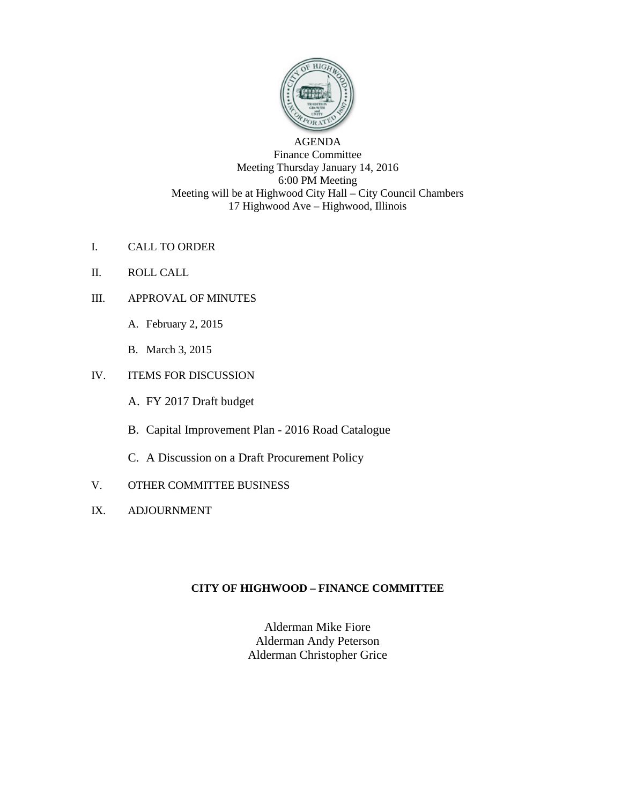

AGENDA Finance Committee Meeting Thursday January 14, 2016 6:00 PM Meeting Meeting will be at Highwood City Hall – City Council Chambers 17 Highwood Ave – Highwood, Illinois

- I. CALL TO ORDER
- II. ROLL CALL
- III. APPROVAL OF MINUTES
	- A. February 2, 2015
	- B. March 3, 2015
- IV. ITEMS FOR DISCUSSION
	- A. FY 2017 Draft budget
	- B. Capital Improvement Plan 2016 Road Catalogue
	- C. A Discussion on a Draft Procurement Policy
- V. OTHER COMMITTEE BUSINESS
- IX. ADJOURNMENT

# **CITY OF HIGHWOOD – FINANCE COMMITTEE**

Alderman Mike Fiore Alderman Andy Peterson Alderman Christopher Grice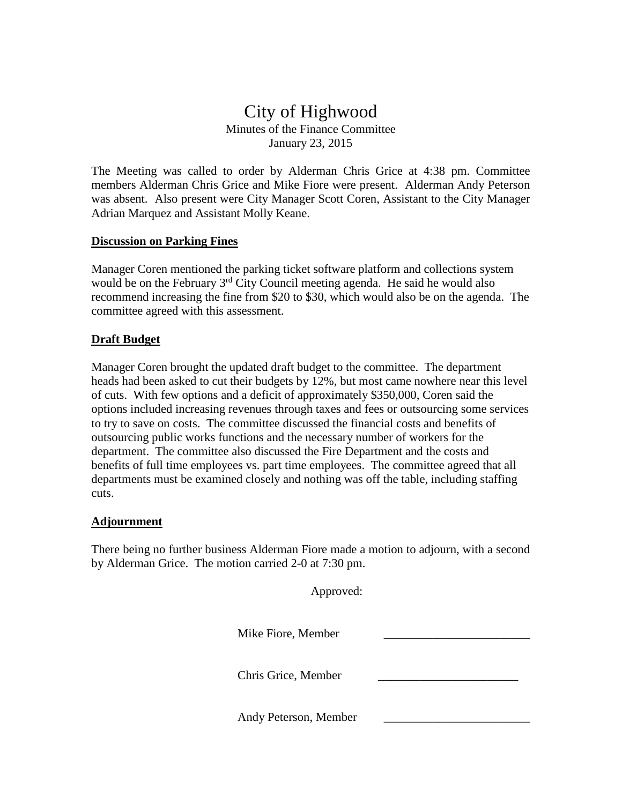# City of Highwood Minutes of the Finance Committee January 23, 2015

The Meeting was called to order by Alderman Chris Grice at 4:38 pm. Committee members Alderman Chris Grice and Mike Fiore were present. Alderman Andy Peterson was absent. Also present were City Manager Scott Coren, Assistant to the City Manager Adrian Marquez and Assistant Molly Keane.

# **Discussion on Parking Fines**

Manager Coren mentioned the parking ticket software platform and collections system would be on the February  $3<sup>rd</sup>$  City Council meeting agenda. He said he would also recommend increasing the fine from \$20 to \$30, which would also be on the agenda. The committee agreed with this assessment.

# **Draft Budget**

Manager Coren brought the updated draft budget to the committee. The department heads had been asked to cut their budgets by 12%, but most came nowhere near this level of cuts. With few options and a deficit of approximately \$350,000, Coren said the options included increasing revenues through taxes and fees or outsourcing some services to try to save on costs. The committee discussed the financial costs and benefits of outsourcing public works functions and the necessary number of workers for the department. The committee also discussed the Fire Department and the costs and benefits of full time employees vs. part time employees. The committee agreed that all departments must be examined closely and nothing was off the table, including staffing cuts.

# **Adjournment**

There being no further business Alderman Fiore made a motion to adjourn, with a second by Alderman Grice. The motion carried 2-0 at 7:30 pm.

| Approved:             |  |
|-----------------------|--|
| Mike Fiore, Member    |  |
| Chris Grice, Member   |  |
| Andy Peterson, Member |  |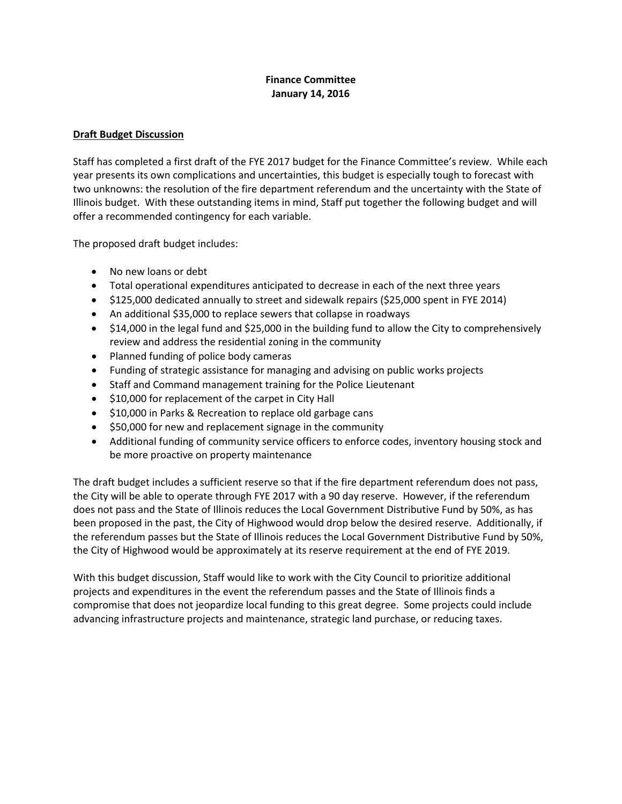# **Finance Committee January 14, 2016**

# **Draft Budget Discussion**

Staff has completed a first draft of the FYE 2017 budget for the Finance Committee's review. While each year presents its own complications and uncertainties, this budget is especially tough to forecast with two unknowns: the resolution of the fire department referendum and the uncertainty with the State of Illinois budget. With these outstanding items in mind, Staff put together the following budget and will offer a recommended contingency for each variable.

The proposed draft budget includes:

- No new loans or debt
- Total operational expenditures anticipated to decrease in each of the next three years
- \$125,000 dedicated annually to street and sidewalk repairs (\$25,000 spent in FYE 2014)
- An additional \$35,000 to replace sewers that collapse in roadways
- \$14,000 in the legal fund and \$25,000 in the building fund to allow the City to comprehensively review and address the residential zoning in the community
- Planned funding of police body cameras
- Funding of strategic assistance for managing and advising on public works projects
- Staff and Command management training for the Police Lieutenant
- \$10,000 for replacement of the carpet in City Hall
- \$10,000 in Parks & Recreation to replace old garbage cans
- \$50,000 for new and replacement signage in the community
- Additional funding of community service officers to enforce codes, inventory housing stock and be more proactive on property maintenance

The draft budget includes a sufficient reserve so that if the fire department referendum does not pass, the City will be able to operate through FYE 2017 with a 90 day reserve. However, if the referendum does not pass and the State of Illinois reduces the Local Government Distributive Fund by 50%, as has been proposed in the past, the City of Highwood would drop below the desired reserve. Additionally, if the referendum passes but the State of Illinois reduces the Local Government Distributive Fund by 50%, the City of Highwood would be approximately at its reserve requirement at the end of FYE 2019.

With this budget discussion, Staff would like to work with the City Council to prioritize additional projects and expenditures in the event the referendum passes and the State of Illinois finds a compromise that does not jeopardize local funding to this great degree. Some projects could include advancing infrastructure projects and maintenance, strategic land purchase, or reducing taxes.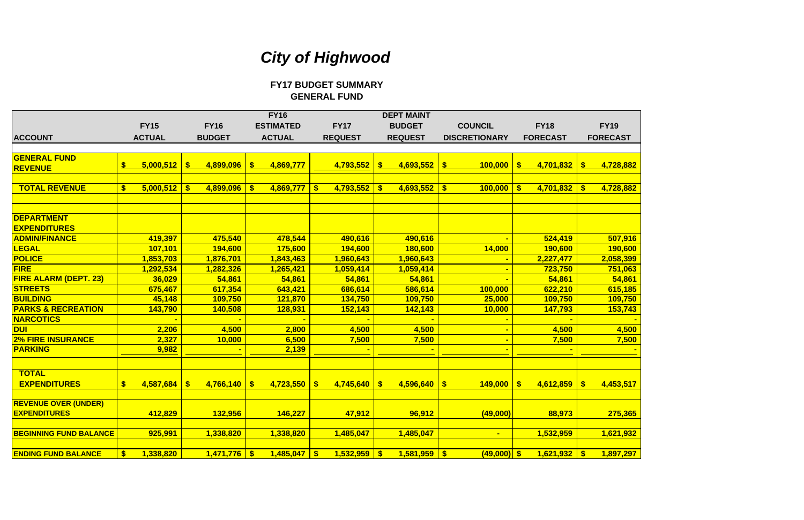**FY16 DEPT MAINT FY15 FY16 ESTIMATED FY17 BUDGET COUNCIL FY18 FY19ACCOUNT ACTUAL BUDGET ACTUAL REQUEST REQUEST DISCRETIONARY FORECAST FORECAST GENERAL FUND REVENUE \$ 5,000,512 \$ 4,899,096 \$ 4,869,777 4,693,552 4,793,552 \$ \$ 100,000 \$ 4,701,832 \$ 4,728,882 TOTAL REVENUE 5,000,512 \$ 4,899,096 \$ 4,869,777 \$ 4,793,552 \$ 4,693,552 \$ 100,000 \$ 4,701,832 \$ 4,728,882 \$ DEPARTMENTEXPENDITURESADMIN/FINANCE 419,397 475,540 478,544 490,616 490,616 - 524,419 507,916 LEGAL 107,101 194,600 175,600 194,600 180,600 14,000 190,600 190,600 POLICE 1,853,703 1,876,701 1,843,463 1,960,643 1,960,643 - 2,227,477 2,058,399 FIRE 1,282,326 1,292,534 1,265,421 1,059,414 1,059,414 - 723,750 751,063 FIRE ALARM (DEPT. 23) 54,861 36,029 54,861 54,861 54,861 - 54,861 54,861** STREETS | 675,467 | 617,354 | 643,421 | 686,614 | 586,614 | 100,000 | 622,210 | 615,185 BUILDING | 45,148 | 109,750 | 121,870 | 134,750 | 109,750 | 25,000 | 109,750 | 109,750 **PARKS & RECREATION 143,790 140,508 128,931 152,143 142,143 10,000 147,793 153,743 NARCOTICS - - - - - - - -DUI 2,206 4,500 2,800 4,500 4,500 - 4,500 4,500 2% FIRE INSURANCE 2,327 10,000 6,500 7,500 7,500 - 7,500 7,500** PARKING | 9,982 | - | 2,139 | - | <del>-</del> | <mark>- | -</mark> **TOTAL EXPENDITURES \$ 4,766,140 4,587,684 \$ 4,723,550 \$ 4,745,640 \$ 4,596,640 \$ 149,000 \$ 4,612,859 \$ 4,453,517 \$ REVENUE OVER (UNDER) EXPENDITURES 132,956 412,829 146,227 47,912 96,912 (49,000) 88,973 275,365 BEGINNING FUND BALANCE 925,991 1,338,820 1,338,820 1,485,047 1,485,047 - 1,532,959 1,621,932 ENDING FUND BALANCE\$ 1,471,776 1,338,820 1,485,047 \$ 1,532,959 \$ 1,581,959 \$ (49,000) \$ 1,621,932 \$ 1,897,297 \$** 

| <b>FY19</b><br><b>ORECAST</b>                  |
|------------------------------------------------|
| <u>4,728,882</u>                               |
| 4,728,882                                      |
|                                                |
| <mark>507,916</mark><br>190,600                |
| <mark>2,058,399</mark><br><mark>751,063</mark> |
| 54,861<br><mark>615,185</mark>                 |
| <mark>109,750</mark><br><mark>153,743</mark>   |
| 4,500<br>7,500                                 |
|                                                |
| <u>4,453,517</u>                               |
| <u>275,365</u>                                 |
| <mark>1,621,932</mark>                         |
| <mark>1,897,297</mark>                         |

# *City of Highwood*

**GENERAL FUND FY17 BUDGET SUMMARY**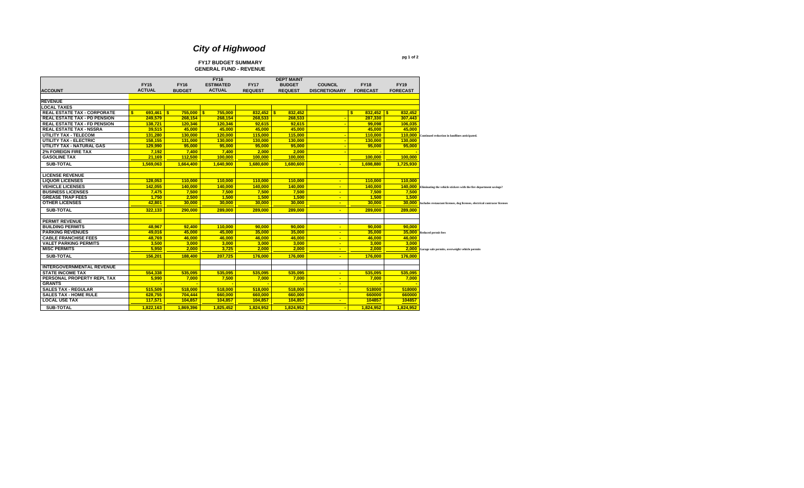**pg 1 of 2**

# **FY17 BUDGET SUMMARY GENERAL FUND - REVENUE**

|                                     |               |               | <b>FY16</b>      |                | <b>DEPT MAINT</b> |                          |                    |                 |                                                                                   |
|-------------------------------------|---------------|---------------|------------------|----------------|-------------------|--------------------------|--------------------|-----------------|-----------------------------------------------------------------------------------|
|                                     | <b>FY15</b>   | <b>FY16</b>   | <b>ESTIMATED</b> | <b>FY17</b>    | <b>BUDGET</b>     | <b>COUNCIL</b>           | <b>FY18</b>        | <b>FY19</b>     |                                                                                   |
| <b>ACCOUNT</b>                      | <b>ACTUAL</b> | <b>BUDGET</b> | <b>ACTUAL</b>    | <b>REQUEST</b> | <b>REQUEST</b>    | <b>DISCRETIONARY</b>     | <b>FORECAST</b>    | <b>FORECAST</b> |                                                                                   |
|                                     |               |               |                  |                |                   |                          |                    |                 |                                                                                   |
| <b>REVENUE</b>                      |               |               |                  |                |                   |                          |                    |                 |                                                                                   |
| <b>LOCAL TAXES</b>                  |               |               |                  |                |                   |                          |                    |                 |                                                                                   |
| <b>REAL ESTATE TAX - CORPORATE</b>  | $693.461$ S   | 755.000       | 755.000<br>l S   | $832.452$ \$   | 832.452           |                          | s.<br>$832.452$ \$ | 832.452         |                                                                                   |
| <b>REAL ESTATE TAX - PD PENSION</b> | 249.579       | 268.154       | 268.154          | 268.533        | 268,533           |                          | 287.330            | 307,443         |                                                                                   |
| <b>REAL ESTATE TAX - FD PENSION</b> | 138.721       | 120.346       | 120.346          | 92.615         | 92,615            |                          | 99.098             | 106,035         |                                                                                   |
| <b>REAL ESTATE TAX - NSSRA</b>      | 39,515        | 45,000        | 45,000           | 45,000         | 45,000            |                          | 45,000             | 45,000          |                                                                                   |
| UTILITY TAX - TELECOM               | 131.280       | 130.000       | 120.000          | 115.000        | 115.000           |                          | 110.000            | 110.000         | Continued reduction in landlines anticipated.                                     |
| <b>UTILITY TAX - ELECTRIC</b>       | 158.155       | 131.000       | 130.000          | 130.000        | 130.000           | ÷                        | 130.000            | 130,000         |                                                                                   |
| UTILITY TAX - NATURAL GAS           | 129.990       | 95.000        | 95,000           | 95,000         | 95,000            |                          | 95.000             | 95,000          |                                                                                   |
| <b>2% FOREIGN FIRE TAX</b>          | 7.192         | 7.400         | 7.400            | 2.000          | 2.000             |                          |                    |                 |                                                                                   |
| <b>GASOLINE TAX</b>                 | 21.169        | 112,500       | 100,000          | 100.000        | 100.000           |                          | 100.000            | 100.000         |                                                                                   |
| <b>SUB-TOTAL</b>                    | 1,569,063     | 1,664,400     | 1,640,900        | 1,680,600      | 1,680,600         | $\blacksquare$           | 1,698,880          | 1,725,930       |                                                                                   |
|                                     |               |               |                  |                |                   |                          |                    |                 |                                                                                   |
| <b>LICENSE REVENUE</b>              |               |               |                  |                |                   |                          |                    |                 |                                                                                   |
| <b>LIQUOR LICENSES</b>              | 128.053       | 110.000       | 110.000          | 110.000        | 110.000           | $\sim$                   | 110.000            | 110.000         |                                                                                   |
| <b>VEHICLE LICENSES</b>             | 142,055       | 140,000       | 140,000          | 140,000        | 140,000           | $\blacksquare$           | 140,000            |                 | <b>140,000</b> Eliminating the vehicle stickers with the fire department savings? |
| <b>BUSINESS LICENSES</b>            | 7.475         | 7.500         | 7.500            | 7.500          | 7.500             | $\sim$                   | 7.500              | 7.500           |                                                                                   |
| <b>GREASE TRAP FEES</b>             | 1,750         | 2.500         | 1.500            | 1,500          | 1,500             | $\blacksquare$           | 1.500              | 1,500           |                                                                                   |
| <b>OTHER LICENSES</b>               | 42.801        | 30.000        | 30,000           | 30,000         | 30,000            | $\sim$                   | 30.000             | 30,000          | Includes restaurant licenses, dog licenses, electrical contracor licenses         |
| <b>SUB-TOTAL</b>                    | 322,133       | 290.000       | 289.000          | 289.000        | 289,000           | $\sim$                   | 289.000            | 289,000         |                                                                                   |
|                                     |               |               |                  |                |                   |                          |                    |                 |                                                                                   |
| <b>PERMIT REVENUE</b>               |               |               |                  |                |                   |                          |                    |                 |                                                                                   |
| <b>BUILDING PERMITS</b>             | 48.967        | 92.400        | 110.000          | 90.000         | 90.000            | $\blacksquare$           | 90.000             | 90.000          |                                                                                   |
| <b>PARKING REVENUES</b>             | 49.016        | 45.000        | 45.000           | 35,000         | 35,000            | $\overline{\phantom{a}}$ | 35,000             | 35,000          | Reduced permit fees                                                               |
| <b>CABLE FRANCHISE FEES</b>         | 48.769        | 46.000        | 46,000           | 46.000         | 46,000            | $\mathbf{u}$             | 46.000             | 46,000          |                                                                                   |
| <b>VALET PARKING PERMITS</b>        | 3.500         | 3,000         | 3.000            | 3.000          | 3,000             | $\sim$                   | 3.000              | 3,000           |                                                                                   |
| <b>MISC PERMITS</b>                 | 5,950         | 2.000         | 3,725            | 2.000          | 2.000             | $\blacksquare$           | 2.000              |                 | 2,000 Garage sale permits, overweight vehicle permits                             |
| <b>SUB-TOTAL</b>                    | 156.201       | 188.400       | 207.725          | 176.000        | 176.000           | $\sim$                   | 176.000            | 176.000         |                                                                                   |
|                                     |               |               |                  |                |                   |                          |                    |                 |                                                                                   |
| <b>INTERGOVERNMENTAL REVENUE</b>    |               |               |                  |                |                   |                          |                    |                 |                                                                                   |
| <b>STATE INCOME TAX</b>             | 554.338       | 535.095       | 535.095          | 535.095        | 535,095           | $\sim$                   | 535.095            | 535,095         |                                                                                   |
| PERSONAL PROPERTY REPL TAX          | 5.990         | 7.000         | 7,500            | 7.000          | 7.000             | $\sim$                   | 7.000              | 7,000           |                                                                                   |
| <b>GRANTS</b>                       |               |               |                  |                |                   | $\sim$                   |                    |                 |                                                                                   |
| <b>SALES TAX - REGULAR</b>          | 515.509       | 518.000       | 518.000          | 518.000        | 518.000           | $\blacksquare$           | 518000             | 518000          |                                                                                   |
| <b>SALES TAX - HOME RULE</b>        | 628.755       | 704.444       | 660.000          | 660.000        | 660.000           |                          | 660000             | 660000          |                                                                                   |
| <b>LOCAL USE TAX</b>                | 117,571       | 104,857       | 104,857          | 104,857        | 104,857           | $\blacksquare$           | 104857             | 104857          |                                                                                   |
| <b>SUB-TOTAL</b>                    | 1,822,163     | 1,869,396     | 1.825.452        | 1.824.952      | 1.824.952         |                          | 1.824.952          | 1,824,952       |                                                                                   |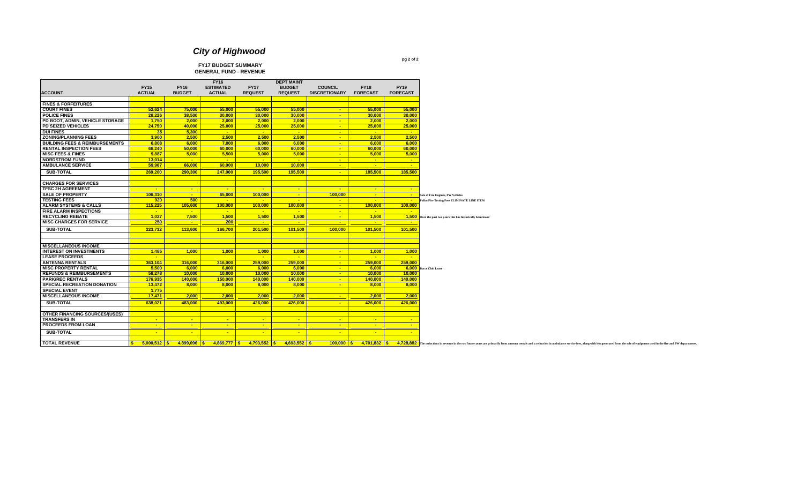# **FY17 BUDGET SUMMARY GENERAL FUND - REVENUE**

|                                           |                                |                          | <b>FY16</b>               |                           | <b>DEPT MAINT</b>        |                                 |                 |                                                                                                                                                                                                                                |
|-------------------------------------------|--------------------------------|--------------------------|---------------------------|---------------------------|--------------------------|---------------------------------|-----------------|--------------------------------------------------------------------------------------------------------------------------------------------------------------------------------------------------------------------------------|
|                                           | <b>FY15</b>                    | <b>FY16</b>              | <b>ESTIMATED</b>          | <b>FY17</b>               | <b>BUDGET</b>            | <b>COUNCIL</b>                  | <b>FY18</b>     | <b>FY19</b>                                                                                                                                                                                                                    |
| <b>ACCOUNT</b>                            | <b>ACTUAL</b>                  | <b>BUDGET</b>            | <b>ACTUAL</b>             | <b>REQUEST</b>            | <b>REQUEST</b>           | <b>DISCRETIONARY</b>            | <b>FORECAST</b> | <b>FORECAST</b>                                                                                                                                                                                                                |
|                                           |                                |                          |                           |                           |                          |                                 |                 |                                                                                                                                                                                                                                |
| <b>FINES &amp; FORFEITURES</b>            |                                |                          |                           |                           |                          |                                 |                 |                                                                                                                                                                                                                                |
| <b>COURT FINES</b>                        | 52.624                         | 75,000                   | 55,000                    | 55,000                    | 55.000                   | <b>Contract</b>                 | 55.000          | 55,000                                                                                                                                                                                                                         |
| <b>POLICE FINES</b>                       | 28,226                         | 38.500                   | 30,000                    | 30,000                    | 30,000                   | $\sim$                          | 30,000          | 30,000                                                                                                                                                                                                                         |
| PD BOOT, ADMIN, VEHICLE STORAGE           | 1.750                          | 2.000                    | 2.000                     | 2.000                     | 2.000                    | <b>Contract</b>                 | 2.000           | 2.000                                                                                                                                                                                                                          |
| PD SEIZED VEHICLES                        | 24,750                         | 40,000                   | 25,000                    | 25,000                    | 25,000                   | $\sim$ $\sim$                   | 25,000          | 25,000                                                                                                                                                                                                                         |
| <b>DUI FINES</b>                          | 35                             | 5,300                    | $\sim$                    | $\sim$                    | $\sim$                   | $\sim$                          | $\sim 10^{-10}$ | $\sim$ $\sim$                                                                                                                                                                                                                  |
| <b>ZONING/PLANNING FEES</b>               | 3,900                          | 2,500                    | 2,500                     | 2,500                     | 2,500                    | $\sim$ $ \sim$                  | 2,500           | 2,500                                                                                                                                                                                                                          |
| <b>BUILDING FEES &amp; REIMBURSEMENTS</b> | 6,808                          | 6.000                    | 7.000                     | 6.000                     | 6.000                    | <b>Contract</b>                 | 6.000           | 6,000                                                                                                                                                                                                                          |
| <b>RENTAL INSPECTION FEES</b>             | 68,240                         | 50,000                   | 60,000                    | 60,000                    | 60,000                   | $\sim$                          | 60,000          | 60,000                                                                                                                                                                                                                         |
| <b>MISC FEES &amp; FINES</b>              | 9,887                          | 5,000                    | 5,500                     | 5,000                     | 5,000                    | $\sim$ $\sim$                   | 5,000           | 5,000                                                                                                                                                                                                                          |
|                                           |                                |                          |                           |                           |                          |                                 |                 |                                                                                                                                                                                                                                |
| <b>NORDSTROM FUND</b>                     | 13.014                         | $\sim$ $\sim$            | <b>Contract</b>           | $\sim$ $\sim$             | <b>Contract</b>          | <b>Contract</b>                 | $\sim$          | $\sim$                                                                                                                                                                                                                         |
| <b>AMBULANCE SERVICE</b>                  | 59,967                         | 66,000                   | 60,000                    | 10,000                    | 10,000                   | <b>Contract</b>                 | $\sim$          | $\sim$                                                                                                                                                                                                                         |
| <b>SUB-TOTAL</b>                          | 269,200                        | 290.300                  | 247.000                   | 195.500                   | 195.500                  | $\sim$                          | 185.500         | 185,500                                                                                                                                                                                                                        |
|                                           |                                |                          |                           |                           |                          |                                 |                 |                                                                                                                                                                                                                                |
| <b>CHARGES FOR SERVICES</b>               |                                |                          |                           |                           |                          |                                 |                 |                                                                                                                                                                                                                                |
| <b>TFSC 2H AGREEMENT</b>                  | $\sim$ $\sim$                  | <b>Contract</b>          | $\sim$                    | $\sim$                    | <b>Contract</b>          | <b>College</b>                  | $\sim$          | <b>College</b>                                                                                                                                                                                                                 |
| <b>SALE OF PROPERTY</b>                   | 106,310                        | $\sim$                   | 65,000                    | 100,000                   | $\sim$                   | 100,000                         | $\sim$          | $\sim$<br>Sale of Fire Engines, PW Vehicles                                                                                                                                                                                    |
| <b>TESTING FEES</b>                       | 920                            | 500                      | $\sim$                    | $\sim$                    | $\sim$                   | $\sim$                          | $\sim$          | $\sim$ $\sim$<br>Police/Fire Testing Fees ELIMINATE LINE ITEM                                                                                                                                                                  |
| <b>ALARM SYSTEMS &amp; CALLS</b>          | 115,225                        | 105,600                  | 100,000                   | 100,000                   | 100,000                  | $\sim$ $\sim$                   | 100,000         | 100,000                                                                                                                                                                                                                        |
| <b>FIRE ALARM INSPECTIONS</b>             | $\sim$                         | $\sim$ $\sim$            | <b>Contract</b>           | $\sim$ $\sim$             | <b>College</b>           | <b>Contract</b>                 | $\sim$          | <b>College</b>                                                                                                                                                                                                                 |
| <b>RECYCLING REBATE</b>                   | 1,027                          | 7,500                    | 1,500                     | 1,500                     | 1,500                    |                                 | 1,500           |                                                                                                                                                                                                                                |
| <b>MISC CHARGES FOR SERVICE</b>           |                                | <b>College</b>           |                           | <b><i><u>ALCO</u></i></b> | <b><i><u>ALC</u></i></b> | $\sim$ $\sim$<br><b>College</b> | <b>College</b>  | 1,500 Over the past two years this has historically been lower<br><b>Card</b>                                                                                                                                                  |
|                                           | 250                            |                          | 200                       |                           |                          |                                 |                 |                                                                                                                                                                                                                                |
| <b>SUB-TOTAL</b>                          | 223,732                        | 113,600                  | 166,700                   | 201,500                   | 101,500                  | 100,000                         | 101,500         | 101,500                                                                                                                                                                                                                        |
|                                           |                                |                          |                           |                           |                          |                                 |                 |                                                                                                                                                                                                                                |
|                                           |                                |                          |                           |                           |                          |                                 |                 |                                                                                                                                                                                                                                |
| <b>MISCELLANEOUS INCOME</b>               |                                |                          |                           |                           |                          |                                 |                 |                                                                                                                                                                                                                                |
| <b>INTEREST ON INVESTMENTS</b>            | 1,485                          | 1,000                    | 1,000                     | 1,000                     | 1,000                    | $\sim$                          | 1,000           | 1,000                                                                                                                                                                                                                          |
| <b>LEASE PROCEEDS</b>                     | <b>Card</b>                    |                          |                           | <b><i><u>ALC</u></i></b>  | <b><i><u>ALC</u></i></b> | $\sim$                          | $\sim$          | <b>College</b>                                                                                                                                                                                                                 |
| <b>ANTENNA RENTALS</b>                    | 363,104                        | 316.000                  | 316.000                   | 259.000                   | 259.000                  | $\sim$ $ \sim$                  | 259,000         | 259.000                                                                                                                                                                                                                        |
| <b>MISC PROPERTY RENTAL</b>               | 5,500                          | 6.000                    | 6,000                     | 6.000                     | 6,000                    | $\sim$ $\sim$                   | 6.000           | 6,000 Bocce Club Lease                                                                                                                                                                                                         |
| <b>REFUNDS &amp; REIMBURSEMENTS</b>       | 58,278                         |                          |                           |                           | 10,000                   | <b>Contract</b>                 | 10,000          | 10,000                                                                                                                                                                                                                         |
|                                           |                                | 10,000                   | 10,000                    | 10,000                    |                          |                                 |                 |                                                                                                                                                                                                                                |
| <b>PARK/REC RENTALS</b>                   | 176.935                        | 140.000                  | 150,000                   | 140.000                   | 140.000                  | <b>Contract</b>                 | 140.000         | 140.000                                                                                                                                                                                                                        |
| <b>SPECIAL RECREATION DONATION</b>        | 13,472                         | 8,000                    | 8,000                     | 8,000                     | 8,000                    | $\sim$                          | 8.000           | 8,000                                                                                                                                                                                                                          |
| <b>SPECIAL EVENT</b>                      | 1.775                          |                          |                           |                           |                          |                                 |                 |                                                                                                                                                                                                                                |
| <b>MISCELLANEOUS INCOME</b>               | 17.471                         | 2.000                    | 2.000                     | 2.000                     | 2.000                    | $\sim$ $\sim$                   | 2.000           | 2.000                                                                                                                                                                                                                          |
| <b>SUB-TOTAL</b>                          | 638.021                        | 483.000                  | 493.000                   | 426.000                   | 426.000                  | $\sim$                          | 426.000         | 426.000                                                                                                                                                                                                                        |
|                                           |                                |                          |                           |                           |                          |                                 |                 |                                                                                                                                                                                                                                |
| OTHER FINANCING SOURCES/(USES)            |                                |                          |                           |                           |                          |                                 |                 |                                                                                                                                                                                                                                |
| <b>TRANSFERS IN</b>                       | <b>COL</b>                     | <b><i><u>ALC</u></i></b> | <b><i><u>ALCO</u></i></b> | <b><i><u>ALCO</u></i></b> | <b>Section</b>           | <b><i><u>ALCO</u></i></b>       | <b>College</b>  | <b>FAX</b>                                                                                                                                                                                                                     |
| <b>PROCEEDS FROM LOAN</b>                 | $\sim$                         | $\sim$                   | $\sim$                    | $\sim$                    | $\sim$                   | $\sim$                          | $\sim$          | $\sim$                                                                                                                                                                                                                         |
|                                           |                                |                          |                           |                           |                          |                                 |                 |                                                                                                                                                                                                                                |
| <b>SUB-TOTAL</b>                          | <b>Section</b>                 | $\sim$                   | $\sim$                    | $\sim$                    | $\sim$                   | $\sim$                          | $\sim$          | $\sim$                                                                                                                                                                                                                         |
|                                           |                                |                          |                           |                           |                          |                                 |                 |                                                                                                                                                                                                                                |
| <b>TOTAL REVENUE</b>                      | $\mathbf{s}$<br>$5,000,512$ \$ | $4,899,096$ \$           | $4,869,777$ \$            | $4,793,552$ \$            | $4,693,552$ \$           | $100.000$ S                     | $4,701,832$ \$  | 4,728,882 The reductions in revenue in the two future years are primarily from antenna rentals and a reduction in ambulance service fees, along with less generated from the sale of equipment used in the fire and PW departm |

**pg 2 of 2**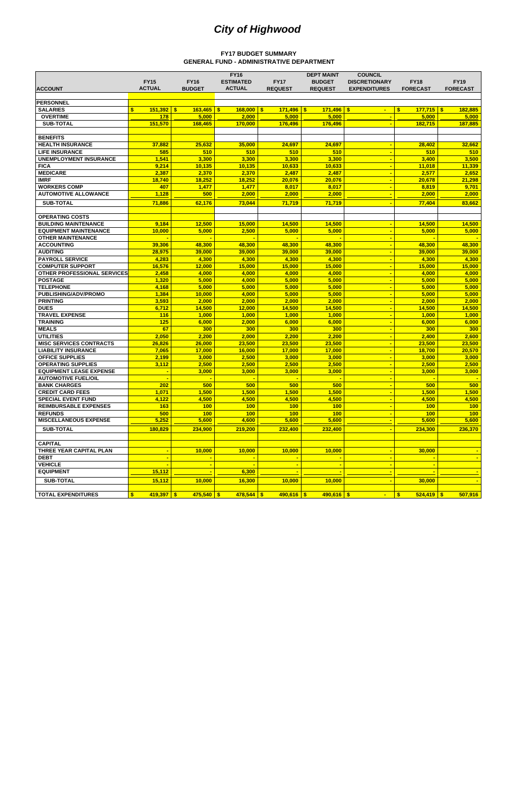|                                            | <b>FY15</b>                   | <b>FY16</b>   | <b>FY16</b><br><b>ESTIMATED</b> | <b>FY17</b>                      | <b>DEPT MAINT</b><br><b>BUDGET</b> | <b>COUNCIL</b><br><b>DISCRETIONARY</b> | <b>FY18</b>                 | <b>FY19</b>      |
|--------------------------------------------|-------------------------------|---------------|---------------------------------|----------------------------------|------------------------------------|----------------------------------------|-----------------------------|------------------|
| <b>ACCOUNT</b>                             | <b>ACTUAL</b>                 | <b>BUDGET</b> | <b>ACTUAL</b>                   | <b>REQUEST</b>                   | <b>REQUEST</b>                     | <b>EXPENDITURES</b>                    | <b>FORECAST</b>             | <b>FORECAST</b>  |
|                                            |                               |               |                                 |                                  |                                    |                                        |                             |                  |
| <b>PERSONNEL</b>                           |                               | $163.465$ \$  |                                 |                                  |                                    |                                        |                             |                  |
| <b>SALARIES</b><br><b>OVERTIME</b>         | $151,392$ \$<br>\$<br>178     | 5,000         | $168,000$ \$<br>2,000           | $171,496$ $\frac{8}{5}$<br>5,000 | $171,496$ \$<br>5,000              | $\blacksquare$                         | $177,715$ \$<br>\$<br>5,000 | 182,885<br>5,000 |
|                                            |                               |               |                                 |                                  |                                    |                                        |                             |                  |
| <b>SUB-TOTAL</b>                           | 151,570                       | 168,465       | 170,000                         | 176,496                          | 176,496                            |                                        | 182,715                     | 187,885          |
|                                            |                               |               |                                 |                                  |                                    |                                        |                             |                  |
| <b>BENEFITS</b><br><b>HEALTH INSURANCE</b> |                               | 25,632        |                                 |                                  |                                    |                                        |                             |                  |
| <b>LIFE INSURANCE</b>                      | 37,882<br>585                 | 510           | 35,000<br>510                   | 24,697<br>510                    | 24,697<br>510                      | $\overline{\phantom{a}}$               | 28,402<br>510               | 32,662           |
| <b>UNEMPLOYMENT INSURANCE</b>              | 1,541                         | 3,300         | 3,300                           | 3,300                            | 3,300                              | ٠<br>÷                                 | 3,400                       | 510<br>3,500     |
| <b>FICA</b>                                | 9,214                         | 10,135        | 10,135                          | 10,633                           | 10,633                             | $\blacksquare$                         | 11,018                      | 11,339           |
| <b>MEDICARE</b>                            | 2,387                         | 2,370         | 2,370                           | 2,487                            | 2,487                              | ÷                                      | 2,577                       | 2,652            |
| <b>IMRF</b>                                | 18,740                        | 18,252        | 18,252                          | 20,076                           | 20,076                             | $\overline{\phantom{a}}$               | 20,678                      | 21,298           |
| <b>WORKERS COMP</b>                        | 407                           | 1,477         | 1,477                           | 8,017                            | 8,017                              | ٠                                      | 8,819                       | 9,701            |
| <b>AUTOMOTIVE ALLOWANCE</b>                | 1,128                         | 500           | 2,000                           | 2,000                            | 2,000                              | $\overline{\phantom{a}}$               | 2,000                       | 2,000            |
|                                            |                               |               |                                 |                                  |                                    |                                        |                             |                  |
| <b>SUB-TOTAL</b>                           | 71,886                        | 62,176        | 73,044                          | 71,719                           | 71,719                             |                                        | 77,404                      | 83,662           |
| <b>OPERATING COSTS</b>                     |                               |               |                                 |                                  |                                    |                                        |                             |                  |
| <b>BUILDING MAINTENANCE</b>                | 9,184                         | 12,500        | 15,000                          | 14,500                           | 14,500                             | ÷                                      | 14,500                      | 14,500           |
| <b>EQUIPMENT MAINTENANCE</b>               | 10,000                        | 5,000         | 2,500                           | 5,000                            | 5,000                              | $\overline{\phantom{a}}$               | 5,000                       | 5,000            |
| <b>OTHER MAINTENANCE</b>                   |                               |               |                                 |                                  |                                    | ÷                                      |                             |                  |
| <b>ACCOUNTING</b>                          | 39,306                        | 48,300        | 48,300                          | 48,300                           | 48,300                             | $\blacksquare$                         | 48,300                      | 48,300           |
| <b>AUDITING</b>                            | 28,975                        | 39,000        | 39,000                          | 39,000                           | 39,000                             | ÷                                      | 39,000                      | 39,000           |
| <b>PAYROLL SERVICE</b>                     | 4,283                         | 4,300         | 4,300                           | 4,300                            | 4,300                              | $\blacksquare$                         | 4,300                       | 4,300            |
| <b>COMPUTER SUPPORT</b>                    | 16,576                        | 12,000        | 15,000                          | 15,000                           | 15,000                             | ÷                                      | 15,000                      | 15,000           |
| OTHER PROFESSIONAL SERVICES                | 2,458                         | 4,000         | 4,000                           | 4,000                            | 4,000                              | $\blacksquare$                         | 4,000                       | 4,000            |
| <b>POSTAGE</b>                             | 1,320                         | 5,000         | 4,000                           | 5,000                            | 5,000                              | $\overline{\phantom{a}}$               | 5,000                       | 5,000            |
| <b>TELEPHONE</b>                           | 4,168                         | 5,000         | 5,000                           | 5,000                            | 5,000                              | ÷                                      | 5,000                       | 5,000            |
| PUBLISHING/ADV/PROMO                       | 1,384                         | 10,000        | 4,000                           | 5,000                            | 5,000                              | ÷                                      | 5,000                       | 5,000            |
| <b>PRINTING</b>                            | 3,593                         | 2,000         | 2,000                           | 2,000                            | 2,000                              | $\blacksquare$                         | 2,000                       | 2,000            |
| <b>DUES</b>                                | 6,712                         | 14,500        | 12,000                          | 14,500                           | 14,500                             | $\blacksquare$                         | 14,500                      | 14,500           |
| <b>TRAVEL EXPENSE</b>                      | 116                           | 1,000         | 1,000                           | 1,000                            | 1,000                              | ÷                                      | 1,000                       | 1,000            |
| <b>TRAINING</b>                            | 125                           | 6,000         | 2,000                           | 6,000                            | 6,000                              | $\blacksquare$                         | 6,000                       | 6,000            |
| <b>MEALS</b>                               | 67                            | 300           | 300                             | 300                              | 300                                | ÷                                      | 300                         | 300              |
| <b>UTILITIES</b>                           | 2,050                         | 2,200         | 2,000                           | 2,200                            | 2,200                              | $\blacksquare$                         | 2,400                       | 2,600            |
| <b>MISC SERVICES CONTRACTS</b>             | 26,826                        | 26,000        | 23,500                          | 23,500                           | 23,500                             | $\blacksquare$                         | 23,500                      | 23,500           |
| <b>LIABILITY INSURANCE</b>                 | 7,065                         | 17,000        | 16,000                          | 17,000                           | 17,000                             | ÷                                      | 18,700                      | 20,570           |
| <b>OFFICE SUPPLIES</b>                     | 2,199                         | 3,000         | 2,500                           | 3,000                            | 3,000                              | $\overline{\phantom{0}}$               | 3,000                       | 3,000            |
| <b>OPERATING SUPPLIES</b>                  | 3,112                         | 2,500         | 2,500                           | 2,500                            | 2,500                              |                                        | 2,500                       | 2,500            |
| <b>EQUIPMENT LEASE EXPENSE</b>             | $\blacksquare$                | 3,000         | 3,000                           | 3,000                            | 3,000                              | $\blacksquare$                         | 3,000                       | 3,000            |
| <b>AUTOMOTIVE FUEL/OIL</b>                 | $\blacksquare$                |               |                                 |                                  |                                    |                                        |                             |                  |
| <b>BANK CHARGES</b>                        | 202                           | 500           | 500                             | 500                              | 500                                | $\blacksquare$                         | 500                         | 500              |
| <b>CREDIT CARD FEES</b>                    | 1,071                         | 1,500         | 1,500                           | 1,500                            | 1,500                              |                                        | 1,500                       | 1,500            |
| <b>SPECIAL EVENT FUND</b>                  | 4,122                         | 4,500         | 4,500                           | 4,500                            | 4,500                              |                                        | 4,500                       | 4,500            |
| <b>REIMBURSABLE EXPENSES</b>               | 163                           | 100           | 100                             | 100                              | 100                                | ٠                                      | 100                         | 100              |
| <b>REFUNDS</b>                             | 500                           | 100           | 100                             | 100                              | 100                                |                                        | 100                         | 100              |
| <b>MISCELLANEOUS EXPENSE</b>               | 5,252                         | 5,600         | 4,600                           | 5,600                            | 5,600                              |                                        | 5,600                       | 5,600            |
| <b>SUB-TOTAL</b>                           | 180,829                       | 234,900       | 219,200                         | 232,400                          | 232,400                            | $\blacksquare$                         | 234,300                     | 236,370          |
|                                            |                               |               |                                 |                                  |                                    |                                        |                             |                  |
| <b>CAPITAL</b>                             |                               |               |                                 |                                  |                                    |                                        |                             |                  |
| THREE YEAR CAPITAL PLAN                    |                               | 10,000        | 10,000                          | 10,000                           | 10,000                             |                                        | 30,000                      |                  |
| <b>DEBT</b>                                | $\sim$                        |               |                                 |                                  |                                    | $\blacksquare$                         |                             |                  |
| <b>VEHICLE</b>                             |                               |               |                                 |                                  |                                    |                                        |                             |                  |
| <b>EQUIPMENT</b>                           | 15,112                        |               | 6,300                           |                                  |                                    |                                        |                             |                  |
| <b>SUB-TOTAL</b>                           | 15,112                        | 10,000        | 16,300                          | 10,000                           | 10,000                             | $\blacksquare$                         | 30,000                      |                  |
|                                            |                               |               |                                 |                                  |                                    |                                        |                             |                  |
| <b>TOTAL EXPENDITURES</b>                  | $\frac{1}{2}$<br>$419,397$ \$ | $475,540$ \$  | $478,544$ \$                    | $490,616$ \$                     | $490,616$ \$                       |                                        | \$<br>$524,419$ \$          | 507,916          |

# **FY17 BUDGET SUMMARY GENERAL FUND - ADMINISTRATIVE DEPARTMENT**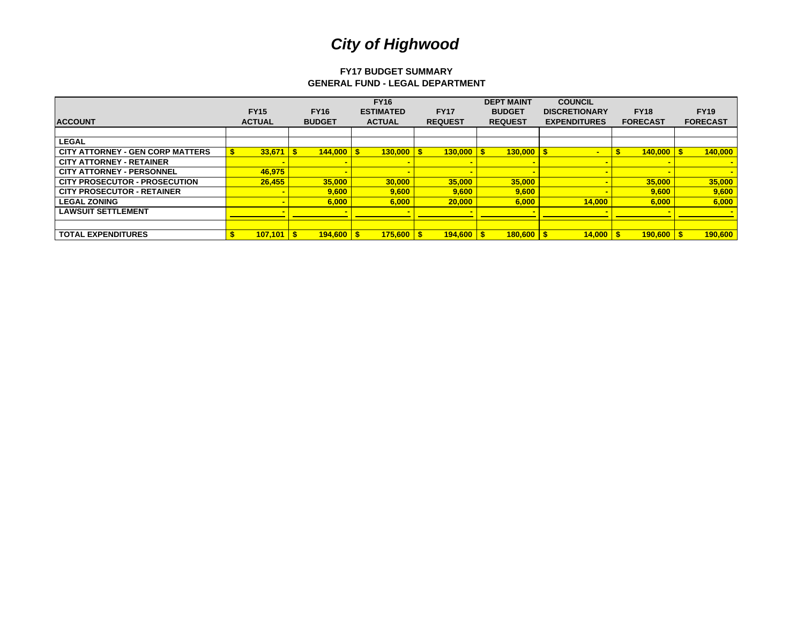# **FY17 BUDGET SUMMARYGENERAL FUND - LEGAL DEPARTMENT**

|                                         |               |               | <b>FY16</b>          |                | <b>DEPT MAINT</b> | <b>COUNCIL</b>       |                 |                 |
|-----------------------------------------|---------------|---------------|----------------------|----------------|-------------------|----------------------|-----------------|-----------------|
|                                         | <b>FY15</b>   | <b>FY16</b>   | <b>ESTIMATED</b>     | <b>FY17</b>    | <b>BUDGET</b>     | <b>DISCRETIONARY</b> | <b>FY18</b>     | <b>FY19</b>     |
| <b>ACCOUNT</b>                          | <b>ACTUAL</b> | <b>BUDGET</b> | <b>ACTUAL</b>        | <b>REQUEST</b> | <b>REQUEST</b>    | <b>EXPENDITURES</b>  | <b>FORECAST</b> | <b>FORECAST</b> |
|                                         |               |               |                      |                |                   |                      |                 |                 |
| <b>LEGAL</b>                            |               |               |                      |                |                   |                      |                 |                 |
| <b>CITY ATTORNEY - GEN CORP MATTERS</b> | 33,671        | 144,000       | $130.000$ S<br>S.    | $130.000$ S    | $130,000$   \$    |                      | $140,000$ \ \$  | 140,000         |
| <b>CITY ATTORNEY - RETAINER</b>         |               |               |                      |                |                   |                      |                 |                 |
| <b>CITY ATTORNEY - PERSONNEL</b>        | 46,975        |               |                      |                |                   |                      |                 |                 |
| <b>CITY PROSECUTOR - PROSECUTION</b>    | 26.455        | 35,000        | 30,000               | 35,000         | 35,000            | $\blacksquare$       | 35,000          | 35,000          |
| <b>CITY PROSECUTOR - RETAINER</b>       |               | 9,600         | 9,600                | 9,600          | 9,600             |                      | 9,600           | 9,600           |
| <b>LEGAL ZONING</b>                     |               | 6,000         | 6,000                | 20,000         | 6,000             | 14,000               | 6,000           | 6,000           |
| <b>LAWSUIT SETTLEMENT</b>               |               |               |                      |                |                   |                      |                 |                 |
|                                         |               |               |                      |                |                   |                      |                 |                 |
| <b>TOTAL EXPENDITURES</b>               | 107,101       | 194.600       | $175,600$   \$<br>\$ | $194.600$ S    | $180,600$ \$      | 14,000               | $190.600$ S     | 190,600         |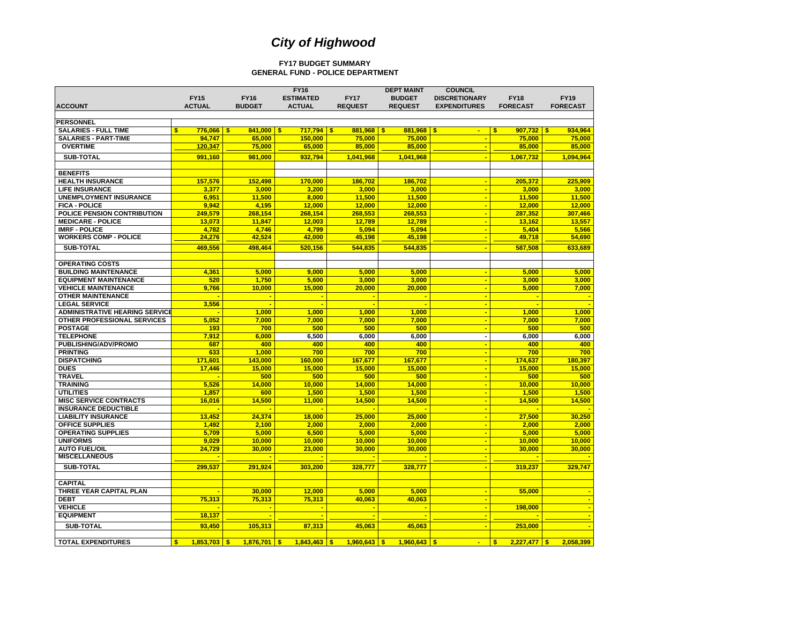#### **FY17 BUDGET SUMMARY GENERAL FUND - POLICE DEPARTMENT**

|                                       |                     |               | <b>FY16</b>              |                  | <b>DEPT MAINT</b>  | <b>COUNCIL</b>       |                                  |                          |
|---------------------------------------|---------------------|---------------|--------------------------|------------------|--------------------|----------------------|----------------------------------|--------------------------|
|                                       | <b>FY15</b>         | <b>FY16</b>   | <b>ESTIMATED</b>         | <b>FY17</b>      | <b>BUDGET</b>      | <b>DISCRETIONARY</b> | <b>FY18</b>                      | <b>FY19</b>              |
| <b>ACCOUNT</b>                        | <b>ACTUAL</b>       | <b>BUDGET</b> | <b>ACTUAL</b>            | <b>REQUEST</b>   | <b>REQUEST</b>     | <b>EXPENDITURES</b>  | <b>FORECAST</b>                  | <b>FORECAST</b>          |
|                                       |                     |               |                          |                  |                    |                      |                                  |                          |
| <b>PERSONNEL</b>                      |                     |               |                          |                  |                    |                      |                                  |                          |
| <b>SALARIES - FULL TIME</b>           | $776,066$ \$<br>\$  | 841.000       | $717.794$ \$<br><b>S</b> | 881,968          | $881.968$ S<br>-\$ | ٠                    | $907.732$ \$<br>\$.              | 934.964                  |
| <b>SALARIES - PART-TIME</b>           | 94.747              | 65.000        | 150,000                  | 75.000           | 75,000             | ٠                    | 75,000                           | 75,000                   |
| <b>OVERTIME</b>                       | 120,347             | 75,000        | 65,000                   | 85,000           | 85,000             |                      | 85,000                           | 85,000                   |
| <b>SUB-TOTAL</b>                      | 991.160             | 981.000       | 932,794                  | 1,041,968        | 1.041.968          | ٠                    | 1,067,732                        | 1,094,964                |
|                                       |                     |               |                          |                  |                    |                      |                                  |                          |
| <b>BENEFITS</b>                       |                     |               |                          |                  |                    |                      |                                  |                          |
| <b>HEALTH INSURANCE</b>               | 157.576             | 152.498       | 170.000                  | 186.702          | 186.702            | ٠                    | 205.372                          | 225.909                  |
| <b>LIFE INSURANCE</b>                 | 3,377               | 3.000         | 3,200                    | 3,000            | 3,000              | ٠                    | 3.000                            | 3,000                    |
| <b>UNEMPLOYMENT INSURANCE</b>         | 6,951               | 11,500        | 8,000                    | 11,500           | 11,500             | ÷                    | 11,500                           | 11,500                   |
| <b>FICA - POLICE</b>                  | 9,942               | 4,195         | 12,000                   | 12,000           |                    |                      |                                  |                          |
| POLICE PENSION CONTRIBUTION           | 249,579             | 268,154       | 268,154                  | 268,553          | 12,000<br>268,553  | $\blacksquare$<br>Ξ  | 12,000<br>287,352                | 12,000<br>307,466        |
| <b>MEDICARE - POLICE</b>              | 13.073              | 11.847        | 12.003                   | 12.789           | 12.789             | $\blacksquare$       |                                  | 13,557                   |
| <b>IMRF - POLICE</b>                  | 4.782               | 4.746         | 4.799                    | 5.094            | 5.094              | $\blacksquare$       | 13,162<br>5.404                  | 5,566                    |
|                                       |                     |               |                          |                  |                    | ٠                    |                                  |                          |
| <b>WORKERS COMP - POLICE</b>          | 24,276              | 42,524        | 42,000                   | 45,198           | 45,198             |                      | 49,718                           | 54,690                   |
| <b>SUB-TOTAL</b>                      | 469,556             | 498,464       | 520,156                  | 544,835          | 544,835            | ٠                    | 587,508                          | 633,689                  |
|                                       |                     |               |                          |                  |                    |                      |                                  |                          |
| <b>OPERATING COSTS</b>                |                     |               |                          |                  |                    |                      |                                  |                          |
| <b>BUILDING MAINTENANCE</b>           | 4.361               | 5.000         | 9.000                    | 5.000            | 5.000              | $\blacksquare$       | 5.000                            | 5.000                    |
| <b>EQUIPMENT MAINTENANCE</b>          | 520                 | 1,750         | 5,600                    | 3,000            | 3,000              | $\blacksquare$       | 3.000                            | 3,000                    |
| <b>VEHICLE MAINTENANCE</b>            | 9,766               | 10,000        | 15,000                   | 20,000           | 20,000             | $\blacksquare$       | 5,000                            | 7,000                    |
| <b>OTHER MAINTENANCE</b>              |                     |               | ٠                        | ٠                | ÷                  | ÷                    |                                  | $\overline{\phantom{a}}$ |
| <b>LEGAL SERVICE</b>                  | 3,556               |               | ٠                        | ÷                | $\blacksquare$     | $\blacksquare$       | ÷                                | $\overline{\phantom{a}}$ |
| <b>ADMINISTRATIVE HEARING SERVICE</b> |                     | 1.000         | 1.000                    | 1.000            | 1.000              | ٠                    | 1.000                            | 1.000                    |
| OTHER PROFESSIONAL SERVICES           | 5,052               | 7,000         | 7,000                    | 7,000            | 7,000              | $\blacksquare$       | 7,000                            | 7,000                    |
| <b>POSTAGE</b>                        | 193                 | 700           | 500                      | 500              | 500                | ٠                    | 500                              | 500                      |
| <b>TELEPHONE</b>                      | 7,912               | 6.000         | 6,500                    | 6.000            | 6.000              | ä,                   | 6.000                            | 6,000                    |
| <b>PUBLISHING/ADV/PROMO</b>           | 687                 | 400           | 400                      | 400              | 400                | $\blacksquare$       | 400                              | 400                      |
| <b>PRINTING</b>                       | 633                 | 1,000         | 700                      | 700              | 700                | ÷                    | 700                              | 700                      |
| <b>DISPATCHING</b>                    | 171,601             | 143,000       | 160,000                  | 167,677          | 167,677            | $\blacksquare$       | 174,637                          | 180,397                  |
| <b>DUES</b>                           | 17,446              | 15,000        | 15,000                   | 15,000           | 15,000             | Ξ                    | 15,000                           | 15,000                   |
| <b>TRAVEL</b>                         |                     | 500           | 500                      | 500              | 500                | $\blacksquare$       | 500                              | 500                      |
| <b>TRAINING</b>                       | 5.526               | 14.000        | 10.000                   | 14.000           | 14.000             | ÷                    | 10,000                           | 10.000                   |
| <b>UTILITIES</b>                      | 1,857               | 600           | 1,500                    | 1,500            | 1,500              | ٠                    | 1,500                            | 1,500                    |
| <b>MISC SERVICE CONTRACTS</b>         | 16,016              | 14,500        | 11,000                   | 14,500           | 14,500             | ٠                    | 14,500                           | 14,500                   |
| <b>INSURANCE DEDUCTIBLE</b>           | ٠                   |               | ٠                        |                  | ÷                  | $\blacksquare$       | ÷                                |                          |
| <b>LIABILITY INSURANCE</b>            | 13.452              | 24.374        | 18,000                   | 25,000           | 25.000             | $\blacksquare$       | 27.500                           | 30.250                   |
| <b>OFFICE SUPPLIES</b>                | 1.492               | 2.100         | 2.000                    | 2.000            | 2.000              | ٠                    | 2.000                            | 2.000                    |
| <b>OPERATING SUPPLIES</b>             | 5,709               | 5,000         | 6,500                    | 5,000            | 5,000              | ÷                    | 5,000                            | 5,000                    |
| <b>UNIFORMS</b>                       | 9,029               | 10,000        | 10,000                   | 10,000           | 10,000             | ٠                    | 10,000                           | 10,000                   |
| <b>AUTO FUEL/OIL</b>                  | 24,729              | 30,000        | 23,000                   | 30,000           | 30,000             | $\blacksquare$       | 30,000                           | 30,000                   |
| <b>MISCELLANEOUS</b>                  |                     |               |                          |                  |                    | $\blacksquare$       |                                  |                          |
| <b>SUB-TOTAL</b>                      | 299,537             | 291,924       | 303,200                  | 328,777          | 328,777            | ٠                    | 319,237                          | 329,747                  |
|                                       |                     |               |                          |                  |                    |                      |                                  |                          |
| <b>CAPITAL</b>                        |                     |               |                          |                  |                    |                      |                                  |                          |
| THREE YEAR CAPITAL PLAN               |                     | 30,000        | 12,000                   | 5,000            | 5,000              |                      | 55,000                           |                          |
| <b>DEBT</b>                           | 75,313              | 75,313        | 75,313                   | 40.063           | 40,063             | п                    |                                  |                          |
| <b>VEHICLE</b>                        |                     |               |                          |                  | ÷                  | $\blacksquare$       | 198,000                          | ۰.                       |
| <b>EQUIPMENT</b>                      | 18,137              |               |                          |                  | ۰.                 |                      |                                  |                          |
|                                       |                     |               |                          |                  |                    |                      |                                  |                          |
| <b>SUB-TOTAL</b>                      | 93.450              | 105.313       | 87,313                   | 45.063           | 45.063             |                      | 253,000                          | $\overline{\phantom{a}}$ |
|                                       |                     |               |                          |                  |                    |                      |                                  |                          |
| <b>TOTAL EXPENDITURES</b>             | $1.853.703$ S<br>s. | $1.876.701$ S | $1.843.463$ \$           | $1.960.643$ \ \$ | $1.960.643$ \$     | a.                   | $2.227.477$ \ \$<br>$\mathbf{s}$ | 2.058.399                |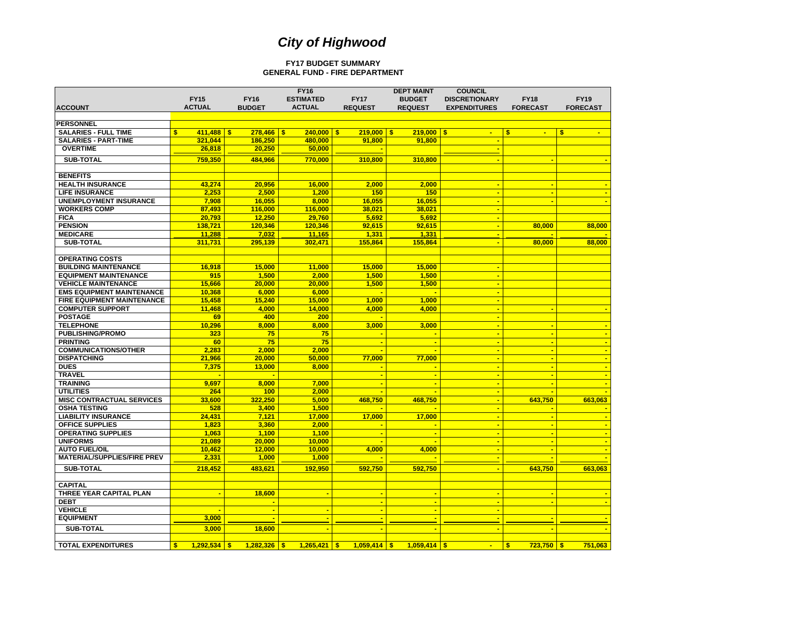#### **FY17 BUDGET SUMMARYGENERAL FUND - FIRE DEPARTMENT**

|                                    |                       |                | <b>FY16</b>              |                | <b>DEPT MAINT</b> | <b>COUNCIL</b>       |                                         |                 |
|------------------------------------|-----------------------|----------------|--------------------------|----------------|-------------------|----------------------|-----------------------------------------|-----------------|
|                                    | <b>FY15</b>           | <b>FY16</b>    | <b>ESTIMATED</b>         | <b>FY17</b>    | <b>BUDGET</b>     | <b>DISCRETIONARY</b> | <b>FY18</b>                             | <b>FY19</b>     |
| <b>ACCOUNT</b>                     | <b>ACTUAL</b>         | <b>BUDGET</b>  | <b>ACTUAL</b>            | <b>REQUEST</b> | <b>REQUEST</b>    | <b>EXPENDITURES</b>  | <b>FORECAST</b>                         | <b>FORECAST</b> |
|                                    |                       |                |                          |                |                   |                      |                                         |                 |
| <b>PERSONNEL</b>                   |                       |                |                          |                |                   |                      |                                         |                 |
| <b>SALARIES - FULL TIME</b>        | \$<br>$411.488$ S     | $278,466$ \$   | $240,000$ \$             | $219,000$ \$   | $219,000$ \$      | ÷                    | \$<br>$\blacksquare$                    | \$              |
| <b>SALARIES - PART-TIME</b>        | 321,044               | 186.250        | 480,000                  | 91,800         | 91,800            | ٠                    |                                         |                 |
| <b>OVERTIME</b>                    | 26,818                | 20,250         | 50,000                   |                |                   | ÷                    |                                         |                 |
| <b>SUB-TOTAL</b>                   | 759,350               | 484,966        | 770,000                  | 310.800        | 310,800           | ×                    |                                         |                 |
|                                    |                       |                |                          |                |                   |                      |                                         |                 |
| <b>BENEFITS</b>                    |                       |                |                          |                |                   |                      |                                         |                 |
| <b>HEALTH INSURANCE</b>            | 43,274                | 20,956         | 16,000                   | 2,000          | 2,000             | ÷                    |                                         |                 |
| <b>LIFE INSURANCE</b>              | 2,253                 | 2,500          | 1,200                    | 150            | 150               | ÷                    | ÷                                       |                 |
| <b>UNEMPLOYMENT INSURANCE</b>      | 7,908                 | 16,055         | 8,000                    | 16,055         | 16,055            | $\blacksquare$       |                                         |                 |
| <b>WORKERS COMP</b>                | 87,493                | 116,000        | 116,000                  | 38,021         | 38,021            | $\blacksquare$       |                                         |                 |
| <b>FICA</b>                        | 20,793                | 12,250         | 29,760                   | 5,692          | 5,692             | ٠                    |                                         |                 |
| <b>PENSION</b>                     | 138.721               | 120.346        | 120.346                  | 92.615         | 92.615            | $\blacksquare$       | 80,000                                  | 88,000          |
| <b>MEDICARE</b>                    | 11,288                | 7,032          | 11,165                   | 1,331          | 1,331             | ÷                    |                                         |                 |
| <b>SUB-TOTAL</b>                   | 311,731               | 295,139        | 302,471                  | 155,864        | 155,864           | $\blacksquare$       | 80,000                                  | 88,000          |
|                                    |                       |                |                          |                |                   |                      |                                         |                 |
| <b>OPERATING COSTS</b>             |                       |                |                          |                |                   |                      |                                         |                 |
| <b>BUILDING MAINTENANCE</b>        | 16,918                | 15,000         | 11,000                   | 15,000         | 15,000            | $\blacksquare$       |                                         |                 |
| <b>EQUIPMENT MAINTENANCE</b>       | 915                   | 1,500          | 2.000                    | 1,500          | 1,500             | ÷                    |                                         |                 |
| <b>VEHICLE MAINTENANCE</b>         | 15.666                | 20,000         | 20,000                   | 1,500          | 1,500             | $\blacksquare$       |                                         |                 |
| <b>EMS EQUIPMENT MAINTENANCE</b>   | 10,368                | 6,000          | 6,000                    |                |                   | $\blacksquare$       |                                         |                 |
| <b>FIRE EQUIPMENT MAINTENANCE</b>  | 15,458                | 15,240         | 15,000                   | 1,000          | 1,000             | ÷                    |                                         |                 |
| <b>COMPUTER SUPPORT</b>            | 11.468                | 4,000          | 14,000                   | 4,000          | 4,000             | $\blacksquare$       |                                         |                 |
| <b>POSTAGE</b>                     | 69                    | 400            | 200                      |                |                   | ٠                    |                                         |                 |
| <b>TELEPHONE</b>                   | 10,296                | 8,000          | 8,000                    | 3,000          | 3,000             | $\blacksquare$       | ÷                                       |                 |
| <b>PUBLISHING/PROMO</b>            | 323                   | 75             | 75                       |                |                   | $\blacksquare$       |                                         |                 |
| <b>PRINTING</b>                    | 60                    | 75             | 75                       |                |                   |                      |                                         |                 |
| <b>COMMUNICATIONS/OTHER</b>        | 2,283                 | 2,000          | 2,000                    |                |                   | ÷                    |                                         |                 |
| <b>DISPATCHING</b>                 | 21,966                | 20,000         | 50.000                   | 77,000         | 77,000            | $\blacksquare$       |                                         | ٠               |
| <b>DUES</b>                        | 7,375                 | 13,000         | 8,000                    |                |                   | $\blacksquare$       |                                         |                 |
| <b>TRAVEL</b>                      |                       |                |                          |                |                   | ÷                    |                                         |                 |
| <b>TRAINING</b>                    | 9,697                 | 8.000          | 7.000                    | ٠              | ÷                 | $\blacksquare$       |                                         |                 |
| <b>UTILITIES</b>                   | 264                   | 100            | 2,000                    |                |                   | ÷                    |                                         |                 |
| <b>MISC CONTRACTUAL SERVICES</b>   | 33.600                | 322.250        | 5.000                    | 468.750        | 468.750           | ÷                    | 643,750                                 | 663.063         |
| <b>OSHA TESTING</b>                | 528                   | 3,400          | 1,500                    |                |                   | $\blacksquare$       |                                         |                 |
| <b>LIABILITY INSURANCE</b>         | 24,431                | 7,121          | 17,000                   | 17,000         | 17,000            | $\blacksquare$       |                                         |                 |
| <b>OFFICE SUPPLIES</b>             | 1.823                 | 3.360          | 2.000                    |                |                   | $\blacksquare$       |                                         |                 |
| <b>OPERATING SUPPLIES</b>          | 1,063                 | 1,100          | 1,100                    | ÷              | ÷                 | $\blacksquare$       |                                         |                 |
| <b>UNIFORMS</b>                    | 21,089                | 20,000         | 10,000                   |                |                   | $\blacksquare$       |                                         |                 |
| <b>AUTO FUEL/OIL</b>               | 10.462                | 12,000         | 10.000                   | 4.000          | 4.000             | $\blacksquare$       |                                         |                 |
| <b>MATERIAL/SUPPLIES/FIRE PREV</b> | 2,331                 | 1,000          | 1,000                    |                |                   | ÷                    |                                         |                 |
|                                    |                       |                |                          |                |                   |                      |                                         |                 |
| <b>SUB-TOTAL</b>                   | 218,452               | 483,621        | 192,950                  | 592,750        | 592,750           | ÷                    | 643,750                                 | 663,063         |
|                                    |                       |                |                          |                |                   |                      |                                         |                 |
| <b>CAPITAL</b>                     |                       |                |                          |                |                   |                      |                                         |                 |
| THREE YEAR CAPITAL PLAN            |                       | 18,600         | $\overline{\phantom{a}}$ | $\blacksquare$ |                   | $\blacksquare$       | <b>.</b>                                |                 |
| <b>DEBT</b>                        |                       |                |                          | $\blacksquare$ |                   | $\blacksquare$       |                                         |                 |
| <b>VEHICLE</b>                     | ٠                     | $\blacksquare$ | $\sim$                   | $\blacksquare$ | ÷                 | $\blacksquare$       |                                         |                 |
| <b>EQUIPMENT</b>                   | 3,000                 |                |                          |                |                   |                      |                                         |                 |
| <b>SUB-TOTAL</b>                   | 3.000                 | 18,600         |                          |                |                   |                      |                                         |                 |
|                                    |                       |                |                          |                |                   |                      |                                         |                 |
| <b>TOTAL EXPENDITURES</b>          | \$.<br>$1,292,534$ \$ | $1,282,326$ \$ | $1,265,421$ \$           | $1,059,414$ \$ | $1.059.414$ S     | ÷                    | $\overline{\mathbf{s}}$<br>$723,750$ \$ | 751.063         |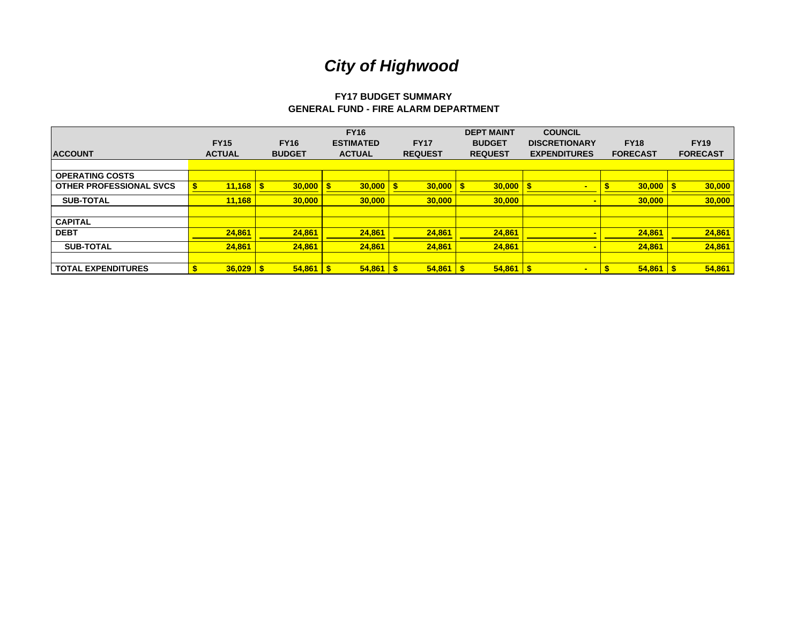# **FY17 BUDGET SUMMARYGENERAL FUND - FIRE ALARM DEPARTMENT**

|                                |               |               |             | <b>FY16</b>      |                | <b>DEPT MAINT</b> | <b>COUNCIL</b>       |                 |                 |
|--------------------------------|---------------|---------------|-------------|------------------|----------------|-------------------|----------------------|-----------------|-----------------|
|                                | <b>FY15</b>   | <b>FY16</b>   |             | <b>ESTIMATED</b> | <b>FY17</b>    | <b>BUDGET</b>     | <b>DISCRETIONARY</b> | <b>FY18</b>     | <b>FY19</b>     |
| <b>ACCOUNT</b>                 | <b>ACTUAL</b> | <b>BUDGET</b> |             | <b>ACTUAL</b>    | <b>REQUEST</b> | <b>REQUEST</b>    | <b>EXPENDITURES</b>  | <b>FORECAST</b> | <b>FORECAST</b> |
|                                |               |               |             |                  |                |                   |                      |                 |                 |
| <b>OPERATING COSTS</b>         |               |               |             |                  |                |                   |                      |                 |                 |
| <b>OTHER PROFESSIONAL SVCS</b> | 11,168        |               | $30,000$ \$ | 30,000           | 30,000         | 30,000            | $\blacksquare$       | 30,000          | 30,000          |
| <b>SUB-TOTAL</b>               | 11,168        |               | 30,000      | 30,000           | 30,000         | 30,000            | $\blacksquare$       | 30,000          | 30,000          |
|                                |               |               |             |                  |                |                   |                      |                 |                 |
| <b>CAPITAL</b>                 |               |               |             |                  |                |                   |                      |                 |                 |
| <b>DEBT</b>                    | 24,861        |               | 24,861      | 24,861           | 24,861         | 24,861            |                      | 24,861          | 24,861          |
| <b>SUB-TOTAL</b>               | 24,861        |               | 24.861      | 24.861           | 24,861         | 24.861            |                      | 24.861          | 24,861          |
|                                |               |               |             |                  |                |                   |                      |                 |                 |
| <b>TOTAL EXPENDITURES</b>      | $36,029$ \$   |               | $54,861$ \$ | 54,861           | $54,861$ \$    | $54,861$ \$       | $\blacksquare$       | 54,861          | 54,861          |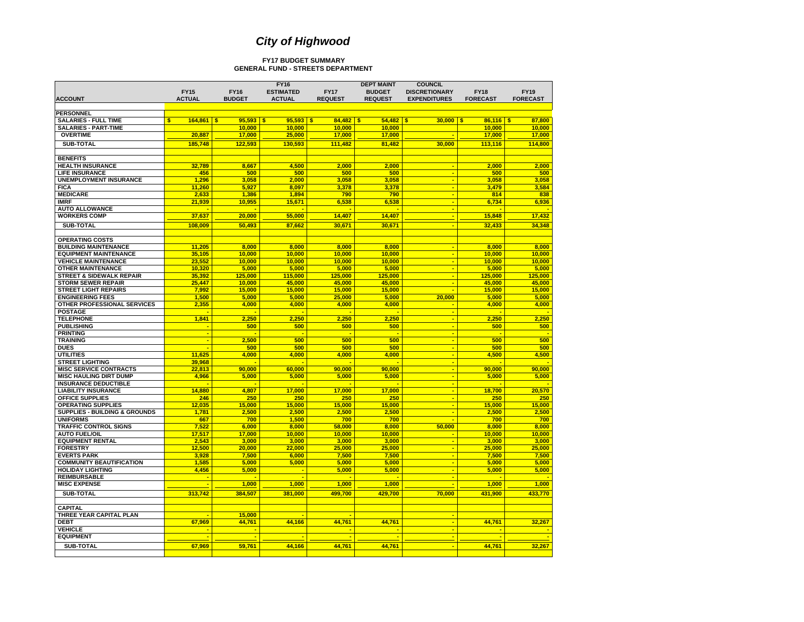#### **FY17 BUDGET SUMMARY GENERAL FUND - STREETS DEPARTMENT**

|                                                        |                 |                        | <b>FY16</b>           |                        | <b>DEPT MAINT</b>      | <b>COUNCIL</b>       |                              |                  |
|--------------------------------------------------------|-----------------|------------------------|-----------------------|------------------------|------------------------|----------------------|------------------------------|------------------|
|                                                        | <b>FY15</b>     | <b>FY16</b>            | <b>ESTIMATED</b>      | <b>FY17</b>            | <b>BUDGET</b>          | <b>DISCRETIONARY</b> | <b>FY18</b>                  | <b>FY19</b>      |
| <b>ACCOUNT</b>                                         | <b>ACTUAL</b>   | <b>BUDGET</b>          | <b>ACTUAL</b>         | <b>REQUEST</b>         | <b>REQUEST</b>         | <b>EXPENDITURES</b>  | <b>FORECAST</b>              | <b>FORECAST</b>  |
|                                                        |                 |                        |                       |                        |                        |                      |                              |                  |
| <b>PERSONNEL</b>                                       |                 |                        |                       |                        |                        |                      |                              |                  |
| <b>SALARIES - FULL TIME</b>                            | \$<br>164,861   | 95,593<br>\$<br>10.000 | S<br>95,593<br>10.000 | 84,482<br>$\mathbf{s}$ | \$<br>54,482<br>10.000 | 30,000<br>-\$        | \$.<br>$86,116$ \$<br>10.000 | 87,800<br>10.000 |
| <b>SALARIES - PART-TIME</b><br><b>OVERTIME</b>         | 20,887          | 17,000                 |                       | 10.000                 |                        |                      |                              | 17,000           |
|                                                        |                 |                        | 25,000                | 17,000                 | 17,000                 |                      | 17,000                       |                  |
| <b>SUB-TOTAL</b>                                       | 185,748         | 122,593                | 130,593               | 111,482                | 81,482                 | 30,000               | 113,116                      | 114,800          |
|                                                        |                 |                        |                       |                        |                        |                      |                              |                  |
| <b>BENEFITS</b>                                        |                 |                        |                       |                        |                        |                      |                              |                  |
| <b>HEALTH INSURANCE</b>                                | 32,789          | 8.667                  | 4.500                 | 2.000                  | 2.000                  | ÷                    | 2.000                        | 2.000            |
| <b>LIFE INSURANCE</b><br><b>UNEMPLOYMENT INSURANCE</b> | 456             | 500                    | 500                   | 500                    | 500                    | ÷<br>÷               | 500                          | 500<br>3,058     |
| <b>FICA</b>                                            | 1,296<br>11,260 | 3,058<br>5.927         | 2,000<br>8.097        | 3,058<br>3.378         | 3,058<br>3,378         | ÷                    | 3,058<br>3,479               | 3,584            |
| <b>MEDICARE</b>                                        | 2,633           | 1,386                  | 1.894                 | 790                    | 790                    | ÷                    | 814                          | 838              |
| <b>IMRF</b>                                            | 21,939          | 10,955                 | 15,671                | 6,538                  | 6,538                  | $\blacksquare$       | 6,734                        | 6,936            |
| <b>AUTO ALLOWANCE</b>                                  |                 |                        |                       |                        | ÷                      | ÷                    |                              |                  |
| <b>WORKERS COMP</b>                                    | 37.637          | 20.000                 | 55,000                | 14.407                 | 14.407                 | ÷                    | 15.848                       | 17.432           |
| SUB-TOTAL                                              |                 | 50,493                 |                       | 30,671                 |                        |                      |                              | 34,348           |
|                                                        | 108,009         |                        | 87,662                |                        | 30,671                 |                      | 32,433                       |                  |
| <b>OPERATING COSTS</b>                                 |                 |                        |                       |                        |                        |                      |                              |                  |
| <b>BUILDING MAINTENANCE</b>                            | 11,205          | 8.000                  | 8.000                 | 8.000                  | 8.000                  | ×                    | 8.000                        | 8,000            |
| <b>EQUIPMENT MAINTENANCE</b>                           | 35.105          | 10.000                 | 10,000                | 10.000                 | 10.000                 | ÷                    | 10.000                       | 10.000           |
| <b>VEHICLE MAINTENANCE</b>                             | 23,552          | 10.000                 | 10.000                | 10,000                 | 10.000                 | ×                    | 10.000                       | 10.000           |
| <b>OTHER MAINTENANCE</b>                               | 10,320          | 5,000                  | 5,000                 | 5,000                  | 5,000                  | ÷                    | 5,000                        | 5,000            |
| <b>STREET &amp; SIDEWALK REPAIR</b>                    | 35,392          | 125,000                | 115,000               | 125,000                | 125,000                | ÷,                   | 125,000                      | 125,000          |
| <b>STORM SEWER REPAIR</b>                              | 25,447          | 10.000                 | 45,000                | 45,000                 | 45.000                 | ÷                    | 45.000                       | 45.000           |
| <b>STREET LIGHT REPAIRS</b>                            | 7.992           | 15.000                 | 15.000                | 15.000                 | 15.000                 |                      | 15,000                       | 15,000           |
| <b>ENGINEERING FEES</b>                                | 1,500           | 5,000                  | 5,000                 | 25,000                 | 5,000                  | 20,000               | 5,000                        | 5,000            |
| OTHER PROFESSIONAL SERVICES                            | 2,355           | 4,000                  | 4,000                 | 4,000                  | 4,000                  |                      | 4,000                        | 4,000            |
| <b>POSTAGE</b>                                         |                 | ÷                      | ٠                     |                        | ÷                      | ÷                    |                              |                  |
| <b>TELEPHONE</b>                                       | 1,841           | 2,250                  | 2,250                 | 2,250                  | 2,250                  | $\blacksquare$       | 2,250                        | 2,250            |
| <b>PUBLISHING</b>                                      |                 | 500                    | 500                   | 500                    | 500                    | $\blacksquare$       | 500                          | 500              |
| <b>PRINTING</b>                                        |                 |                        |                       |                        |                        | ÷                    |                              |                  |
| <b>TRAINING</b>                                        |                 | 2.500                  | 500                   | 500                    | 500                    | ÷                    | 500                          | 500              |
| <b>DUES</b>                                            |                 | 500                    | 500                   | 500                    | 500                    | ÷                    | 500                          | 500              |
| <b>UTILITIES</b>                                       | 11.625          | 4.000                  | 4.000                 | 4.000                  | 4.000                  | $\blacksquare$       | 4.500                        | 4,500            |
| <b>STREET LIGHTING</b>                                 | 39,968          |                        |                       |                        |                        | ÷                    |                              |                  |
| <b>MISC SERVICE CONTRACTS</b>                          | 22,813          | 90.000                 | 60,000                | 90,000                 | 90,000                 | ÷                    | 90.000                       | 90,000           |
| <b>MISC HAULING DIRT DUMP</b>                          | 4,966           | 5,000                  | 5,000                 | 5,000                  | 5,000                  | $\blacksquare$       | 5,000                        | 5,000            |
| <b>INSURANCE DEDUCTIBLE</b>                            |                 |                        |                       |                        |                        | ×                    |                              |                  |
| <b>LIABILITY INSURANCE</b>                             | 14.880          | 4.807                  | 17,000                | 17,000                 | 17,000                 | ÷                    | 18,700                       | 20.570           |
| OFFICE SUPPLIES<br><b>OPERATING SUPPLIES</b>           | 246<br>12,035   | 250<br>15,000          | 250<br>15,000         | 250<br>15,000          | 250<br>15,000          | ÷                    | 250<br>15,000                | 250<br>15,000    |
| <b>SUPPLIES - BUILDING &amp; GROUNDS</b>               | 1.781           | 2.500                  | 2,500                 | 2.500                  | 2.500                  | $\blacksquare$<br>×  | 2.500                        | 2,500            |
| <b>UNIFORMS</b>                                        | 667             | 700                    | 1,500                 | 700                    | 700                    | ÷                    | 700                          | 700              |
| <b>TRAFFIC CONTROL SIGNS</b>                           | 7,522           | 6,000                  | 8,000                 | 58,000                 | 8,000                  | 50,000               | 8,000                        | 8,000            |
| <b>AUTO FUEL/OIL</b>                                   | 17,517          | 17,000                 | 10,000                | 10,000                 | 10,000                 | ÷                    | 10,000                       | 10,000           |
| <b>EQUIPMENT RENTAL</b>                                | 2,543           | 3,000                  | 3,000                 | 3,000                  | 3,000                  | ÷                    | 3,000                        | 3,000            |
| <b>FORESTRY</b>                                        | 12,500          | 20.000                 | 22.000                | 25.000                 | 25.000                 | ÷                    | 25.000                       | 25.000           |
| <b>EVERTS PARK</b>                                     | 3,928           | 7,500                  | 6,000                 | 7,500                  | 7,500                  | ÷                    | 7,500                        | 7,500            |
| <b>COMMUNITY BEAUTIFICATION</b>                        | 1,585           | 5,000                  | 5,000                 | 5,000                  | 5,000                  | ÷                    | 5,000                        | 5,000            |
| <b>HOLIDAY LIGHTING</b>                                | 4,456           | 5,000                  |                       | 5,000                  | 5,000                  | ÷                    | 5.000                        | 5,000            |
| <b>REIMBURSABLE</b>                                    |                 |                        |                       |                        |                        |                      |                              |                  |
| <b>MISC EXPENSE</b>                                    |                 | 1,000                  | 1,000                 | 1,000                  | 1,000                  |                      | 1,000                        | 1,000            |
| <b>SUB-TOTAL</b>                                       | 313,742         | 384,507                | 381,000               | 499,700                | 429,700                | 70,000               | 431,900                      | 433,770          |
|                                                        |                 |                        |                       |                        |                        |                      |                              |                  |
| <b>CAPITAL</b>                                         |                 |                        |                       |                        |                        |                      |                              |                  |
| THREE YEAR CAPITAL PLAN                                |                 | 15.000                 |                       |                        |                        |                      |                              |                  |
| <b>DEBT</b>                                            | 67,969          | 44,761                 | 44,166                | 44,761                 | 44,761                 | ÷                    | 44,761                       | 32,267           |
| <b>VEHICLE</b>                                         |                 |                        |                       |                        |                        | ÷                    |                              |                  |
| <b>EQUIPMENT</b>                                       |                 |                        |                       |                        |                        |                      |                              |                  |
| SUB-TOTAL                                              | 67,969          | 59,761                 | 44,166                | 44,761                 | 44,761                 |                      | 44,761                       | 32,267           |
|                                                        |                 |                        |                       |                        |                        |                      |                              |                  |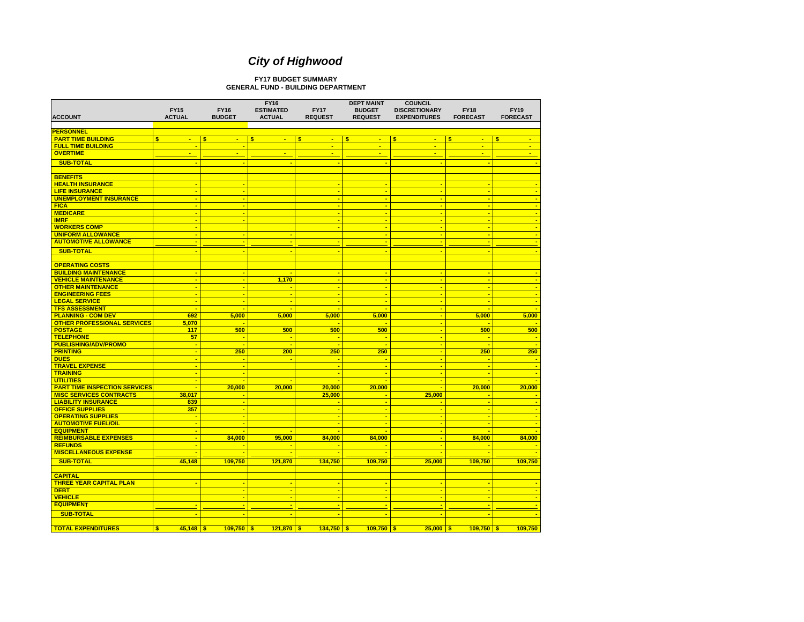#### **FY17 BUDGET SUMMARYGENERAL FUND - BUILDING DEPARTMENT**

| <b>ACCOUNT</b>                       | <b>FY15</b><br><b>ACTUAL</b> |                | <b>FY16</b><br><b>BUDGET</b> | <b>FY16</b><br><b>ESTIMATED</b><br><b>ACTUAL</b> | <b>FY17</b><br><b>REQUEST</b> | <b>DEPT MAINT</b><br><b>BUDGET</b><br><b>REQUEST</b> |    | <b>COUNCIL</b><br><b>DISCRETIONARY</b><br><b>EXPENDITURES</b> | <b>FY18</b><br><b>FORECAST</b> | <b>FY19</b><br><b>FORECAST</b> |
|--------------------------------------|------------------------------|----------------|------------------------------|--------------------------------------------------|-------------------------------|------------------------------------------------------|----|---------------------------------------------------------------|--------------------------------|--------------------------------|
| <b>PERSONNEL</b>                     |                              |                |                              |                                                  |                               |                                                      |    |                                                               |                                |                                |
|                                      |                              |                |                              |                                                  |                               |                                                      |    |                                                               |                                |                                |
| <b>PART TIME BUILDING</b>            | $\mathbf{s}$<br>$\sim$       |                | s.<br>$\blacksquare$         | \$<br>$\blacksquare$                             | \$<br>$\sim$<br>$\sim$        | s<br>$\blacksquare$                                  | S. | $\mathbf{u}$                                                  | S<br>$\mathbf{u}$<br>÷         | s.<br>$\sim$<br>÷              |
| <b>FULL TIME BUILDING</b>            |                              |                |                              |                                                  |                               | $\blacksquare$                                       |    | $\blacksquare$                                                |                                |                                |
| <b>OVERTIME</b>                      | $\blacksquare$               |                | $\blacksquare$               | $\blacksquare$                                   | $\blacksquare$                | $\blacksquare$                                       |    | $\blacksquare$                                                | $\mathbf{r}$                   | $\frac{1}{2}$                  |
| <b>SUB-TOTAL</b>                     |                              |                |                              | ٠                                                |                               |                                                      |    |                                                               |                                |                                |
|                                      |                              |                |                              |                                                  |                               |                                                      |    |                                                               |                                |                                |
| <b>BENEFITS</b>                      |                              |                |                              |                                                  |                               |                                                      |    |                                                               |                                |                                |
| <b>HEALTH INSURANCE</b>              |                              | $\blacksquare$ | ÷                            |                                                  | $\blacksquare$                | ÷                                                    |    | ÷                                                             | ۰.                             |                                |
| <b>LIFE INSURANCE</b>                |                              | $\blacksquare$ | $\blacksquare$               |                                                  | ٠.                            | ×                                                    |    | $\blacksquare$                                                |                                |                                |
| <b>UNEMPLOYMENT INSURANCE</b>        |                              | ÷              | ÷                            |                                                  | <b>.</b>                      | ÷                                                    |    | $\blacksquare$                                                |                                |                                |
| <b>FICA</b>                          |                              | ÷              | ÷                            |                                                  |                               | ÷                                                    |    | ÷                                                             |                                |                                |
| <b>MEDICARE</b>                      |                              |                | $\blacksquare$               |                                                  | $\blacksquare$                | ٠                                                    |    | ÷                                                             |                                |                                |
| <b>IMRF</b>                          |                              | $\blacksquare$ | $\blacksquare$               |                                                  | ۰.                            | ÷                                                    |    | $\blacksquare$                                                | ٠.                             | ÷                              |
| <b>WORKERS COMP</b>                  |                              |                |                              |                                                  |                               | ٠.                                                   |    | ÷                                                             |                                |                                |
| <b>UNIFORM ALLOWANCE</b>             |                              | ÷              | ÷                            | ÷                                                |                               | ×                                                    |    | ٠                                                             |                                |                                |
| <b>AUTOMOTIVE ALLOWANCE</b>          |                              | ÷              | ÷.                           | ÷                                                | ÷                             | ٠                                                    |    | $\blacksquare$                                                |                                |                                |
| <b>SUB-TOTAL</b>                     |                              |                |                              | ÷                                                |                               |                                                      |    | ÷                                                             |                                |                                |
|                                      |                              |                |                              |                                                  |                               |                                                      |    |                                                               |                                |                                |
| <b>OPERATING COSTS</b>               |                              |                |                              |                                                  |                               |                                                      |    |                                                               |                                |                                |
| <b>BUILDING MAINTENANCE</b>          |                              |                |                              | ÷                                                | $\blacksquare$                | ÷                                                    |    | $\blacksquare$                                                | $\blacksquare$                 |                                |
| <b>VEHICLE MAINTENANCE</b>           |                              | $\blacksquare$ | $\blacksquare$               | 1.170                                            | $\blacksquare$                | $\blacksquare$                                       |    | $\blacksquare$                                                | $\blacksquare$                 | $\blacksquare$                 |
| <b>OTHER MAINTENANCE</b>             |                              | $\blacksquare$ | ÷                            | ÷                                                | $\blacksquare$                | ×                                                    |    | ×                                                             | $\blacksquare$                 | $\blacksquare$                 |
| <b>ENGINEERING FEES</b>              |                              | ×.             | ×.                           | ÷                                                | $\overline{\phantom{a}}$      | $\blacksquare$                                       |    | $\blacksquare$                                                | $\overline{\phantom{a}}$       | $\overline{\phantom{a}}$       |
| <b>LEGAL SERVICE</b>                 |                              | ÷              | $\blacksquare$               | $\blacksquare$                                   | ÷                             | ×                                                    |    | ×                                                             | $\blacksquare$                 | $\blacksquare$                 |
| <b>TFS ASSESSMENT</b>                |                              | ÷              |                              |                                                  |                               |                                                      |    | ÷                                                             |                                |                                |
| <b>PLANNING - COM DEV</b>            |                              | 692            | 5,000                        | 5,000                                            | 5,000                         | 5,000                                                |    | ÷                                                             | 5,000                          | 5,000                          |
| <b>OTHER PROFESSIONAL SERVICES</b>   | 5,070                        |                |                              |                                                  | ٠.                            |                                                      |    | $\blacksquare$                                                | ×.                             |                                |
| <b>POSTAGE</b>                       |                              | 117            | 500                          | 500                                              | 500                           | 500                                                  |    | $\blacksquare$                                                | 500                            | 500                            |
| <b>TELEPHONE</b>                     |                              | 57             | ٠.                           | ٠.                                               | ٠                             | ÷                                                    |    | $\blacksquare$                                                | ٠.                             |                                |
| <b>PUBLISHING/ADV/PROMO</b>          |                              | $\blacksquare$ | $\blacksquare$               | $\blacksquare$                                   | ۰.                            | $\blacksquare$                                       |    | ÷                                                             | $\blacksquare$                 |                                |
| <b>PRINTING</b>                      |                              | ×.             | 250                          | 200                                              | 250                           | 250                                                  |    | $\blacksquare$                                                | 250                            | 250                            |
| <b>DUES</b>                          |                              | ÷              | ÷.                           | ÷                                                | ÷                             | ×                                                    |    | ÷                                                             | ×.                             |                                |
| <b>TRAVEL EXPENSE</b>                |                              | ×.             | ÷.                           |                                                  |                               | ÷                                                    |    | ÷                                                             | ×.                             |                                |
| <b>TRAINING</b>                      |                              | ÷              | $\blacksquare$               |                                                  | ÷                             | $\blacksquare$                                       |    | ÷                                                             |                                |                                |
| <b>UTILITIES</b>                     |                              | $\blacksquare$ | ٠.                           | ÷                                                | ÷                             | ÷                                                    |    | $\blacksquare$                                                | ٠.                             |                                |
| <b>PART TIME INSPECTION SERVICES</b> |                              | ÷              | 20,000                       | 20,000                                           | 20,000                        | 20,000                                               |    | ٠                                                             | 20,000                         | 20,000                         |
| <b>MISC SERVICES CONTRACTS</b>       | 38.017                       |                |                              |                                                  | 25.000                        |                                                      |    | 25,000                                                        | ٠.                             |                                |
| <b>LIABILITY INSURANCE</b>           |                              | 839            | ×.                           |                                                  |                               | ÷                                                    |    |                                                               | $\blacksquare$                 | ×                              |
| <b>OFFICE SUPPLIES</b>               |                              | 357            | ×.                           |                                                  |                               | ÷                                                    |    | ÷                                                             | ×.                             |                                |
| <b>OPERATING SUPPLIES</b>            |                              | ÷              | ×.                           |                                                  |                               | ÷                                                    |    | ٠                                                             | ×.                             |                                |
| <b>AUTOMOTIVE FUEL/OIL</b>           |                              |                | ÷                            |                                                  |                               | ×                                                    |    | ٠                                                             |                                |                                |
| <b>EQUIPMENT</b>                     |                              | ÷              | ÷                            | ÷                                                |                               | ÷                                                    |    | ٠                                                             |                                |                                |
| <b>REIMBURSABLE EXPENSES</b>         |                              | $\blacksquare$ | 84,000                       | 95,000                                           | 84,000                        | 84.000                                               |    | ۰.                                                            | 84,000                         | 84,000                         |
| <b>REFUNDS</b>                       |                              | ÷              | ÷                            | $\blacksquare$                                   | ٠.                            |                                                      |    | ٠                                                             | ÷                              |                                |
| <b>MISCELLANEOUS EXPENSE</b>         |                              |                |                              | ٠                                                |                               |                                                      |    |                                                               |                                |                                |
|                                      |                              |                |                              |                                                  |                               |                                                      |    |                                                               |                                |                                |
| <b>SUB-TOTAL</b>                     | 45,148                       |                | 109,750                      | 121,870                                          | 134,750                       | 109,750                                              |    | 25,000                                                        | 109,750                        | 109.750                        |
|                                      |                              |                |                              |                                                  |                               |                                                      |    |                                                               |                                |                                |
| <b>CAPITAL</b>                       |                              |                |                              |                                                  |                               |                                                      |    |                                                               |                                |                                |
| <b>THREE YEAR CAPITAL PLAN</b>       |                              |                |                              | $\blacksquare$                                   | $\blacksquare$                | ÷                                                    |    |                                                               |                                |                                |
| <b>DEBT</b>                          |                              |                |                              | ÷                                                | ÷                             | ÷                                                    |    | ÷                                                             |                                |                                |
| <b>VEHICLE</b>                       |                              |                |                              | ÷                                                |                               | $\blacksquare$                                       |    | ٠                                                             |                                |                                |
| <b>EQUIPMENT</b>                     |                              |                |                              |                                                  |                               |                                                      |    |                                                               |                                |                                |
| <b>SUB-TOTAL</b>                     |                              |                |                              |                                                  |                               |                                                      |    |                                                               |                                |                                |
|                                      |                              |                |                              |                                                  |                               |                                                      |    |                                                               |                                |                                |
| <b>TOTAL EXPENDITURES</b>            | $\bullet$<br>$45,148$ \$     |                | $109,750$ \$                 | $121,870$ \$                                     | $134,750$ \$                  | $109,750$ \$                                         |    | $25,000$ \$                                                   | $109,750$ \$                   | 109,750                        |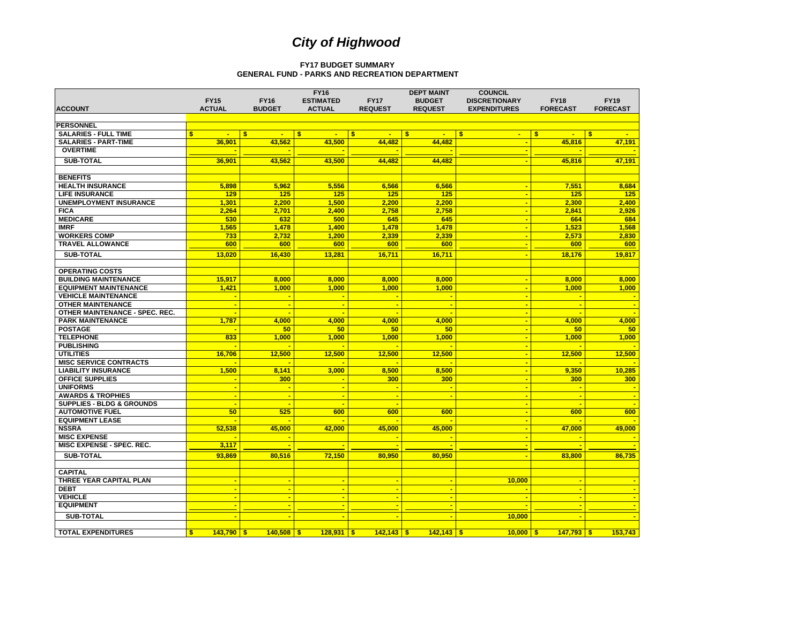#### **FY17 BUDGET SUMMARYGENERAL FUND - PARKS AND RECREATION DEPARTMENT**

|                                                  |                      |                                | <b>FY16</b>                  |                                | <b>DEPT MAINT</b> | <b>COUNCIL</b>               |                                |                              |
|--------------------------------------------------|----------------------|--------------------------------|------------------------------|--------------------------------|-------------------|------------------------------|--------------------------------|------------------------------|
|                                                  | <b>FY15</b>          | <b>FY16</b>                    | <b>ESTIMATED</b>             | <b>FY17</b>                    | <b>BUDGET</b>     | <b>DISCRETIONARY</b>         | <b>FY18</b>                    | <b>FY19</b>                  |
| <b>ACCOUNT</b>                                   | <b>ACTUAL</b>        | <b>BUDGET</b>                  | <b>ACTUAL</b>                | <b>REQUEST</b>                 | <b>REQUEST</b>    | <b>EXPENDITURES</b>          | <b>FORECAST</b>                | <b>FORECAST</b>              |
|                                                  |                      |                                |                              |                                |                   |                              |                                |                              |
| <b>PERSONNEL</b>                                 |                      |                                |                              |                                |                   |                              |                                |                              |
| <b>SALARIES - FULL TIME</b>                      | \$<br>$\blacksquare$ | $\mathbf{s}$<br>$\blacksquare$ | $\mathbf{s}$<br>$\mathbf{r}$ | $\mathbf{s}$<br>$\blacksquare$ | s.<br>$\sim$      | $\mathbf{s}$<br>$\mathbf{u}$ | $\mathbf{s}$<br>$\blacksquare$ | $\mathbf{s}$<br>$\mathbf{m}$ |
| <b>SALARIES - PART-TIME</b>                      | 36.901               | 43,562                         | 43,500                       | 44,482                         | 44,482            |                              | 45,816                         | 47,191                       |
| <b>OVERTIME</b>                                  |                      |                                |                              |                                |                   |                              |                                |                              |
| <b>SUB-TOTAL</b>                                 | 36.901               | 43.562                         | 43.500                       | 44.482                         | 44.482            | $\blacksquare$               | 45.816                         | 47.191                       |
|                                                  |                      |                                |                              |                                |                   |                              |                                |                              |
| <b>BENEFITS</b>                                  |                      |                                |                              |                                |                   |                              |                                |                              |
|                                                  |                      |                                |                              |                                |                   | ÷                            |                                |                              |
| <b>HEALTH INSURANCE</b><br><b>LIFE INSURANCE</b> | 5.898<br>129         | 5.962<br>125                   | 5.556<br>125                 | 6.566<br>125                   | 6.566<br>125      | <b>.</b>                     | 7.551<br>125                   | 8.684<br>125                 |
|                                                  |                      |                                |                              |                                |                   |                              |                                |                              |
| <b>UNEMPLOYMENT INSURANCE</b>                    | 1,301                | 2,200                          | 1,500                        | 2,200                          | 2,200             | $\blacksquare$               | 2,300                          | 2,400                        |
| <b>FICA</b>                                      | 2,264                | 2,701                          | 2.400                        | 2,758                          | 2.758             | $\blacksquare$               | 2,841                          | 2,926                        |
| <b>MEDICARE</b>                                  | 530                  | 632                            | 500                          | 645                            | 645               | $\blacksquare$               | 664                            | 684                          |
| <b>IMRF</b>                                      | 1,565                | 1,478                          | 1,400                        | 1,478                          | 1,478             | $\blacksquare$               | 1,523                          | 1,568                        |
| <b>WORKERS COMP</b>                              | 733                  | 2.732                          | 1.200                        | 2.339                          | 2.339             | $\overline{\phantom{a}}$     | 2.573                          | 2.830                        |
| <b>TRAVEL ALLOWANCE</b>                          | 600                  | 600                            | 600                          | 600                            | 600               | ÷                            | 600                            | 600                          |
| <b>SUB-TOTAL</b>                                 | 13,020               | 16,430                         | 13,281                       | 16,711                         | 16,711            |                              | 18,176                         | 19,817                       |
|                                                  |                      |                                |                              |                                |                   |                              |                                |                              |
| <b>OPERATING COSTS</b>                           |                      |                                |                              |                                |                   |                              |                                |                              |
| <b>BUILDING MAINTENANCE</b>                      | 15,917               | 8,000                          | 8,000                        | 8,000                          | 8.000             | $\blacksquare$               | 8.000                          | 8,000                        |
| <b>EQUIPMENT MAINTENANCE</b>                     | 1,421                | 1,000                          | 1,000                        | 1.000                          | 1,000             | $\blacksquare$               | 1,000                          | 1,000                        |
| <b>VEHICLE MAINTENANCE</b>                       |                      | ÷                              | ÷                            |                                |                   | ×.                           |                                |                              |
| <b>OTHER MAINTENANCE</b>                         | ٠.                   | ÷                              | $\blacksquare$               | ۰.                             | ×.                | $\blacksquare$               |                                |                              |
| <b>OTHER MAINTENANCE - SPEC, REC.</b>            | ÷                    | ÷                              | ÷                            | ۰.                             | ۰.                | $\blacksquare$               |                                |                              |
| <b>PARK MAINTENANCE</b>                          | 1,787                | 4,000                          | 4,000                        | 4.000                          | 4.000             | ×.                           | 4,000                          | 4,000                        |
| <b>POSTAGE</b>                                   |                      | 50                             | 50                           | 50                             | 50                | ÷                            | 50                             | 50                           |
| <b>TELEPHONE</b>                                 | 833                  | 1,000                          | 1,000                        | 1,000                          | 1.000             | $\sim$                       | 1,000                          | 1,000                        |
| <b>PUBLISHING</b>                                |                      |                                |                              |                                |                   | $\blacksquare$               |                                |                              |
| <b>UTILITIES</b>                                 | 16,706               | 12,500                         | 12,500                       | 12,500                         | 12,500            | $\blacksquare$               | 12,500                         | 12,500                       |
| <b>MISC SERVICE CONTRACTS</b>                    |                      |                                |                              |                                |                   | $\blacksquare$               |                                |                              |
| <b>LIABILITY INSURANCE</b>                       | 1,500                | 8,141                          | 3,000                        | 8.500                          | 8.500             | $\blacksquare$               | 9,350                          | 10.285                       |
| <b>OFFICE SUPPLIES</b>                           |                      | 300                            | $\blacksquare$               | 300                            | 300               | $\blacksquare$               | 300                            | 300                          |
| <b>UNIFORMS</b>                                  | ÷                    | ٠                              | ÷                            | ÷                              | <b>.</b>          | $\blacksquare$               |                                |                              |
| <b>AWARDS &amp; TROPHIES</b>                     | ×.                   | ÷                              | $\blacksquare$               | ÷                              | ÷.                | ×.                           |                                |                              |
| <b>SUPPLIES - BLDG &amp; GROUNDS</b>             | ÷                    |                                |                              |                                |                   | ÷                            |                                |                              |
| <b>AUTOMOTIVE FUEL</b>                           | 50                   | 525                            | 600                          | 600                            | 600               | $\sim$                       | 600                            | 600                          |
| <b>EQUIPMENT LEASE</b>                           |                      |                                |                              |                                |                   | $\blacksquare$               |                                |                              |
| <b>NSSRA</b>                                     | 52,538               | 45,000                         | 42,000                       | 45,000                         | 45,000            | ÷                            | 47,000                         | 49,000                       |
| <b>MISC EXPENSE</b>                              |                      |                                |                              |                                |                   | $\blacksquare$               |                                |                              |
| MISC EXPENSE - SPEC. REC.                        | 3,117                |                                |                              |                                |                   |                              |                                |                              |
| <b>SUB-TOTAL</b>                                 |                      | 80,516                         | 72,150                       | 80,950                         | 80,950            |                              |                                | 86,735                       |
|                                                  | 93,869               |                                |                              |                                |                   |                              | 83,800                         |                              |
|                                                  |                      |                                |                              |                                |                   |                              |                                |                              |
| <b>CAPITAL</b><br>THREE YEAR CAPITAL PLAN        |                      | $\overline{\phantom{a}}$       | $\blacksquare$               | <b>.</b>                       |                   |                              |                                |                              |
|                                                  |                      | ٠                              | ÷                            | ÷                              | ۰.                | 10,000                       |                                |                              |
| <b>DEBT</b><br><b>VEHICLE</b>                    | ÷                    | ٠                              | ÷                            | ÷                              |                   | ÷                            |                                |                              |
| <b>EQUIPMENT</b>                                 |                      | ÷                              |                              | ÷                              | ÷.                |                              |                                |                              |
|                                                  |                      |                                |                              |                                |                   |                              |                                |                              |
| <b>SUB-TOTAL</b>                                 |                      |                                |                              |                                |                   | 10,000                       |                                |                              |
|                                                  |                      |                                |                              |                                |                   |                              |                                |                              |
| <b>TOTAL EXPENDITURES</b>                        | $143,790$ \$<br>\$   | $140,508$ \$                   | $128,931$ \$                 | $142,143$ \$                   | $142,143$ \$      | $10,000$   \$                | $147,793$ \$                   | 153,743                      |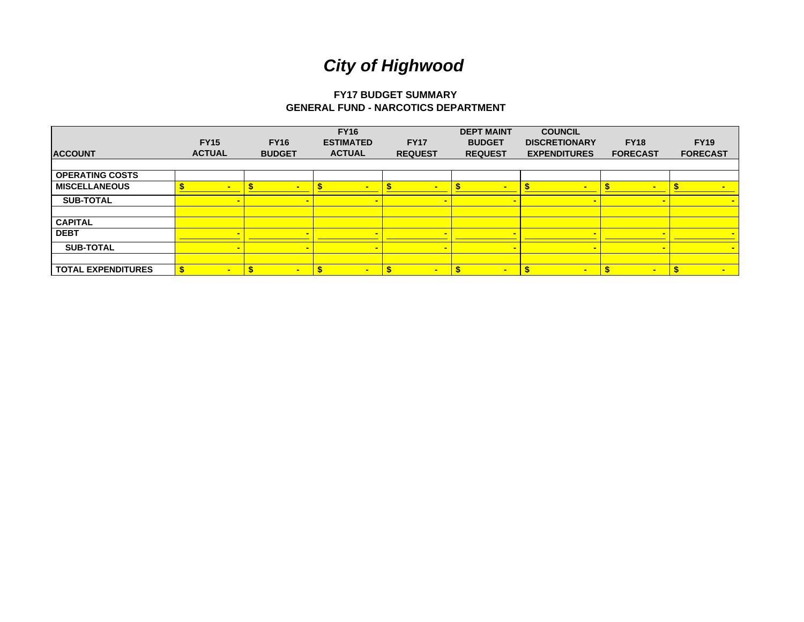# **FY17 BUDGET SUMMARY GENERAL FUND - NARCOTICS DEPARTMENT**

|                           | <b>FY15</b>    | <b>FY16</b>           | <b>FY16</b><br><b>ESTIMATED</b> | <b>FY17</b>    | <b>DEPT MAINT</b><br><b>BUDGET</b> | <b>COUNCIL</b><br><b>DISCRETIONARY</b> | <b>FY18</b>     | <b>FY19</b>     |
|---------------------------|----------------|-----------------------|---------------------------------|----------------|------------------------------------|----------------------------------------|-----------------|-----------------|
| <b>ACCOUNT</b>            | <b>ACTUAL</b>  | <b>BUDGET</b>         | <b>ACTUAL</b>                   | <b>REQUEST</b> | <b>REQUEST</b>                     | <b>EXPENDITURES</b>                    | <b>FORECAST</b> | <b>FORECAST</b> |
|                           |                |                       |                                 |                |                                    |                                        |                 |                 |
| <b>OPERATING COSTS</b>    |                |                       |                                 |                |                                    |                                        |                 |                 |
| <b>MISCELLANEOUS</b>      | $\blacksquare$ |                       | $\blacksquare$                  |                | н.                                 | $\blacksquare$                         | -               |                 |
| <b>SUB-TOTAL</b>          |                | $\blacksquare$        |                                 |                | $\blacksquare$                     |                                        |                 |                 |
|                           |                |                       |                                 |                |                                    |                                        |                 |                 |
| <b>CAPITAL</b>            |                |                       |                                 |                |                                    |                                        |                 |                 |
| <b>DEBT</b>               |                |                       |                                 |                |                                    |                                        |                 |                 |
| <b>SUB-TOTAL</b>          |                |                       |                                 |                |                                    |                                        |                 | $\blacksquare$  |
|                           |                |                       |                                 |                |                                    |                                        |                 |                 |
| <b>TOTAL EXPENDITURES</b> | $\blacksquare$ | -\$<br>$\blacksquare$ | S<br>$\blacksquare$             | $\blacksquare$ | $\blacksquare$                     | $\sim$                                 | $\blacksquare$  | $\blacksquare$  |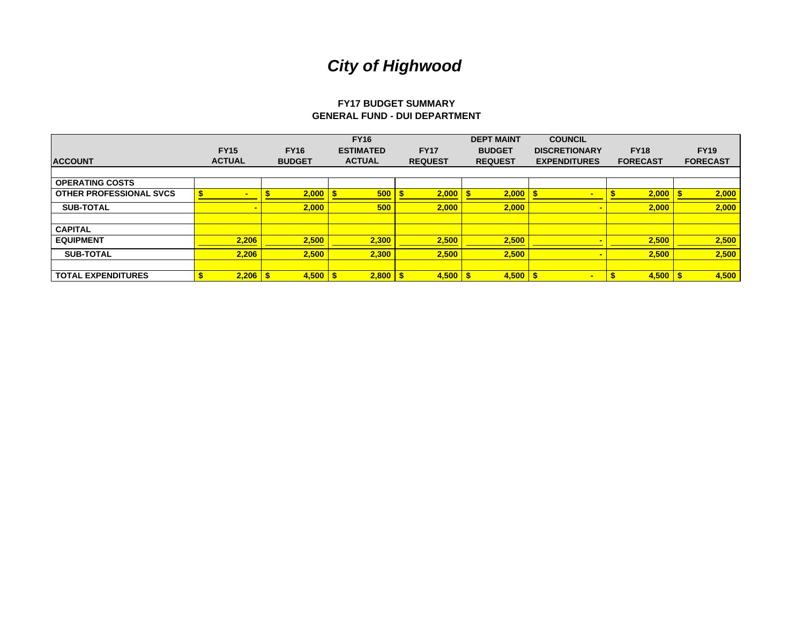# **FY17 BUDGET SUMMARY GENERAL FUND - DUI DEPARTMENT**

|                                |               |               | <b>FY16</b>      |                | <b>DEPT MAINT</b> | <b>COUNCIL</b>       |                 |                 |
|--------------------------------|---------------|---------------|------------------|----------------|-------------------|----------------------|-----------------|-----------------|
|                                | <b>FY15</b>   | <b>FY16</b>   | <b>ESTIMATED</b> | <b>FY17</b>    | <b>BUDGET</b>     | <b>DISCRETIONARY</b> | <b>FY18</b>     | <b>FY19</b>     |
| <b>ACCOUNT</b>                 | <b>ACTUAL</b> | <b>BUDGET</b> | <b>ACTUAL</b>    | <b>REQUEST</b> | <b>REQUEST</b>    | <b>EXPENDITURES</b>  | <b>FORECAST</b> | <b>FORECAST</b> |
|                                |               |               |                  |                |                   |                      |                 |                 |
| <b>OPERATING COSTS</b>         |               |               |                  |                |                   |                      |                 |                 |
| <b>OTHER PROFESSIONAL SVCS</b> | <b>COL</b>    | 2,000         | 500              | 2,000          | -\$<br>2,000      |                      | 2,000           | 2,000           |
| <b>SUB-TOTAL</b>               |               | 2,000         | 500              | 2,000          | 2.000             |                      | 2,000           | 2,000           |
|                                |               |               |                  |                |                   |                      |                 |                 |
| <b>CAPITAL</b>                 |               |               |                  |                |                   |                      |                 |                 |
| <b>EQUIPMENT</b>               | 2,206         | 2,500         | 2,300            | 2,500          | 2,500             |                      | 2,500           | 2,500           |
| <b>SUB-TOTAL</b>               | 2,206         | 2,500         | 2,300            | 2,500          | 2,500             |                      | 2,500           | 2,500           |
|                                |               |               |                  |                |                   |                      |                 |                 |
| <b>TOTAL EXPENDITURES</b>      | 2,206         | $4,500$ \$    | $2,800$ \$       | 4,500          | $4,500$ \$<br>-\$ | -                    | 4,500           | 4,500           |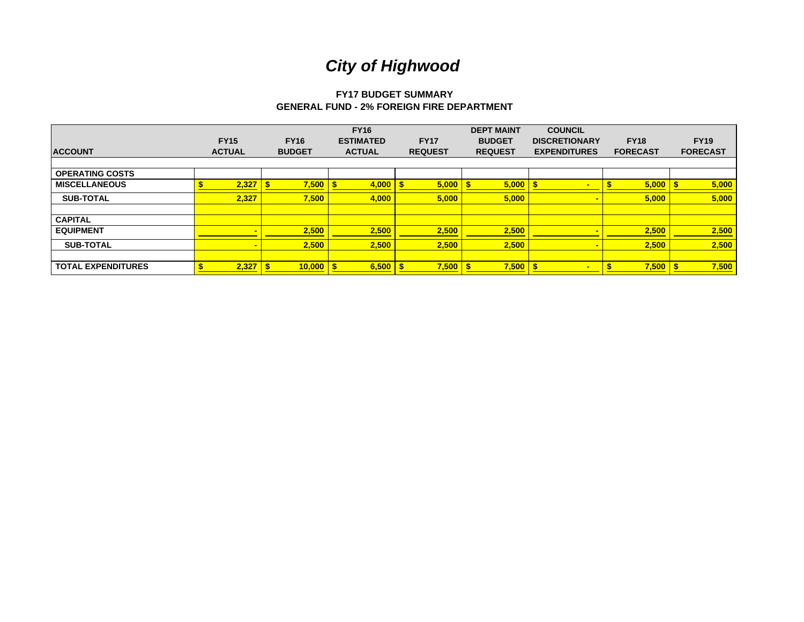# **FY17 BUDGET SUMMARY GENERAL FUND - 2% FOREIGN FIRE DEPARTMENT**

| <b>ACCOUNT</b>            | <b>FY15</b><br><b>ACTUAL</b> | <b>FY16</b><br><b>BUDGET</b> | <b>FY16</b><br><b>ESTIMATED</b><br><b>ACTUAL</b> | <b>FY17</b><br><b>REQUEST</b> | <b>DEPT MAINT</b><br><b>BUDGET</b><br><b>REQUEST</b> | <b>COUNCIL</b><br><b>DISCRETIONARY</b><br><b>EXPENDITURES</b> | <b>FY18</b><br><b>FORECAST</b> | <b>FY19</b><br><b>FORECAST</b> |
|---------------------------|------------------------------|------------------------------|--------------------------------------------------|-------------------------------|------------------------------------------------------|---------------------------------------------------------------|--------------------------------|--------------------------------|
| <b>OPERATING COSTS</b>    |                              |                              |                                                  |                               |                                                      |                                                               |                                |                                |
| <b>MISCELLANEOUS</b>      | 2,327                        | 7,500                        | 4,000                                            | 5,000                         | 5,000                                                |                                                               | 5,000                          | 5,000                          |
| <b>SUB-TOTAL</b>          | 2,327                        | 7,500                        | 4,000                                            | 5,000                         | 5,000                                                |                                                               | 5,000                          | 5,000                          |
|                           |                              |                              |                                                  |                               |                                                      |                                                               |                                |                                |
| <b>CAPITAL</b>            |                              |                              |                                                  |                               |                                                      |                                                               |                                |                                |
| <b>EQUIPMENT</b>          |                              | 2,500                        | 2,500                                            | 2,500                         | 2,500                                                |                                                               | 2,500                          | 2,500                          |
| <b>SUB-TOTAL</b>          |                              | 2,500                        | 2,500                                            | 2,500                         | 2,500                                                |                                                               | 2,500                          | 2,500                          |
|                           |                              |                              |                                                  |                               |                                                      |                                                               |                                |                                |
| <b>TOTAL EXPENDITURES</b> | 2,327                        | 10,000                       | 6,500                                            | $7,500$ \$                    | 7,500                                                | <b>.</b>                                                      | 7,500                          | 7,500                          |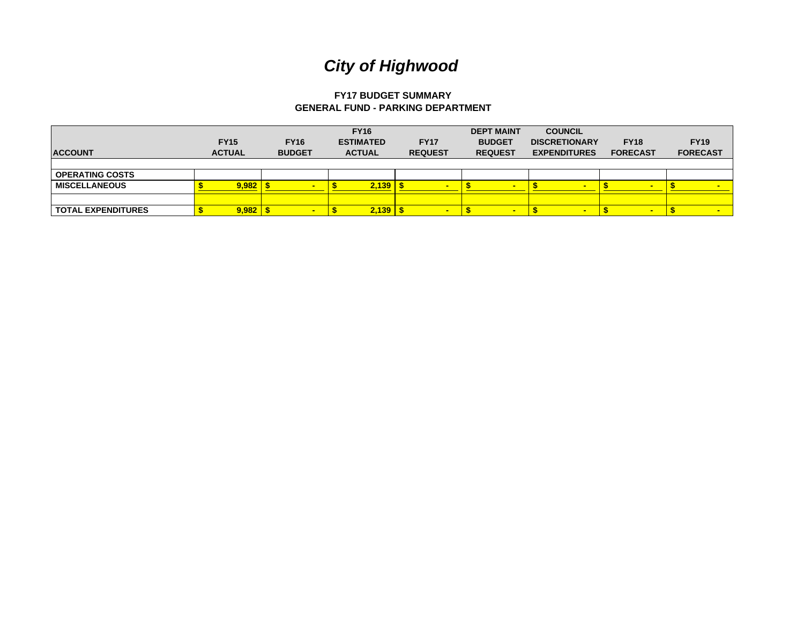# **FY17 BUDGET SUMMARY GENERAL FUND - PARKING DEPARTMENT**

| <b>ACCOUNT</b>            | <b>FY15</b><br><b>ACTUAL</b> |              | <b>FY16</b><br><b>BUDGET</b> | <b>FY16</b><br><b>ESTIMATED</b><br><b>ACTUAL</b> | <b>FY17</b><br><b>REQUEST</b> | <b>DEPT MAINT</b><br><b>BUDGET</b><br><b>REQUEST</b> |                          | <b>COUNCIL</b><br><b>DISCRETIONARY</b><br><b>EXPENDITURES</b> | <b>FY18</b><br><b>FORECAST</b> | <b>FY19</b><br><b>FORECAST</b> |
|---------------------------|------------------------------|--------------|------------------------------|--------------------------------------------------|-------------------------------|------------------------------------------------------|--------------------------|---------------------------------------------------------------|--------------------------------|--------------------------------|
|                           |                              |              |                              |                                                  |                               |                                                      |                          |                                                               |                                |                                |
| <b>OPERATING COSTS</b>    |                              |              |                              |                                                  |                               |                                                      |                          |                                                               |                                |                                |
| <b>MISCELLANEOUS</b>      |                              | 9,982        |                              | 2,139                                            | -                             |                                                      |                          | -                                                             | $\blacksquare$                 |                                |
|                           |                              |              |                              |                                                  |                               |                                                      |                          |                                                               |                                |                                |
| <b>TOTAL EXPENDITURES</b> |                              | $9,982$   \$ | $\overline{\phantom{a}}$     | $2,139$ \ \$                                     | $\blacksquare$                |                                                      | $\overline{\phantom{a}}$ | $\blacksquare$                                                | <b>PO</b>                      |                                |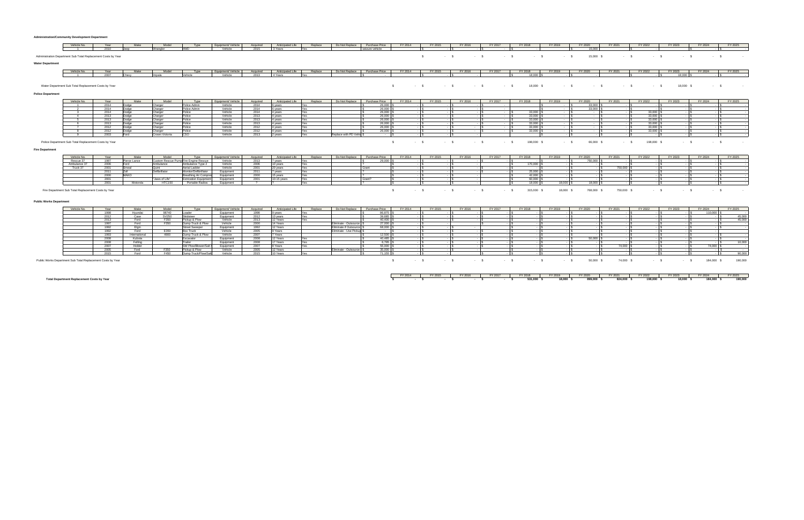|                          | Vehicle No.                                                   | Year | Make | Model        |         | :quipment/ Vehicle | Acquire | Anticipated Life | Renlace | Do Not Replace | Purchase Price        | FY 2014 | FY 2015 | FY 2016 | FY 2017 | FY 2018 | FY 2019                                                                                                                                                                                                                                                                                                                                                                                                                                                     | FY 2020 |           | FY 2021  | FY 2022 |                                                  | FY 2023   | FY 2024                  | FY 2025                  |
|--------------------------|---------------------------------------------------------------|------|------|--------------|---------|--------------------|---------|------------------|---------|----------------|-----------------------|---------|---------|---------|---------|---------|-------------------------------------------------------------------------------------------------------------------------------------------------------------------------------------------------------------------------------------------------------------------------------------------------------------------------------------------------------------------------------------------------------------------------------------------------------------|---------|-----------|----------|---------|--------------------------------------------------|-----------|--------------------------|--------------------------|
|                          |                                                               | 2010 |      |              |         | Vehicle            | 2015    | 3 Years          |         |                | seizure vehicle       |         |         |         |         |         |                                                                                                                                                                                                                                                                                                                                                                                                                                                             |         | 15,000    |          |         |                                                  |           |                          |                          |
|                          | Administration Department Sub Total Replacement Costs by Year |      |      |              |         |                    |         |                  |         |                |                       |         |         |         |         |         |                                                                                                                                                                                                                                                                                                                                                                                                                                                             |         | 15,000 \$ | - 5      |         | $-5$                                             |           |                          | <b>Contract Contract</b> |
| <b>Water Department</b>  |                                                               |      |      |              |         |                    |         |                  |         |                |                       |         |         |         |         |         |                                                                                                                                                                                                                                                                                                                                                                                                                                                             |         |           |          |         |                                                  |           |                          |                          |
|                          | Vehicle No.                                                   | Year | Make | Model        |         | Equipment/ Vehicle | Acquire | Anticipated Life | Replace | Do Not Replace | <b>Purchase Price</b> | FY 2014 | FY 2015 | FY 2016 | FY 2017 | FY 2018 | FY 2019                                                                                                                                                                                                                                                                                                                                                                                                                                                     | FY 2020 |           | FY 2021  | FY 2022 |                                                  | FY 2023   | FY 2024                  | FY 2025                  |
|                          |                                                               | 2007 |      | <b>Impal</b> | Vehicle | Vehicle            | 2013    | 4 Years          |         |                |                       |         |         |         |         | 18,000  |                                                                                                                                                                                                                                                                                                                                                                                                                                                             |         |           |          |         |                                                  | 18,000    |                          |                          |
|                          | Water Department Sub Total Replacement Costs by Year          |      |      |              |         |                    |         |                  |         |                |                       |         |         |         |         |         | $\texttt{\$} \texttt{\$} \texttt{\$} \texttt{\$} \texttt{\$} \texttt{\$} \texttt{\$} \texttt{\$} \texttt{\$} \texttt{\$} \texttt{\$} \texttt{\$} \texttt{\$} \texttt{\$} \texttt{\$} \texttt{\$} \texttt{\$} \texttt{\$} \texttt{\$} \texttt{\$} \texttt{\$} \texttt{\$} \texttt{\$} \texttt{\$} \texttt{\$} \texttt{\$} \texttt{\$} \texttt{\$} \texttt{\$} \texttt{\$} \texttt{\$} \texttt{\$} \texttt{\$} \texttt{\$} \texttt{\$} \texttt{\$} \texttt{\$ |         |           | $\sim$ s |         | $\sim$ $\sim$ $\sim$ $\sim$ $\sim$ $\sim$ $\sim$ | 18,000 \$ | <b>Contract Contract</b> |                          |
| <b>Police Department</b> |                                                               |      |      |              |         |                    |         |                  |         |                |                       |         |         |         |         |         |                                                                                                                                                                                                                                                                                                                                                                                                                                                             |         |           |          |         |                                                  |           |                          |                          |

| Vehicle No.<br>FY 2016<br>FY 2017<br>FY 2018<br>Anticipated Life<br>FY 2015<br>FY 2021<br>FY 2019<br>FY 2020<br>FY 2022<br>FY 2023<br>Model<br>Do Not Replace<br>FY 2014<br>Purchase Price<br>Renlace<br><b>Type</b><br>Equipment/ Vehicle<br>Acauire<br>Make<br>Year | FY 2024<br>FY 2025 |
|-----------------------------------------------------------------------------------------------------------------------------------------------------------------------------------------------------------------------------------------------------------------------|--------------------|
|                                                                                                                                                                                                                                                                       |                    |
| 2014<br>26,000<br>Vehicle<br>33,000<br>dice Admir                                                                                                                                                                                                                     |                    |
| 26,000<br>2014<br>Vehicle<br>33,000<br><b>OO44</b><br>olice Admin                                                                                                                                                                                                     |                    |
| 26,000<br>2014<br>חחח דג<br>'ehicle                                                                                                                                                                                                                                   |                    |
| 26,000<br>Vehicle<br>33,000<br>2013<br>33,000<br>∖vea⊪<br>__<br>$-$                                                                                                                                                                                                   |                    |
| 26,000<br>33,000<br>2013<br>33.000<br>/ehicle<br><u> 1980 - An t-Alban an t-Alban an t-Alban an t-Alban an t-Alban an t-Alban an t-Alban an t-Alban an t-Alban an</u>                                                                                                 |                    |
| 26,000<br>33,000<br>2013<br>Vehicle<br>33.000<br>· vcaı                                                                                                                                                                                                               |                    |
| 26,000<br>33.000<br>2012<br>33.000<br>2012<br>Vehicle                                                                                                                                                                                                                 |                    |
| 26,000<br>33,000<br>2012<br>Vehicle<br>33,000                                                                                                                                                                                                                         |                    |
| Vehicle<br>Replace with PD Vehic \$<br>trown Victoria<br>2013<br>2 years<br>2003<br>Fore                                                                                                                                                                              |                    |

**Fire Department**

Police Department Sub Total Replacement Costs by Year \$ 5 - \$ 198,000 \$ - \$ 198,000 \$ - \$ 198,000 \$ - \$ 66,000 \$

| Vehicle No.                                         |       | Make         | Model          | Tyne                         | Equipment/ Vehicle | Acquired | Anticipated Life | Renlaci | Do Not Replace | Purchase Price | FY 2014 | FY 2015 | FY 2016 | FY 2017 | FY 2018    | FY 201    | FY 2020 | FY 2021        | FY 2022 | FY 2023 | FY 2024 | FY 2025 |
|-----------------------------------------------------|-------|--------------|----------------|------------------------------|--------------------|----------|------------------|---------|----------------|----------------|---------|---------|---------|---------|------------|-----------|---------|----------------|---------|---------|---------|---------|
| Rescue 37                                           |       | Pierce Lance |                | re Engine Rescue             | Vehicle            | 2013     | vears            |         |                | 29,000         |         |         |         |         |            |           | 750,000 |                |         |         |         |         |
| Ambulance 37                                        | 2006  |              | Ambulance      | Ambulance Type 2             | Vehicle            | 2006     | 110 years        |         |                |                |         |         |         |         | 170.000    |           |         |                |         |         |         |         |
| Truck 37                                            |       |              |                | Aerial Ladder                | Vehicle            | 2001     | I) vears         |         |                |                |         |         |         |         |            |           |         | <b>750.00-</b> |         |         |         |         |
|                                                     |       |              | Defibrillato   | Monitor/Defibrillator        | Equipment          |          | ' vears          |         |                |                |         |         |         |         |            |           |         |                |         |         |         |         |
|                                                     | 2000. |              |                | <b>Breathing Air Compre</b>  | auipment           | 2000     | 15 years         |         |                |                |         |         |         |         |            |           |         |                |         |         |         |         |
|                                                     |       |              | "Jaws of Life" | <b>Extrication Foujoment</b> | quipment           | 2001     | $10-15$ vears    |         |                |                |         |         |         |         | 60.000     |           |         |                |         |         |         |         |
|                                                     |       | Motorola     | <b>HTC150</b>  | Portable Radios              | -<br>Taujamen      |          |                  |         |                |                |         |         |         |         | $18.000$ S | 18,000 \$ | 18.000  |                |         |         |         |         |
|                                                     |       |              |                |                              |                    |          |                  |         |                |                |         |         |         |         |            |           |         |                |         |         |         |         |
| Fire Department Sub Total Replacement Costs by Year |       |              |                |                              |                    |          |                  |         |                |                |         |         |         |         | 315,000    | 18,000    | 768.000 | 750,000        |         |         |         |         |

#### **Public Works Department**

| Vehicle No.                                                 | Year | Make          | Model       | Type                        | Equipment/ Vehicle | Acquired | Anticipated Life | Replace | Do Not Replace            | <b>Purchase Price</b> | FY 2014 | FY 2015 | FY 2016 | FY 2017 | FY 2018 | FY 2019 | FY 2020 | FY 2021 | FY 2022 | FY 2023 | FY 2024 | FY 2025 |
|-------------------------------------------------------------|------|---------------|-------------|-----------------------------|--------------------|----------|------------------|---------|---------------------------|-----------------------|---------|---------|---------|---------|---------|---------|---------|---------|---------|---------|---------|---------|
|                                                             | 199. | Hvundai       | 98740       | nanel                       | Equipment          | 1998     | 9 years          |         |                           | 86,875                |         |         |         |         |         |         |         |         |         |         | 110,000 |         |
|                                                             |      | Casa          | SV250       | Skidetoc                    | Equipment          | 2012     | 13 years         |         |                           | 30 685                |         |         |         |         |         |         |         |         |         |         |         | 45,000  |
|                                                             |      |               | F350        | Pickup & Plow               | Vehicle            | 2013     | 12 Years         |         |                           | 40.400                |         |         |         |         |         |         |         |         |         |         |         | 15 I K  |
|                                                             |      | Ford          | <b>E350</b> | Dump Truck & Plow           | Vehicle            | 2000     | 14 Years         |         | Eliminate - Outsource     | 27,000                |         |         |         |         |         |         |         |         |         |         |         |         |
|                                                             |      | <b>Flain</b>  |             | Street Sweeper              | Equipment          | 1992     | 12 Years         |         | Eliminate if Outsource    | 68,000                |         |         |         |         |         |         |         |         |         |         |         |         |
|                                                             |      | <b>Eord</b>   | E350        | <b>BOX Truck</b>            | Vehicle            | 2005     | 9 Years          |         | Eliminate - Use Pickup \$ |                       |         |         |         |         |         |         |         |         |         |         |         |         |
|                                                             |      | International | 4900        | nump Truck & Plow           | Vehicle            | 2007     | 'Years           |         |                           | 12,500                |         |         |         |         |         |         |         |         |         |         |         |         |
|                                                             |      | Kubota        |             | Excavator                   | Equipment          | 2008     | 12 Years         |         |                           | 40.485                |         |         |         |         |         |         | 50,000  |         |         |         |         |         |
|                                                             |      | Felling       |             |                             | Equipment          | 2008     | 17 Years         |         |                           | 6.795                 |         |         |         |         |         |         |         |         |         |         |         | 10,000  |
|                                                             |      | Holder        |             | SW Plow/Blower/Salt         | Equipment          | 2007     | I8 Years         |         |                           | 55,000                |         |         |         |         |         |         |         | 74,000  |         |         | 74,000  |         |
|                                                             |      |               | <b>E350</b> | Pickup & Plow               | Vehicle            | 2005     | 12 Years         |         | Eliminate - Outsource     | 35,000                |         |         |         |         |         |         |         |         |         |         |         |         |
|                                                             |      |               | F450        | <b>Dirmo Truck/Plow/Sam</b> | Vehicle            | 2015     | 10 Years         |         |                           | 71 155                |         |         |         |         |         |         |         |         |         |         |         | 90.000  |
| Public Works Department Sub Total Replacement Costs by Year |      |               |             |                             |                    |          |                  |         |                           |                       |         |         |         |         | $\sim$  |         | 50,000  | 74,000  |         |         | 184,000 | 190,000 |

|                          |    | FY 2021                  |    | FY 2022                     |    | FY 2023                  |    | FY 2024                  |    | FY 2025                  |
|--------------------------|----|--------------------------|----|-----------------------------|----|--------------------------|----|--------------------------|----|--------------------------|
| ,000                     |    |                          | \$ |                             |    |                          | \$ |                          | \$ |                          |
|                          |    |                          |    |                             |    |                          |    |                          |    |                          |
|                          |    |                          |    |                             |    |                          |    |                          |    |                          |
| 000S                     |    |                          | \$ |                             | \$ |                          | \$ |                          | \$ |                          |
|                          |    |                          |    |                             |    |                          |    |                          |    |                          |
|                          |    |                          |    |                             |    |                          |    |                          |    |                          |
|                          |    |                          |    |                             |    |                          |    |                          |    |                          |
|                          |    |                          |    |                             |    |                          |    |                          |    |                          |
|                          |    | FY 2021                  |    | FY 2022                     |    | FY 2023                  |    | FY 2024                  |    | FY 2025                  |
|                          |    |                          |    |                             |    |                          |    |                          |    |                          |
|                          |    |                          | \$ | i,                          | \$ | 18,000                   | s  |                          | Ś  |                          |
|                          |    |                          |    |                             |    |                          |    |                          |    |                          |
|                          |    |                          |    |                             |    |                          |    |                          |    |                          |
|                          |    |                          |    |                             |    |                          |    |                          |    |                          |
|                          | \$ |                          | \$ | ä,                          | \$ | 18,000 \$                |    |                          | \$ |                          |
|                          |    |                          |    |                             |    |                          |    |                          |    |                          |
|                          |    |                          |    |                             |    |                          |    |                          |    |                          |
|                          |    |                          |    |                             |    |                          |    |                          |    |                          |
|                          |    |                          |    |                             |    |                          |    |                          |    |                          |
|                          |    | FY 2021                  |    | FY 2022                     |    | FY 2023                  |    | FY 2024                  |    | FY 2025                  |
| ,000                     | \$ |                          | \$ |                             | \$ |                          | S  |                          | \$ |                          |
|                          |    | $\overline{\phantom{a}}$ |    | $\overline{\phantom{a}}$    |    | ٠                        |    | ٠                        |    | ۰                        |
| ,000                     | s  | ÷.                       | \$ | $\mathbf{r}$                | \$ | ÷.                       | \$ | ÷.                       | S  | Ξ                        |
| $\overline{\phantom{a}}$ | \$ | $\blacksquare$           | s  | 33,000                      | \$ | $\blacksquare$           | \$ | $\overline{\phantom{a}}$ | \$ | ÷.                       |
| τ                        |    |                          |    |                             |    |                          |    |                          |    |                          |
|                          | \$ | $\blacksquare$           | \$ | 33,000                      | \$ | ÷.                       | \$ | ÷.                       | \$ | Ξ                        |
| ÷,                       | \$ | ÷,                       | \$ | 33,000                      | S  | ä,                       | \$ | ä,                       | \$ |                          |
| ÷,                       | \$ | ÷,                       | \$ | 33,000                      | \$ | ÷                        | \$ | ÷,                       | \$ |                          |
|                          |    |                          |    |                             |    |                          |    |                          |    | $\frac{1}{2}$            |
| $\bar{\phantom{a}}$      | \$ | $\overline{\phantom{a}}$ | \$ | 33,000                      | \$ | $\overline{\phantom{a}}$ | S  | $\bar{\phantom{a}}$      | \$ |                          |
| $\overline{\phantom{a}}$ | \$ | ÷,                       | \$ | 33,000                      | \$ | ÷,                       | \$ | $\blacksquare$           | \$ | Ξ                        |
| ٠                        | \$ | $\blacksquare$           | \$ | $\overline{\phantom{a}}$    | \$ | $\overline{\phantom{a}}$ | S  | ÷,                       | \$ | Ξ                        |
|                          |    |                          |    |                             |    |                          |    |                          |    |                          |
|                          |    |                          |    |                             |    |                          |    |                          |    |                          |
| ,000                     | \$ | $\blacksquare$           | \$ | 198,000 \$                  |    | ÷,                       | \$ | ÷                        | \$ |                          |
|                          |    |                          |    |                             |    |                          |    |                          |    |                          |
|                          |    |                          |    |                             |    |                          |    |                          |    |                          |
|                          |    |                          |    |                             |    |                          |    |                          |    |                          |
|                          |    |                          |    |                             |    |                          |    |                          |    |                          |
|                          |    | FY 2021                  |    | FY 2022                     |    | FY 2023                  |    | FY 2024                  |    | FY 2025                  |
|                          |    |                          |    |                             |    |                          |    |                          |    |                          |
| ,000                     | \$ | ٠                        | \$ | ٠                           | \$ | ٠                        | \$ | ۰                        | s  | ÷                        |
| $\overline{\phantom{a}}$ | s  | ٠                        | \$ | $\overline{\phantom{a}}$    | s  | $\overline{\phantom{a}}$ | \$ | $\blacksquare$           | \$ | Ξ                        |
| ÷,                       | \$ | 750,000                  | \$ |                             | \$ |                          | \$ | ä,                       | \$ | τ                        |
| ÷                        | \$ |                          | \$ |                             | \$ |                          | \$ | ä,                       | \$ |                          |
|                          |    |                          |    | $\frac{1}{2}$               |    | $\overline{\phantom{a}}$ |    |                          |    | ŧ                        |
| $\overline{\phantom{a}}$ | S  | $\overline{\phantom{a}}$ | \$ | $\overline{\phantom{a}}$    | \$ | $\overline{\phantom{a}}$ | S  | $\bar{\phantom{a}}$      | \$ |                          |
| ä,                       | \$ |                          | \$ | ä,                          | \$ | $\blacksquare$           | \$ | Ξ                        | \$ | Ξ                        |
|                          |    |                          |    |                             |    | ä,                       |    | ä,                       |    | Τ                        |
| ,000                     | S  | ä,                       | \$ | ä,                          | S  |                          | S  |                          | \$ |                          |
|                          |    |                          |    |                             |    |                          |    |                          |    |                          |
| ,000                     | \$ | 750,000                  | \$ | $\sim$                      | \$ | ä,                       | \$ | ÷,                       | \$ |                          |
|                          |    |                          |    |                             |    |                          |    |                          |    |                          |
|                          |    |                          |    |                             |    |                          |    |                          |    |                          |
|                          |    |                          |    |                             |    |                          |    |                          |    |                          |
|                          |    |                          |    |                             |    |                          |    |                          |    |                          |
|                          |    |                          |    |                             |    |                          |    |                          |    |                          |
|                          |    |                          |    |                             |    |                          |    |                          |    |                          |
|                          |    | FY 2021                  |    | FY 2022                     |    | FY 2023                  |    | FY 2024                  |    | FY 2025                  |
| $\overline{\phantom{a}}$ | \$ | $\overline{\phantom{a}}$ | \$ | $\overline{\phantom{a}}$    | \$ | $\overline{\phantom{a}}$ | \$ | 110,000                  | \$ | ÷.                       |
|                          |    |                          |    |                             | \$ |                          |    |                          |    |                          |
| ä,                       | \$ | $\blacksquare$           | \$ | $\frac{1}{2}$               |    | ÷,                       | \$ | $\frac{1}{2}$            | \$ | 45,000                   |
| $\overline{\phantom{a}}$ | s  | $\frac{1}{2}$            | \$ | ٠                           | s  | $\frac{1}{2}$            | S  | $\frac{1}{2}$            | \$ | 45,000                   |
|                          |    |                          |    | ä,                          | \$ | ÷.                       |    | ä,                       | \$ |                          |
| ÷.                       |    | ÷.                       |    |                             |    |                          |    |                          |    |                          |
|                          | \$ |                          | \$ |                             |    |                          | S  |                          |    |                          |
| ä,                       | \$ | $\blacksquare$           | \$ | $\blacksquare$              | \$ | ä,                       | \$ | ä,                       | \$ | $\blacksquare$           |
| $\blacksquare$           | \$ | $\overline{\phantom{a}}$ | \$ | $\blacksquare$              | \$ | $\blacksquare$           | S  | $\blacksquare$           |    |                          |
|                          |    | J.                       |    |                             |    | i,                       |    |                          |    |                          |
| ä,                       | \$ |                          | \$ | ÷                           | \$ |                          | \$ | ä,                       | \$ |                          |
| ,000                     | S  | $\overline{\phantom{a}}$ | \$ | ٠                           | \$ | $\blacksquare$           | S  | ÷.                       | \$ | ä,                       |
| $\overline{a}$           | \$ | $\mathbf{r}$             | \$ | $\mathcal{L}_{\mathcal{A}}$ | S  | ä,                       | S  | ä,                       | \$ | 10,000                   |
| ÷                        |    |                          |    |                             |    |                          |    |                          |    |                          |
|                          | \$ | 74,000                   | \$ | ÷,                          | \$ | ÷                        | \$ | 74,000                   | \$ | $\overline{\phantom{a}}$ |
| $\frac{1}{2}$            | \$ | ٠                        | \$ | $\frac{1}{2}$               | \$ | $\overline{\phantom{a}}$ | S  | $\frac{1}{2}$            | \$ | ٠                        |
| ä,                       | \$ | i,                       | \$ | ä,                          | \$ | ä,                       | S  | ä,                       | \$ | 90,000                   |
|                          |    |                          |    |                             |    |                          |    |                          |    |                          |
|                          |    |                          |    |                             |    |                          |    |                          |    |                          |
| ,000 \$                  |    | 74,000 \$                |    | $\blacksquare$              | \$ | ۰                        | \$ | 184,000 \$               |    | 190,000                  |
|                          |    |                          |    |                             |    |                          |    |                          |    |                          |
|                          |    |                          |    |                             |    |                          |    |                          |    |                          |
|                          |    |                          |    |                             |    |                          |    |                          |    |                          |

|                                                   |  |  | FY2014   FY2015   FY2016   FY2017   FY2018   FY2019   FY2020   FY2021   FY2022   FY2023   FY2024   FY2025 |  |  |  |  |
|---------------------------------------------------|--|--|-----------------------------------------------------------------------------------------------------------|--|--|--|--|
| <b>Total Department Replacement Costs by Year</b> |  |  |                                                                                                           |  |  |  |  |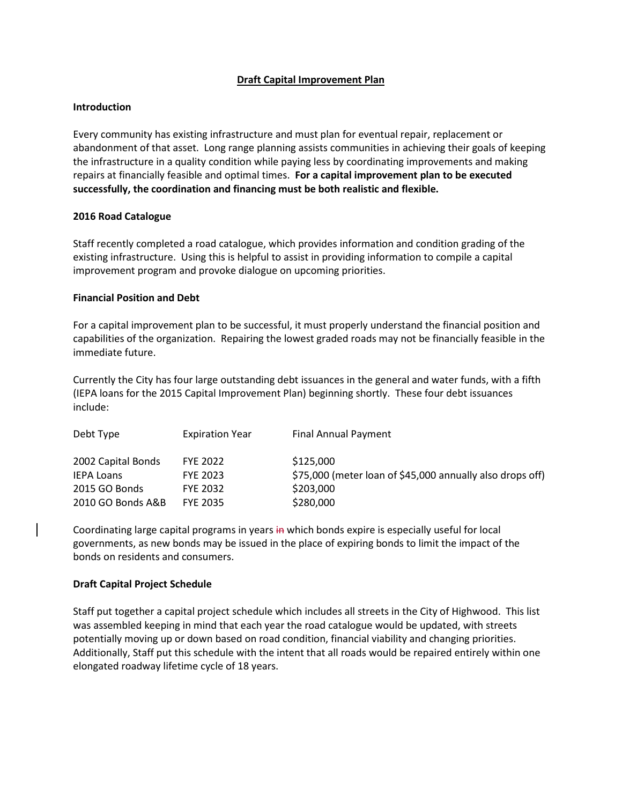# **Draft Capital Improvement Plan**

# **Introduction**

Every community has existing infrastructure and must plan for eventual repair, replacement or abandonment of that asset. Long range planning assists communities in achieving their goals of keeping the infrastructure in a quality condition while paying less by coordinating improvements and making repairs at financially feasible and optimal times. **For a capital improvement plan to be executed successfully, the coordination and financing must be both realistic and flexible.** 

# **2016 Road Catalogue**

Staff recently completed a road catalogue, which provides information and condition grading of the existing infrastructure. Using this is helpful to assist in providing information to compile a capital improvement program and provoke dialogue on upcoming priorities.

# **Financial Position and Debt**

For a capital improvement plan to be successful, it must properly understand the financial position and capabilities of the organization. Repairing the lowest graded roads may not be financially feasible in the immediate future.

Currently the City has four large outstanding debt issuances in the general and water funds, with a fifth (IEPA loans for the 2015 Capital Improvement Plan) beginning shortly. These four debt issuances include:

| <b>Expiration Year</b> | <b>Final Annual Payment</b>                               |
|------------------------|-----------------------------------------------------------|
| <b>FYE 2022</b>        | \$125,000                                                 |
| <b>FYE 2023</b>        | \$75,000 (meter loan of \$45,000 annually also drops off) |
| <b>FYE 2032</b>        | \$203,000                                                 |
| <b>FYE 2035</b>        | \$280,000                                                 |
|                        |                                                           |

Coordinating large capital programs in years in which bonds expire is especially useful for local governments, as new bonds may be issued in the place of expiring bonds to limit the impact of the bonds on residents and consumers.

# **Draft Capital Project Schedule**

Staff put together a capital project schedule which includes all streets in the City of Highwood. This list was assembled keeping in mind that each year the road catalogue would be updated, with streets potentially moving up or down based on road condition, financial viability and changing priorities. Additionally, Staff put this schedule with the intent that all roads would be repaired entirely within one elongated roadway lifetime cycle of 18 years.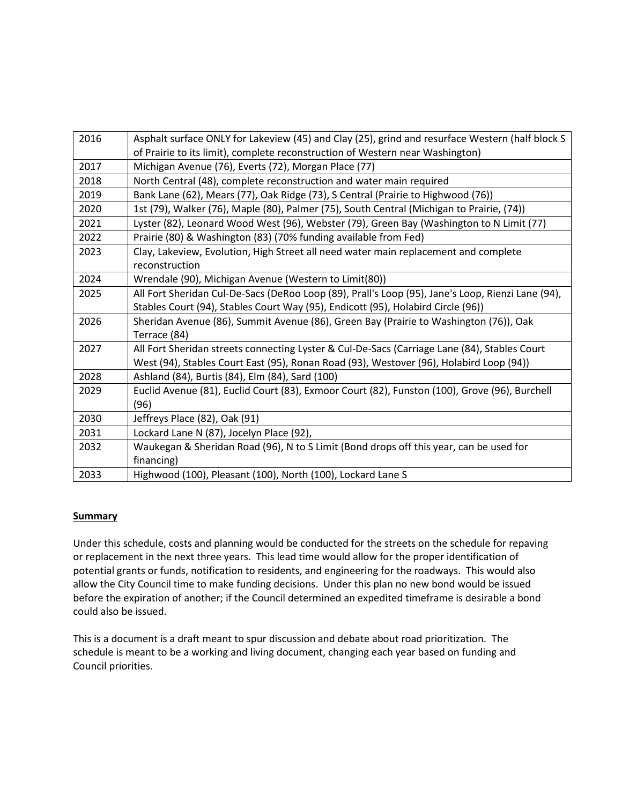| 2016 | Asphalt surface ONLY for Lakeview (45) and Clay (25), grind and resurface Western (half block S   |
|------|---------------------------------------------------------------------------------------------------|
|      | of Prairie to its limit), complete reconstruction of Western near Washington)                     |
| 2017 | Michigan Avenue (76), Everts (72), Morgan Place (77)                                              |
| 2018 | North Central (48), complete reconstruction and water main required                               |
| 2019 | Bank Lane (62), Mears (77), Oak Ridge (73), S Central (Prairie to Highwood (76))                  |
| 2020 | 1st (79), Walker (76), Maple (80), Palmer (75), South Central (Michigan to Prairie, (74))         |
| 2021 | Lyster (82), Leonard Wood West (96), Webster (79), Green Bay (Washington to N Limit (77)          |
| 2022 | Prairie (80) & Washington (83) (70% funding available from Fed)                                   |
| 2023 | Clay, Lakeview, Evolution, High Street all need water main replacement and complete               |
|      | reconstruction                                                                                    |
| 2024 | Wrendale (90), Michigan Avenue (Western to Limit(80))                                             |
| 2025 | All Fort Sheridan Cul-De-Sacs (DeRoo Loop (89), Prall's Loop (95), Jane's Loop, Rienzi Lane (94), |
|      | Stables Court (94), Stables Court Way (95), Endicott (95), Holabird Circle (96))                  |
| 2026 | Sheridan Avenue (86), Summit Avenue (86), Green Bay (Prairie to Washington (76)), Oak             |
|      | Terrace (84)                                                                                      |
| 2027 | All Fort Sheridan streets connecting Lyster & Cul-De-Sacs (Carriage Lane (84), Stables Court      |
|      | West (94), Stables Court East (95), Ronan Road (93), Westover (96), Holabird Loop (94))           |
| 2028 | Ashland (84), Burtis (84), Elm (84), Sard (100)                                                   |
| 2029 | Euclid Avenue (81), Euclid Court (83), Exmoor Court (82), Funston (100), Grove (96), Burchell     |
|      | (96)                                                                                              |
| 2030 | Jeffreys Place (82), Oak (91)                                                                     |
| 2031 | Lockard Lane N (87), Jocelyn Place (92),                                                          |
| 2032 | Waukegan & Sheridan Road (96), N to S Limit (Bond drops off this year, can be used for            |
|      | financing)                                                                                        |
| 2033 | Highwood (100), Pleasant (100), North (100), Lockard Lane S                                       |

# **Summary**

Under this schedule, costs and planning would be conducted for the streets on the schedule for repaving or replacement in the next three years. This lead time would allow for the proper identification of potential grants or funds, notification to residents, and engineering for the roadways. This would also allow the City Council time to make funding decisions. Under this plan no new bond would be issued before the expiration of another; if the Council determined an expedited timeframe is desirable a bond could also be issued.

This is a document is a draft meant to spur discussion and debate about road prioritization. The schedule is meant to be a working and living document, changing each year based on funding and Council priorities.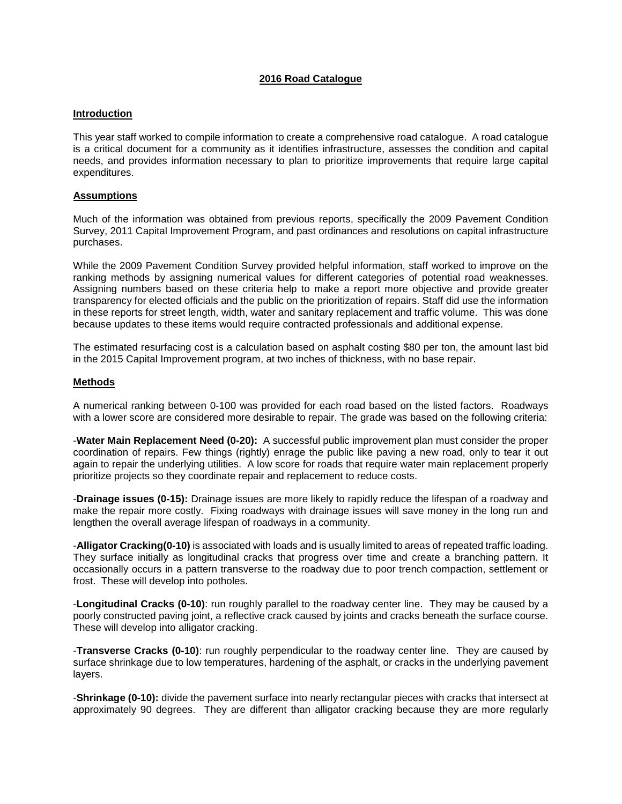# **2016 Road Catalogue**

## **Introduction**

This year staff worked to compile information to create a comprehensive road catalogue. A road catalogue is a critical document for a community as it identifies infrastructure, assesses the condition and capital needs, and provides information necessary to plan to prioritize improvements that require large capital expenditures.

# **Assumptions**

Much of the information was obtained from previous reports, specifically the 2009 Pavement Condition Survey, 2011 Capital Improvement Program, and past ordinances and resolutions on capital infrastructure purchases.

While the 2009 Pavement Condition Survey provided helpful information, staff worked to improve on the ranking methods by assigning numerical values for different categories of potential road weaknesses. Assigning numbers based on these criteria help to make a report more objective and provide greater transparency for elected officials and the public on the prioritization of repairs. Staff did use the information in these reports for street length, width, water and sanitary replacement and traffic volume. This was done because updates to these items would require contracted professionals and additional expense.

The estimated resurfacing cost is a calculation based on asphalt costing \$80 per ton, the amount last bid in the 2015 Capital Improvement program, at two inches of thickness, with no base repair.

## **Methods**

A numerical ranking between 0-100 was provided for each road based on the listed factors. Roadways with a lower score are considered more desirable to repair. The grade was based on the following criteria:

-**Water Main Replacement Need (0-20):** A successful public improvement plan must consider the proper coordination of repairs. Few things (rightly) enrage the public like paving a new road, only to tear it out again to repair the underlying utilities. A low score for roads that require water main replacement properly prioritize projects so they coordinate repair and replacement to reduce costs.

-**Drainage issues (0-15):** Drainage issues are more likely to rapidly reduce the lifespan of a roadway and make the repair more costly. Fixing roadways with drainage issues will save money in the long run and lengthen the overall average lifespan of roadways in a community.

-**Alligator Cracking(0-10)** is associated with loads and is usually limited to areas of repeated traffic loading. They surface initially as longitudinal cracks that progress over time and create a branching pattern. It occasionally occurs in a pattern transverse to the roadway due to poor trench compaction, settlement or frost. These will develop into potholes.

-**Longitudinal Cracks (0-10)**: run roughly parallel to the roadway center line. They may be caused by a poorly constructed paving joint, a reflective crack caused by joints and cracks beneath the surface course. These will develop into alligator cracking.

-**Transverse Cracks (0-10)**: run roughly perpendicular to the roadway center line. They are caused by surface shrinkage due to low temperatures, hardening of the asphalt, or cracks in the underlying pavement layers.

-**Shrinkage (0-10):** divide the pavement surface into nearly rectangular pieces with cracks that intersect at approximately 90 degrees. They are different than alligator cracking because they are more regularly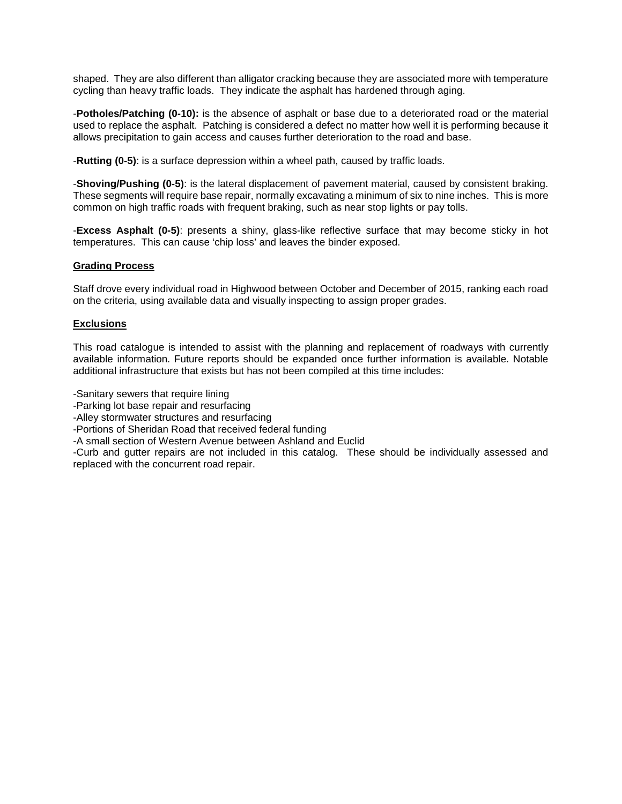shaped. They are also different than alligator cracking because they are associated more with temperature cycling than heavy traffic loads. They indicate the asphalt has hardened through aging.

-**Potholes/Patching (0-10):** is the absence of asphalt or base due to a deteriorated road or the material used to replace the asphalt. Patching is considered a defect no matter how well it is performing because it allows precipitation to gain access and causes further deterioration to the road and base.

-**Rutting (0-5)**: is a surface depression within a wheel path, caused by traffic loads.

-**Shoving/Pushing (0-5)**: is the lateral displacement of pavement material, caused by consistent braking. These segments will require base repair, normally excavating a minimum of six to nine inches. This is more common on high traffic roads with frequent braking, such as near stop lights or pay tolls.

-**Excess Asphalt (0-5)**: presents a shiny, glass-like reflective surface that may become sticky in hot temperatures. This can cause 'chip loss' and leaves the binder exposed.

# **Grading Process**

Staff drove every individual road in Highwood between October and December of 2015, ranking each road on the criteria, using available data and visually inspecting to assign proper grades.

# **Exclusions**

This road catalogue is intended to assist with the planning and replacement of roadways with currently available information. Future reports should be expanded once further information is available. Notable additional infrastructure that exists but has not been compiled at this time includes:

-Sanitary sewers that require lining

-Parking lot base repair and resurfacing

-Alley stormwater structures and resurfacing

-Portions of Sheridan Road that received federal funding

-A small section of Western Avenue between Ashland and Euclid

-Curb and gutter repairs are not included in this catalog. These should be individually assessed and replaced with the concurrent road repair.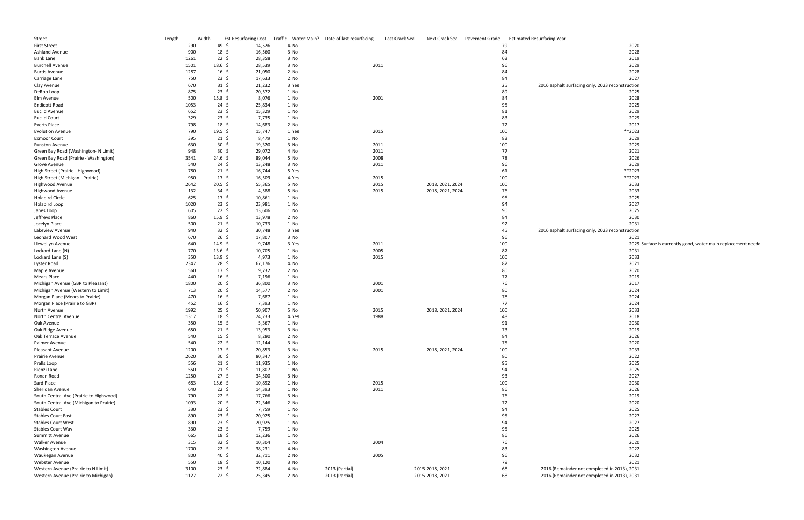| Street                                  | Length | Width |                    | <b>Est Resurfacing Cost</b> |       | Traffic Water Main? Date of last resurfacing | Last Crack Seal | Next Crack Seal  | Pavement Grade | <b>Estimated Resurfacing Year</b>                                   |
|-----------------------------------------|--------|-------|--------------------|-----------------------------|-------|----------------------------------------------|-----------------|------------------|----------------|---------------------------------------------------------------------|
| <b>First Street</b>                     |        | 290   | 49\$               | 14,526                      | 4 No  |                                              |                 |                  |                | 79<br>2020                                                          |
| Ashland Avenue                          |        | 900   | 18, 5              | 16,560                      | 3 No  |                                              |                 |                  |                | 2028<br>84                                                          |
| Bank Lane                               |        | 1261  | $22 \;$ \$         | 28,358                      | 3 No  |                                              |                 |                  |                | 62<br>2019                                                          |
| <b>Burchell Avenue</b>                  |        | 1501  | $18.6\;$ \$        | 28,539                      | 3 No  | 2011                                         |                 |                  |                | 96<br>2029                                                          |
| <b>Burtis Avenue</b>                    |        | 1287  | $16 \;$ \$         | 21,050                      | 2 No  |                                              |                 |                  |                | 84<br>2028                                                          |
| Carriage Lane                           |        | 750   | $23 \;$ \$         | 17,633                      | 2 No  |                                              |                 |                  |                | 2027<br>84                                                          |
| Clay Avenue                             |        | 670   | $31 \;$ \$         | 21,232                      | 3 Yes |                                              |                 |                  |                | 25<br>2016 asphalt surfacing only, 2023 reconstruction              |
| DeRoo Loop                              |        | 875   | $23 \;$ \$         | 20,572                      | 1 No  |                                              |                 |                  |                | 89<br>2025                                                          |
| Elm Avenue                              |        | 500   | $15.8 \; \text{S}$ | 8,076                       | 1 No  | 2001                                         |                 |                  |                | 84<br>2028                                                          |
| <b>Endicott Road</b>                    |        | 1053  | $24 \;$ \$         | 25,834                      | 1 No  |                                              |                 |                  |                | 95<br>2025                                                          |
| <b>Euclid Avenue</b>                    |        | 652   | $23 \;$ \$         | 15,329                      | 1 No  |                                              |                 |                  |                | 2029<br>81                                                          |
| <b>Euclid Court</b>                     |        | 329   | $23 \;$ \$         | 7,735                       | 1 No  |                                              |                 |                  |                | 83<br>2029                                                          |
| Everts Place                            |        | 798   | 18, 5              | 14,683                      | 2 No  |                                              |                 |                  |                | 72<br>2017                                                          |
| <b>Evolution Avenue</b>                 |        | 790   | 19.5 \$            | 15,747                      | 1 Yes | 2015                                         |                 |                  |                | 100<br>**2023                                                       |
| <b>Exmoor Court</b>                     |        | 395   | 21 \$              | 8,479                       | 1 No  |                                              |                 |                  |                | 82<br>2029                                                          |
| <b>Funston Avenue</b>                   |        | 630   | $30 \; \text{S}$   | 19,320                      | 3 No  | 2011                                         |                 |                  |                | 100<br>2029                                                         |
| Green Bay Road (Washington- N Limit)    |        | 948   | $30 \; \text{S}$   |                             |       | 2011                                         |                 |                  |                | 77<br>2021                                                          |
|                                         |        |       |                    | 29,072                      | 4 No  |                                              |                 |                  |                | 2026                                                                |
| Green Bay Road (Prairie - Washington)   |        | 3541  | $24.6\;$ \$        | 89,044                      | 5 No  | 2008                                         |                 |                  |                | 78                                                                  |
| Grove Avenue                            |        | 540   | $24 \text{ }$      | 13,248                      | 3 No  | 2011                                         |                 |                  |                | 96<br>2029<br>**2023                                                |
| High Street (Prairie - Highwood)        |        | 780   | $21 \;$ \$         | 16,744                      | 5 Yes |                                              |                 |                  |                | 61                                                                  |
| High Street (Michigan - Prairie)        |        | 950   | $17 \;$ \$         | 16,509                      | 4 Yes | 2015                                         |                 |                  |                | 100<br>**2023                                                       |
| Highwood Avenue                         |        | 2642  | $20.5 \; \text{S}$ | 55,365                      | 5 No  | 2015                                         |                 | 2018, 2021, 2024 |                | 2033<br>100                                                         |
| <b>Highwood Avenue</b>                  |        | 132   | $34 \;$ \$         | 4,588                       | 5 No  | 2015                                         |                 | 2018, 2021, 2024 |                | 2033<br>76                                                          |
| <b>Holabird Circle</b>                  |        | 625   | $17 \;$ \$         | 10,861                      | 1 No  |                                              |                 |                  |                | 96<br>2025                                                          |
| Holabird Loop                           |        | 1020  | $23 \;$ \$         | 23,981                      | 1 No  |                                              |                 |                  |                | 2027<br>94                                                          |
| Janes Loop                              |        | 605   | $22 \div$          | 13,606                      | 1 No  |                                              |                 |                  |                | 90<br>2025                                                          |
| Jeffreys Place                          |        | 860   | 15.9 \$            | 13,978                      | 2 No  |                                              |                 |                  |                | 84<br>2030                                                          |
| Jocelyn Place                           |        | 500   | $21 \;$ \$         | 10,733                      | 1 No  |                                              |                 |                  |                | 92<br>2031                                                          |
| Lakeview Avenue                         |        | 940   | $32 \div$          | 30,748                      | 3 Yes |                                              |                 |                  |                | 45<br>2016 asphalt surfacing only, 2023 reconstruction              |
| Leonard Wood West                       |        | 670   | $26 \;$ \$         | 17,807                      | 3 No  |                                              |                 |                  |                | 96<br>2021                                                          |
| Llewellyn Avenue                        |        | 640   | 14.9 \$            | 9,748                       | 3 Yes | 2011                                         |                 |                  |                | 100<br>2029 Surface is currently good, water main replacement neede |
| Lockard Lane (N)                        |        | 770   | $13.6\;$ \$        | 10,705                      | 1 No  | 2005                                         |                 |                  |                | 87<br>2031                                                          |
| Lockard Lane (S)                        |        | 350   | 13.9 \$            | 4,973                       | 1 No  | 2015                                         |                 |                  |                | 100<br>2033                                                         |
| Lyster Road                             |        | 2347  | 28\$               | 67,176                      | 4 No  |                                              |                 |                  |                | 82<br>2021                                                          |
| Maple Avenue                            |        | 560   | $17 \;$ \$         | 9,732                       | 2 No  |                                              |                 |                  |                | 80<br>2020                                                          |
| Mears Place                             |        | 440   | $16 \;$ \$         | 7,196                       | 1 No  |                                              |                 |                  |                | 77<br>2019                                                          |
| Michigan Avenue (GBR to Pleasant)       |        | 1800  | $20 \;$ \$         | 36,800                      | 3 No  | 2001                                         |                 |                  |                | 76<br>2017                                                          |
| Michigan Avenue (Western to Limit)      |        | 713   | $20 \; \text{S}$   | 14,577                      | 2 No  | 2001                                         |                 |                  |                | 80<br>2024                                                          |
| Morgan Place (Mears to Prairie)         |        | 470   | $16 \;$ \$         | 7,687                       | 1 No  |                                              |                 |                  |                | 78<br>2024                                                          |
| Morgan Place (Prairie to GBR)           |        | 452   | $16 \;$ \$         | 7,393                       | 1 No  |                                              |                 |                  |                | 77<br>2024                                                          |
| North Avenue                            |        | 1992  | $25 \;$ \$         | 50,907                      | 5 No  | 2015                                         |                 | 2018, 2021, 2024 |                | 100<br>2033                                                         |
| North Central Avenue                    |        | 1317  | $18 \;$ \$         | 24,233                      | 4 Yes | 1988                                         |                 |                  |                | 48<br>2018                                                          |
| Oak Avenue                              |        | 350   | $15 \;$ \$         | 5,367                       | 1 No  |                                              |                 |                  |                | 91<br>2030                                                          |
| Oak Ridge Avenue                        |        | 650   | $21 \;$ \$         | 13,953                      | 3 No  |                                              |                 |                  |                | 73<br>2019                                                          |
| Oak Terrace Avenue                      |        | 540   | $15 \; \xi$        | 8,280                       | 2 No  |                                              |                 |                  |                | 84<br>2026                                                          |
| Palmer Avenue                           |        | 540   | $22 \;$ \$         | 12,144                      | 3 No  |                                              |                 |                  |                | 75<br>2020                                                          |
| Pleasant Avenue                         |        | 1200  | $17 \pm$           | 20,853                      | 3 No  | 2015                                         |                 | 2018, 2021, 2024 |                | 2033<br>100                                                         |
| Prairie Avenue                          |        | 2620  | $30 \; \text{S}$   | 80,347                      | 5 No  |                                              |                 |                  |                | 80<br>2022                                                          |
| Pralls Loop                             |        | 556   | $21 \;$ \$         | 11,935                      | 1 No  |                                              |                 |                  |                | 95<br>2025                                                          |
| Rienzi Lane                             |        | 550   | $21 \;$ \$         | 11,807                      | 1 No  |                                              |                 |                  |                | 2025<br>94                                                          |
| Ronan Road                              |        | 1250  | 27 \$              | 34,500                      | 3 No  |                                              |                 |                  |                | 2027<br>93                                                          |
| Sard Place                              |        | 683   | $15.6 \; \text{S}$ | 10,892                      | 1 No  | 2015                                         |                 |                  |                | 100<br>2030                                                         |
| Sheridan Avenue                         |        | 640   | $22 \frac{2}{3}$   | 14,393                      | 1 No  | 2011                                         |                 |                  |                | 86<br>2026                                                          |
| South Central Ave (Prairie to Highwood) |        | 790   | $22 \;$ \$         | 17,766                      | 3 No  |                                              |                 |                  |                | 76<br>2019                                                          |
| South Central Ave (Michigan to Prairie) |        | 1093  | $20 \; \text{S}$   | 22,346                      | 2 No  |                                              |                 |                  |                | 2020<br>72                                                          |
| <b>Stables Court</b>                    |        | 330   | $23 \;$ \$         | 7,759                       | 1 No  |                                              |                 |                  |                | 94<br>2025                                                          |
| <b>Stables Court East</b>               |        | 890   | $23 \;$ \$         | 20,925                      | 1 No  |                                              |                 |                  |                | 95<br>2027                                                          |
| <b>Stables Court West</b>               |        | 890   | $23 \;$ \$         | 20,925                      | 1 No  |                                              |                 |                  |                | 94<br>2027                                                          |
| <b>Stables Court Way</b>                |        | 330   | $23 \;$ \$         | 7,759                       | 1 No  |                                              |                 |                  |                | 95<br>2025                                                          |
| Summitt Avenue                          |        | 665   | 18\$               | 12,236                      | 1 No  |                                              |                 |                  |                | 86<br>2026                                                          |
| Walker Avenue                           |        | 315   | $32 \div$          | 10,304                      | 1 No  | 2004                                         |                 |                  |                | 76<br>2020                                                          |
| <b>Washington Avenue</b>                |        | 1700  | $22 \;$ \$         | 38,231                      | 4 No  |                                              |                 |                  |                | 83<br>2022                                                          |
| Waukegan Avenue                         |        | 800   | 40 \$              | 32,711                      | 2 No  | 2005                                         |                 |                  |                | 2032<br>96                                                          |
| Webster Avenue                          |        | 550   | 18\$               | 10,120                      | 3 No  |                                              |                 |                  |                | 79<br>2021                                                          |
| Western Avenue (Prairie to N Limit)     |        | 3100  | $23 \; \zeta$      | 72,884                      | 4 No  | 2013 (Partial)                               |                 | 2015 2018, 2021  |                | 68<br>2016 (Remainder not completed in 2013), 2031                  |
| Western Avenue (Prairie to Michigan)    |        | 1127  | $22 \;$ \$         | 25,345                      | 2 No  | 2013 (Partial)                               |                 | 2015 2018, 2021  |                | 68<br>2016 (Remainder not completed in 2013), 2031                  |
|                                         |        |       |                    |                             |       |                                              |                 |                  |                |                                                                     |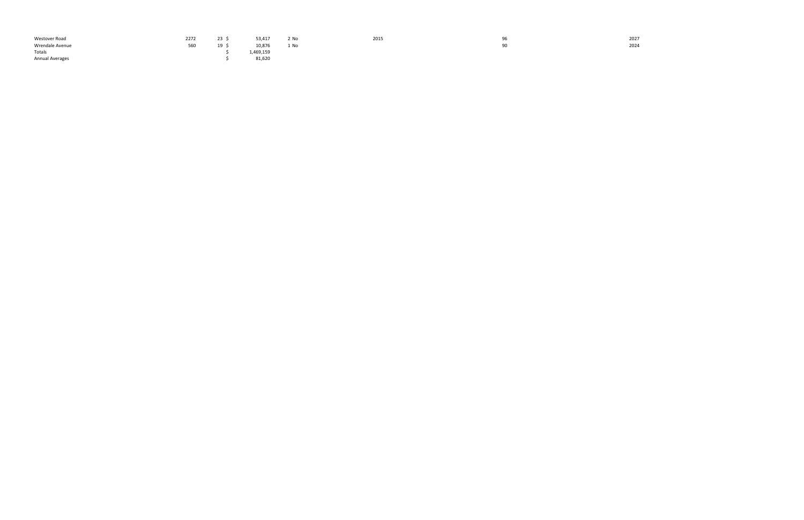| Westover Road          | 2272 | 23 <sup>°</sup> | 53,417    | 2 No | 2015 | Уb | 2027<br>and the con- |
|------------------------|------|-----------------|-----------|------|------|----|----------------------|
| Wrendale Avenue        | 560  | ᅩ               | 10,876    | 1 No |      | 90 | 2024                 |
| Totals                 |      |                 | 1,469,159 |      |      |    |                      |
| <b>Annual Averages</b> |      |                 | 81,620    |      |      |    |                      |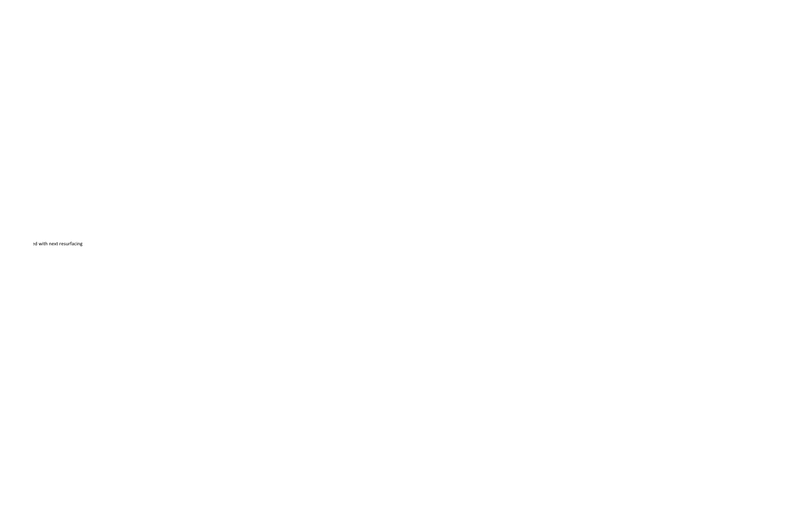ed with next resurfacing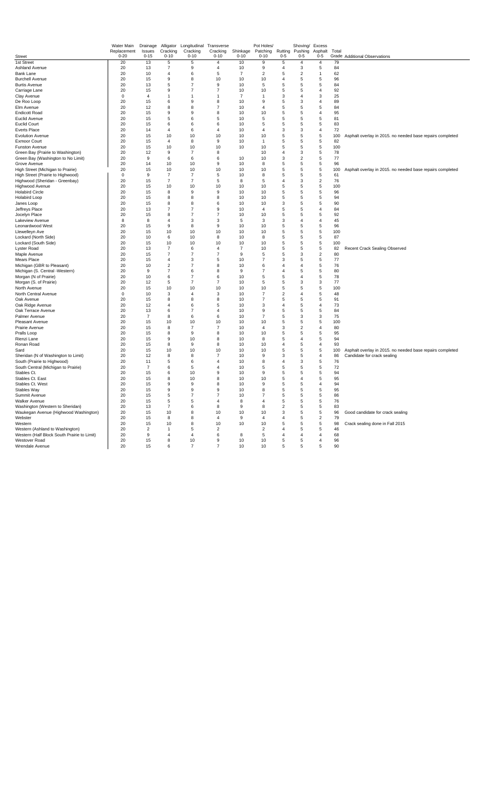|                                                                        | Water Main              | Drainage           | Alligator            | Longitudinal         | Transverse           |                      | Pot Holes/           |                                | Shoving/            | Excess              |           |                                                           |
|------------------------------------------------------------------------|-------------------------|--------------------|----------------------|----------------------|----------------------|----------------------|----------------------|--------------------------------|---------------------|---------------------|-----------|-----------------------------------------------------------|
| <b>Street</b>                                                          | Replacement<br>$0 - 20$ | Issues<br>$0 - 15$ | Cracking<br>$0 - 10$ | Cracking<br>$0 - 10$ | Cracking<br>$0 - 10$ | Shinkage<br>$0 - 10$ | Patching<br>$0 - 10$ | Rutting<br>$0 - 5$             | Pushing<br>$0 - 5$  | Asphalt<br>$0 - 5$  | Total     | Grade Additional Observations                             |
| 1st Street                                                             | 20                      | 13                 | 5                    | 5                    | $\overline{4}$       | 10                   | 9                    | 5                              | $\overline{4}$      | $\overline{4}$      | 79        |                                                           |
| Ashland Avenue                                                         | 20                      | 13                 | $\overline{7}$       | 9                    | $\overline{4}$       | 10                   | 9                    | $\overline{4}$                 | 3                   | 5                   | 84        |                                                           |
| Bank Lane                                                              | 20                      | 10                 | $\overline{4}$       | 6                    | 5                    | $\overline{7}$       | $\overline{2}$       | 5                              | $\overline{2}$      | $\mathbf{1}$        | 62        |                                                           |
| <b>Burchell Avenue</b>                                                 | 20                      | 15                 | $_{9}$               | 8                    | 10                   | 10                   | 10                   | $\overline{4}$                 | 5                   | 5                   | 96        |                                                           |
| <b>Burtis Avenue</b>                                                   | 20                      | 13                 | 5                    | $\overline{7}$       | $\mathbf{Q}$         | 10                   | 5                    | 5                              | 5                   | 5                   | 84        |                                                           |
| Carriage Lane                                                          | 20                      | 15                 | 9                    | $\overline{7}$       | $\overline{7}$       | 10                   | 10                   | 5                              | 5                   | $\overline{4}$      | 92        |                                                           |
| Clay Avenue                                                            | $\bf 0$                 | $\overline{4}$     | $\overline{1}$       | $\mathbf{1}$         | $\mathbf{1}$         | $\overline{7}$       | $\mathbf{1}$         | 3                              | $\overline{4}$      | 3                   | 25        |                                                           |
| De Roo Loop<br>Elm Avenue                                              | 20<br>20                | 15<br>12           | 6<br>8               | 9<br>8               | 8<br>$\overline{7}$  | 10<br>10             | 9<br>$\overline{4}$  | 5<br>5                         | 3<br>5              | $\overline{4}$<br>5 | 89<br>84  |                                                           |
| <b>Endicott Road</b>                                                   | 20                      | 15                 | 9                    | 9                    | 8                    | 10                   | 10                   | 5                              | 5                   | $\overline{4}$      | 95        |                                                           |
| <b>Euclid Avenue</b>                                                   | 20                      | 15                 | 5                    | 6                    | 5                    | 10                   | 5                    | $\sqrt{5}$                     | $\sqrt{5}$          | 5                   | 81        |                                                           |
| <b>Euclid Court</b>                                                    | 20                      | 15                 | 6                    | 6                    | 6                    | 10                   | 5                    | 5                              | 5                   | 5                   | 83        |                                                           |
| <b>Everts Place</b>                                                    | 20                      | 14                 | $\overline{4}$       | 6                    | $\overline{4}$       | 10                   | $\overline{4}$       | 3                              | 3                   | 4                   | 72        |                                                           |
| <b>Evolution Avenue</b>                                                | 20                      | 15                 | 10                   | 10                   | 10                   | 10                   | 10                   | 5                              | 5                   | 5                   | 100       | Asphalt overlay in 2015. no needed base repairs completed |
| <b>Exmoor Court</b>                                                    | 20                      | 15                 | $\overline{4}$       | 8                    | 9                    | 10                   | $\mathbf{1}$         | 5                              | 5                   | 5                   | 82        |                                                           |
| Funston Avenue                                                         | 20                      | 15                 | 10                   | 10                   | 10                   | 10                   | 10                   | 5                              | 5                   | 5                   | 100       |                                                           |
| Green Bay (Prairie to Washington)                                      | 20                      | 12                 | $_{9}$               | $\overline{7}$       | 8                    |                      | 10                   | $\overline{4}$                 | 3                   | 5                   | 78        |                                                           |
| Green Bay (Washington to No Limit)                                     | 20                      | 9                  | 6                    | 6                    | 6                    | 10                   | 10                   | 3                              | $\overline{2}$      | 5                   | 77        |                                                           |
| Grove Avenue                                                           | 20                      | 14                 | 10                   | 10                   | $\mathbf{Q}$         | 10                   | $\mathsf{R}$         | 5                              | 5                   | 5                   | 96        |                                                           |
| High Street (Michigan to Prairie)<br>High Street (Prairie to Highwood) | 20<br>0                 | 15<br>9            | 10<br>$\overline{7}$ | 10<br>7              | 10<br>5              | 10<br>10             | 10<br>8              | 5<br>5                         | 5<br>5              | 5<br>5              | 100<br>61 | Asphalt overlay in 2015. no needed base repairs completed |
| Highwood (Sheridan - Greenbay)                                         | 20                      | 15                 | $\overline{7}$       | $\overline{7}$       | 5                    | 8                    | 5                    | $\overline{4}$                 | 3                   | $\overline{c}$      | 76        |                                                           |
| Highwood Avenue                                                        | 20                      | 15                 | 10                   | 10                   | 10                   | 10                   | 10                   | 5                              | 5                   | 5                   | 100       |                                                           |
| <b>Holabird Circle</b>                                                 | 20                      | 15                 | 8                    | 9                    | 9                    | 10                   | 10                   | $\sqrt{5}$                     | 5                   | 5                   | 96        |                                                           |
| Holabird Loop                                                          | 20                      | 15                 | 8                    | 8                    | 8                    | 10                   | 10                   | 5                              | 5                   | 5                   | 94        |                                                           |
| Janes Loop                                                             | 20                      | 15                 | 8                    | 8                    | 6                    | 10                   | 10                   | 3                              | 5                   | 5                   | 90        |                                                           |
| Jeffreys Place                                                         | 20                      | 13                 | $\overline{7}$       | $\overline{7}$       | 9                    | 10                   | $\overline{4}$       | 5                              | 5                   | 4                   | 84        |                                                           |
| Jocelyn Place                                                          | 20                      | 15                 | 8                    | $\overline{7}$       | $\overline{7}$       | 10                   | 10                   | 5                              | 5                   | 5                   | 92        |                                                           |
| Lakeview Avenue                                                        | 8                       | 8                  | $\overline{4}$       | 3                    | 3                    | 5                    | 3                    | 3                              | $\overline{4}$      | $\overline{4}$      | 45        |                                                           |
| Leonardwood West                                                       | 20                      | 15                 | 9                    | 8                    | 9                    | 10                   | 10                   | 5                              | 5                   | 5                   | 96        |                                                           |
| Llewelleyn Ave                                                         | 20<br>20                | 15<br>10           | 10<br>6              | 10<br>10             | 10<br>$\mathbf{R}$   | 10<br>10             | 10<br>$\mathsf{R}$   | 5<br>5                         | 5<br>5              | 5<br>5              | 100<br>87 |                                                           |
| Lockard (North Side)<br>Lockard (South Side)                           | 20                      | 15                 | 10                   | 10                   | 10                   | 10                   | 10                   | 5                              | 5                   | 5                   | 100       |                                                           |
| Lyster Road                                                            | 20                      | 13                 | 7                    | 6                    | $\overline{4}$       | 7                    | 10                   | 5                              | 5                   | 5                   | 82        | <b>Recent Crack Sealing Observed</b>                      |
| Maple Avenue                                                           | 20                      | 15                 | $\overline{7}$       | $\overline{7}$       | $\overline{7}$       | 9                    | 5                    | 5                              | 3                   | $\overline{2}$      | 80        |                                                           |
| Mears Place                                                            | 20                      | 15                 | $\overline{4}$       | 3                    | 5                    | 10                   | $\overline{7}$       | 3                              | 5                   | 5                   | 77        |                                                           |
| Michigan (GBR to Pleasant)                                             | 20                      | 10                 | $\overline{2}$       | $\overline{7}$       | 8                    | 10                   | 6                    | $\overline{4}$                 | $\overline{4}$      | 5                   | 76        |                                                           |
| Michigan (S. Central -Western)                                         | 20                      | 9                  | $\overline{7}$       | 6                    | 8                    | 9                    | $\overline{7}$       | $\overline{4}$                 | 5                   | 5                   | 80        |                                                           |
| Morgan (N of Prairie)                                                  | 20                      | 10                 | 6                    | $\overline{7}$       | 6                    | 10                   | 5                    | 5                              | $\overline{4}$      | 5                   | 78        |                                                           |
| Morgan (S. of Prairie)                                                 | 20                      | 12                 | $\,$ 5 $\,$          | $\overline{7}$       | $\overline{7}$       | 10                   | 5                    | 5                              | 3                   | 3                   | 77        |                                                           |
| North Avenue                                                           | 20                      | 15                 | 10                   | 10<br>$\overline{4}$ | 10                   | 10                   | 10<br>$\overline{7}$ | 5                              | 5                   | 5                   | 100       |                                                           |
| North Central Avenue<br>Oak Avenue                                     | $\bf 0$<br>20           | 10<br>15           | 3<br>8               | 8                    | 3<br>8               | 10<br>10             | $\overline{7}$       | $\overline{\mathbf{c}}$<br>5   | $\overline{4}$<br>5 | 5<br>5              | 48<br>91  |                                                           |
| Oak Ridge Avenue                                                       | 20                      | 12                 | $\overline{4}$       | 6                    | 5                    | 10                   | 3                    | $\overline{4}$                 | 5                   | 4                   | 73        |                                                           |
| Oak Terrace Avenue                                                     | 20                      | 13                 | 6                    | $\overline{7}$       | $\overline{4}$       | 10                   | 9                    | 5                              | 5                   | 5                   | 84        |                                                           |
| Palmer Avenue                                                          | 20                      | $\overline{7}$     | 8                    | 6                    | 6                    | 10                   | $\overline{7}$       | 5                              | 3                   | 3                   | 75        |                                                           |
| Pleasant Avenue                                                        | 20                      | 15                 | 10                   | 10                   | 10                   | 10                   | 10                   | 5                              | 5                   | 5                   | 100       |                                                           |
| Prairie Avenue                                                         | 20                      | 15                 | 8                    | 7                    | $\overline{7}$       | 10                   | $\overline{4}$       | 3                              | $\overline{c}$      | 4                   | 80        |                                                           |
| Pralls Loop                                                            | 20                      | 15                 | 8                    | 9                    | 8                    | 10                   | 10                   | 5                              | 5                   | 5                   | 95        |                                                           |
| Rienzi Lane                                                            | 20                      | 15                 | 9                    | 10                   | 8                    | 10                   | 8                    | 5                              | $\overline{4}$      | 5                   | 94        |                                                           |
| Ronan Road                                                             | 20                      | 15                 | 8                    | 9                    | 8                    | 10                   | 10                   | $\overline{4}$                 | 5                   | $\overline{4}$      | 93        |                                                           |
| Sard                                                                   | 20<br>20                | 15<br>12           | 10                   | 10<br>8              | 10<br>$\overline{7}$ | 10                   | 10<br>9              | 5                              | 5                   | 5<br>$\overline{4}$ | 100       | Asphalt overlay in 2015. no needed base repairs completed |
| Sheridan (N of Washington to Limit)<br>South (Prairie to Highwood)     | 20                      | 11                 | 8<br>5               | 6                    | $\overline{4}$       | 10<br>10             | 8                    | $\mathbf{3}$<br>$\overline{4}$ | 5<br>3              | 5                   | 86<br>76  | Candidate for crack sealing                               |
| South Central (Michigan to Prairie)                                    | 20                      | $\overline{7}$     | 6                    | 5                    | $\overline{4}$       | 10                   | 5                    | 5                              | 5                   | 5                   | 72        |                                                           |
| Stables Ct.                                                            | 20                      | 15                 | 6                    | 10                   | 9                    | 10                   | 9                    | 5                              | 5                   | 5                   | 94        |                                                           |
| Stables Ct. East                                                       | 20                      | 15                 | 8                    | 10                   | 8                    | 10                   | 10                   | 5                              | $\overline{4}$      | 5                   | 95        |                                                           |
| Stables Ct. West                                                       | 20                      | 15                 | 9                    | 9                    | 8                    | 10                   | 9                    | 5                              | 5                   | $\overline{4}$      | 94        |                                                           |
| Stables Way                                                            | 20                      | 15                 | 9                    | 9                    | $\mathbf{Q}$         | 10                   | 8                    | 5                              | 5                   | 5                   | 95        |                                                           |
| Summit Avenue                                                          | 20                      | 15                 | 5                    | $\overline{7}$       | $\overline{7}$       | 10                   | $\overline{7}$       | 5                              | 5                   | 5                   | 86        |                                                           |
| <b>Walker Avenue</b>                                                   | 20                      | 15                 | 5                    | 5                    | $\overline{4}$       | 8                    | $\overline{a}$       | 5                              | 5                   | 5                   | 76        |                                                           |
| Washington (Western to Sheridan)                                       | 20                      | 13                 | $\overline{7}$       | 6                    | R                    | $\mathbf{q}$         | $\mathsf{R}$         | $\sqrt{2}$                     | 5                   | 5                   | 83        |                                                           |
| Waukegan Avenue (Highwood Washington)                                  | 20                      | 15                 | 10                   | 8                    | 10                   | 10                   | 10                   | 3                              | 5                   | 5                   | 96        | Good candidate for crack sealing                          |
| Webster<br>Western                                                     | 20<br>20                | 15<br>15           | 8<br>10              | 8<br>8               | $\overline{4}$<br>10 | 9<br>10              | $\overline{4}$<br>10 | $\overline{4}$<br>5            | 5<br>5              | $\overline{2}$<br>5 | 79<br>98  |                                                           |
| Western (Ashland to Washington)                                        | 20                      | $\overline{2}$     | $\overline{1}$       | 5                    | $\overline{2}$       |                      | $\overline{2}$       | $\overline{4}$                 | 5                   | 5                   | 46        | Crack sealing done in Fall 2015                           |
| Western (Half Block South Prairie to Limit)                            | 20                      | 9                  | $\overline{4}$       | $\overline{4}$       | 6                    | 8                    | 5                    | $\overline{4}$                 | 4                   | 4                   | 68        |                                                           |
| Westover Road                                                          | 20                      | 15                 | 8                    | 10                   | 9                    | 10                   | 10                   | 5                              | 5                   | $\overline{4}$      | 96        |                                                           |
| Wrendale Avenue                                                        | 20                      | 15                 | 6                    | $\overline{7}$       | $\overline{7}$       | 10                   | 10                   | 5                              | 5                   | 5                   | 90        |                                                           |
|                                                                        |                         |                    |                      |                      |                      |                      |                      |                                |                     |                     |           |                                                           |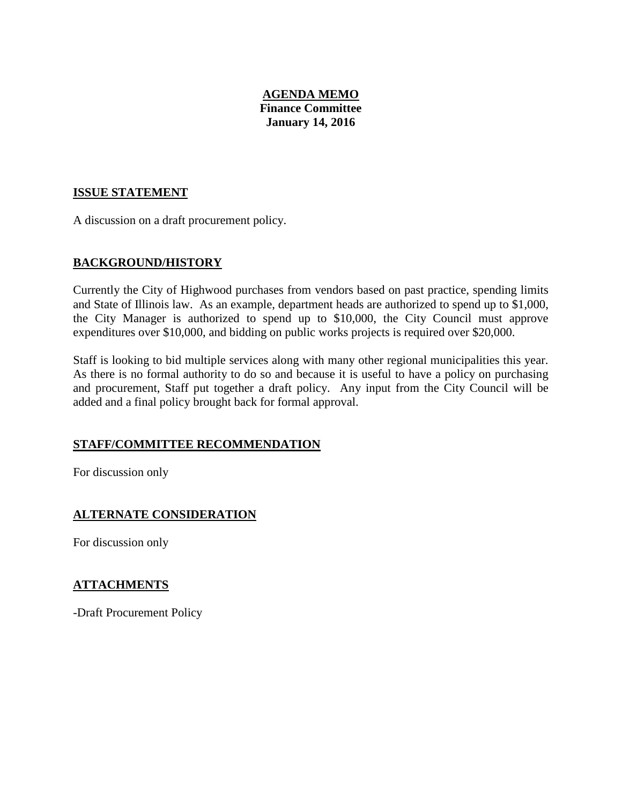# **AGENDA MEMO Finance Committee January 14, 2016**

# **ISSUE STATEMENT**

A discussion on a draft procurement policy.

# **BACKGROUND/HISTORY**

Currently the City of Highwood purchases from vendors based on past practice, spending limits and State of Illinois law. As an example, department heads are authorized to spend up to \$1,000, the City Manager is authorized to spend up to \$10,000, the City Council must approve expenditures over \$10,000, and bidding on public works projects is required over \$20,000.

Staff is looking to bid multiple services along with many other regional municipalities this year. As there is no formal authority to do so and because it is useful to have a policy on purchasing and procurement, Staff put together a draft policy. Any input from the City Council will be added and a final policy brought back for formal approval.

# **STAFF/COMMITTEE RECOMMENDATION**

For discussion only

# **ALTERNATE CONSIDERATION**

For discussion only

# **ATTACHMENTS**

-Draft Procurement Policy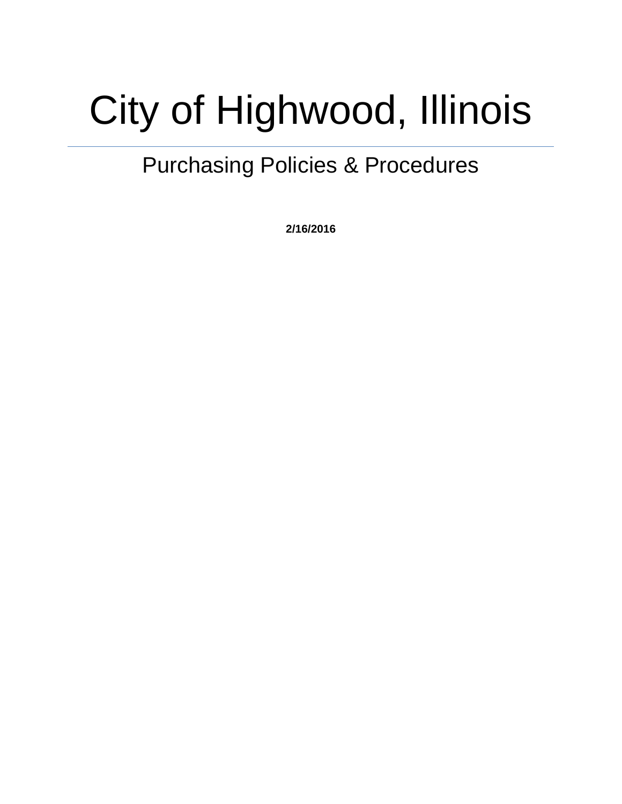# City of Highwood, Illinois

# Purchasing Policies & Procedures

**2/16/2016**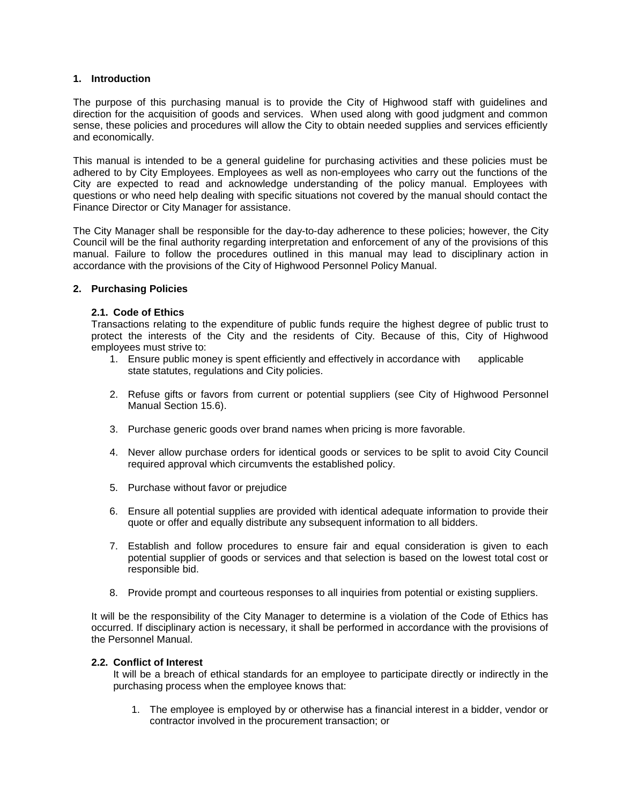# **1. Introduction**

The purpose of this purchasing manual is to provide the City of Highwood staff with guidelines and direction for the acquisition of goods and services. When used along with good judgment and common sense, these policies and procedures will allow the City to obtain needed supplies and services efficiently and economically.

This manual is intended to be a general guideline for purchasing activities and these policies must be adhered to by City Employees. Employees as well as non-employees who carry out the functions of the City are expected to read and acknowledge understanding of the policy manual. Employees with questions or who need help dealing with specific situations not covered by the manual should contact the Finance Director or City Manager for assistance.

The City Manager shall be responsible for the day-to-day adherence to these policies; however, the City Council will be the final authority regarding interpretation and enforcement of any of the provisions of this manual. Failure to follow the procedures outlined in this manual may lead to disciplinary action in accordance with the provisions of the City of Highwood Personnel Policy Manual.

# **2. Purchasing Policies**

# **2.1. Code of Ethics**

Transactions relating to the expenditure of public funds require the highest degree of public trust to protect the interests of the City and the residents of City. Because of this, City of Highwood employees must strive to:

- 1. Ensure public money is spent efficiently and effectively in accordance with applicable state statutes, regulations and City policies.
- 2. Refuse gifts or favors from current or potential suppliers (see City of Highwood Personnel Manual Section 15.6).
- 3. Purchase generic goods over brand names when pricing is more favorable.
- 4. Never allow purchase orders for identical goods or services to be split to avoid City Council required approval which circumvents the established policy.
- 5. Purchase without favor or prejudice
- 6. Ensure all potential supplies are provided with identical adequate information to provide their quote or offer and equally distribute any subsequent information to all bidders.
- 7. Establish and follow procedures to ensure fair and equal consideration is given to each potential supplier of goods or services and that selection is based on the lowest total cost or responsible bid.
- 8. Provide prompt and courteous responses to all inquiries from potential or existing suppliers.

It will be the responsibility of the City Manager to determine is a violation of the Code of Ethics has occurred. If disciplinary action is necessary, it shall be performed in accordance with the provisions of the Personnel Manual.

# **2.2. Conflict of Interest**

It will be a breach of ethical standards for an employee to participate directly or indirectly in the purchasing process when the employee knows that:

1. The employee is employed by or otherwise has a financial interest in a bidder, vendor or contractor involved in the procurement transaction; or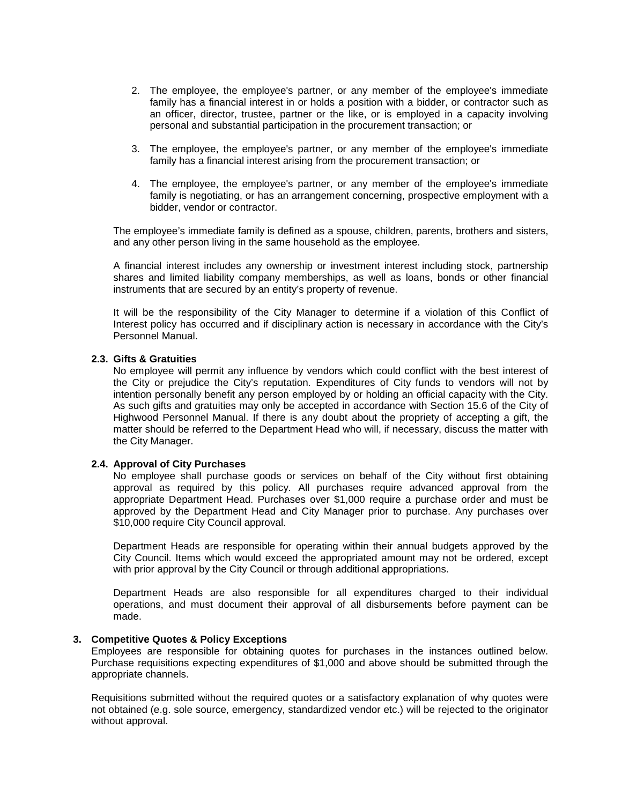- 2. The employee, the employee's partner, or any member of the employee's immediate family has a financial interest in or holds a position with a bidder, or contractor such as an officer, director, trustee, partner or the like, or is employed in a capacity involving personal and substantial participation in the procurement transaction; or
- 3. The employee, the employee's partner, or any member of the employee's immediate family has a financial interest arising from the procurement transaction; or
- 4. The employee, the employee's partner, or any member of the employee's immediate family is negotiating, or has an arrangement concerning, prospective employment with a bidder, vendor or contractor.

The employee's immediate family is defined as a spouse, children, parents, brothers and sisters, and any other person living in the same household as the employee.

A financial interest includes any ownership or investment interest including stock, partnership shares and limited liability company memberships, as well as loans, bonds or other financial instruments that are secured by an entity's property of revenue.

It will be the responsibility of the City Manager to determine if a violation of this Conflict of Interest policy has occurred and if disciplinary action is necessary in accordance with the City's Personnel Manual.

## **2.3. Gifts & Gratuities**

No employee will permit any influence by vendors which could conflict with the best interest of the City or prejudice the City's reputation. Expenditures of City funds to vendors will not by intention personally benefit any person employed by or holding an official capacity with the City. As such gifts and gratuities may only be accepted in accordance with Section 15.6 of the City of Highwood Personnel Manual. If there is any doubt about the propriety of accepting a gift, the matter should be referred to the Department Head who will, if necessary, discuss the matter with the City Manager.

#### **2.4. Approval of City Purchases**

No employee shall purchase goods or services on behalf of the City without first obtaining approval as required by this policy. All purchases require advanced approval from the appropriate Department Head. Purchases over \$1,000 require a purchase order and must be approved by the Department Head and City Manager prior to purchase. Any purchases over \$10,000 require City Council approval.

Department Heads are responsible for operating within their annual budgets approved by the City Council. Items which would exceed the appropriated amount may not be ordered, except with prior approval by the City Council or through additional appropriations.

Department Heads are also responsible for all expenditures charged to their individual operations, and must document their approval of all disbursements before payment can be made.

# **3. Competitive Quotes & Policy Exceptions**

Employees are responsible for obtaining quotes for purchases in the instances outlined below. Purchase requisitions expecting expenditures of \$1,000 and above should be submitted through the appropriate channels.

Requisitions submitted without the required quotes or a satisfactory explanation of why quotes were not obtained (e.g. sole source, emergency, standardized vendor etc.) will be rejected to the originator without approval.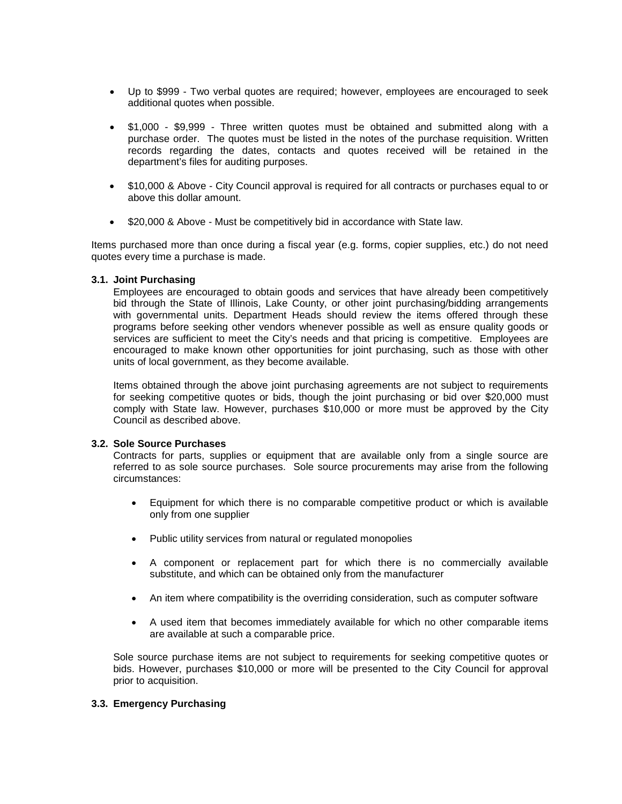- Up to \$999 Two verbal quotes are required; however, employees are encouraged to seek additional quotes when possible.
- \$1,000 \$9,999 Three written quotes must be obtained and submitted along with a purchase order. The quotes must be listed in the notes of the purchase requisition. Written records regarding the dates, contacts and quotes received will be retained in the department's files for auditing purposes.
- \$10,000 & Above City Council approval is required for all contracts or purchases equal to or above this dollar amount.
- \$20,000 & Above Must be competitively bid in accordance with State law.

Items purchased more than once during a fiscal year (e.g. forms, copier supplies, etc.) do not need quotes every time a purchase is made.

# **3.1. Joint Purchasing**

Employees are encouraged to obtain goods and services that have already been competitively bid through the State of Illinois, Lake County, or other joint purchasing/bidding arrangements with governmental units. Department Heads should review the items offered through these programs before seeking other vendors whenever possible as well as ensure quality goods or services are sufficient to meet the City's needs and that pricing is competitive. Employees are encouraged to make known other opportunities for joint purchasing, such as those with other units of local government, as they become available.

Items obtained through the above joint purchasing agreements are not subject to requirements for seeking competitive quotes or bids, though the joint purchasing or bid over \$20,000 must comply with State law. However, purchases \$10,000 or more must be approved by the City Council as described above.

# **3.2. Sole Source Purchases**

Contracts for parts, supplies or equipment that are available only from a single source are referred to as sole source purchases. Sole source procurements may arise from the following circumstances:

- Equipment for which there is no comparable competitive product or which is available only from one supplier
- Public utility services from natural or regulated monopolies
- A component or replacement part for which there is no commercially available substitute, and which can be obtained only from the manufacturer
- An item where compatibility is the overriding consideration, such as computer software
- A used item that becomes immediately available for which no other comparable items are available at such a comparable price.

Sole source purchase items are not subject to requirements for seeking competitive quotes or bids. However, purchases \$10,000 or more will be presented to the City Council for approval prior to acquisition.

# **3.3. Emergency Purchasing**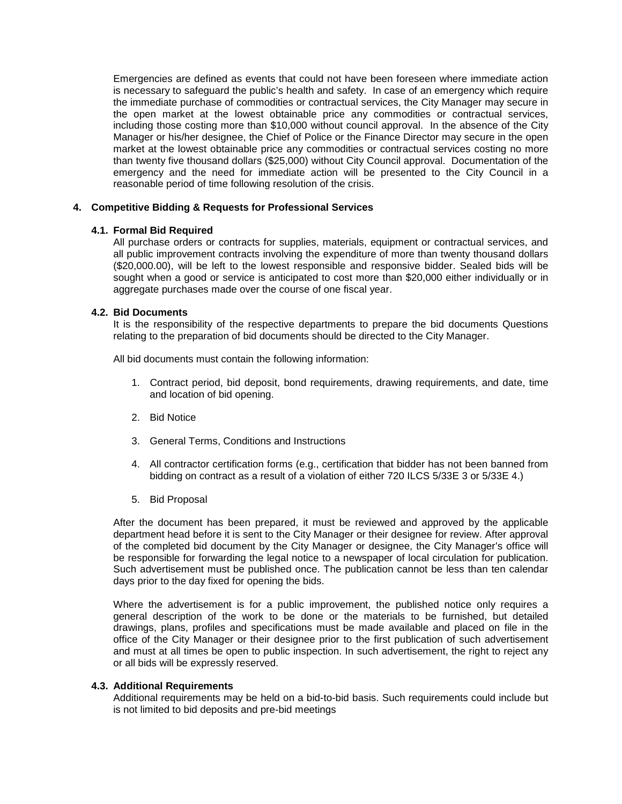Emergencies are defined as events that could not have been foreseen where immediate action is necessary to safeguard the public's health and safety. In case of an emergency which require the immediate purchase of commodities or contractual services, the City Manager may secure in the open market at the lowest obtainable price any commodities or contractual services, including those costing more than \$10,000 without council approval. In the absence of the City Manager or his/her designee, the Chief of Police or the Finance Director may secure in the open market at the lowest obtainable price any commodities or contractual services costing no more than twenty five thousand dollars (\$25,000) without City Council approval. Documentation of the emergency and the need for immediate action will be presented to the City Council in a reasonable period of time following resolution of the crisis.

# **4. Competitive Bidding & Requests for Professional Services**

# **4.1. Formal Bid Required**

All purchase orders or contracts for supplies, materials, equipment or contractual services, and all public improvement contracts involving the expenditure of more than twenty thousand dollars (\$20,000.00), will be left to the lowest responsible and responsive bidder. Sealed bids will be sought when a good or service is anticipated to cost more than \$20,000 either individually or in aggregate purchases made over the course of one fiscal year.

# **4.2. Bid Documents**

It is the responsibility of the respective departments to prepare the bid documents Questions relating to the preparation of bid documents should be directed to the City Manager.

All bid documents must contain the following information:

- 1. Contract period, bid deposit, bond requirements, drawing requirements, and date, time and location of bid opening.
- 2. Bid Notice
- 3. General Terms, Conditions and Instructions
- 4. All contractor certification forms (e.g., certification that bidder has not been banned from bidding on contract as a result of a violation of either 720 ILCS 5/33E 3 or 5/33E 4.)
- 5. Bid Proposal

After the document has been prepared, it must be reviewed and approved by the applicable department head before it is sent to the City Manager or their designee for review. After approval of the completed bid document by the City Manager or designee, the City Manager's office will be responsible for forwarding the legal notice to a newspaper of local circulation for publication. Such advertisement must be published once. The publication cannot be less than ten calendar days prior to the day fixed for opening the bids.

Where the advertisement is for a public improvement, the published notice only requires a general description of the work to be done or the materials to be furnished, but detailed drawings, plans, profiles and specifications must be made available and placed on file in the office of the City Manager or their designee prior to the first publication of such advertisement and must at all times be open to public inspection. In such advertisement, the right to reject any or all bids will be expressly reserved.

# **4.3. Additional Requirements**

Additional requirements may be held on a bid-to-bid basis. Such requirements could include but is not limited to bid deposits and pre-bid meetings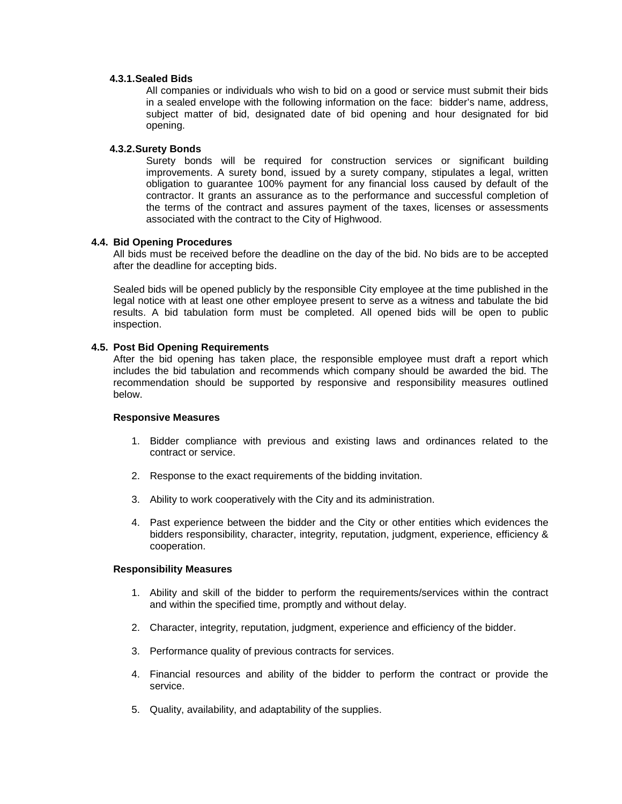## **4.3.1.Sealed Bids**

All companies or individuals who wish to bid on a good or service must submit their bids in a sealed envelope with the following information on the face: bidder's name, address, subject matter of bid, designated date of bid opening and hour designated for bid opening.

# **4.3.2.Surety Bonds**

Surety bonds will be required for construction services or significant building improvements. A surety bond, issued by a surety company, stipulates a legal, written obligation to guarantee 100% payment for any financial loss caused by default of the contractor. It grants an assurance as to the performance and successful completion of the terms of the contract and assures payment of the taxes, licenses or assessments associated with the contract to the City of Highwood.

## **4.4. Bid Opening Procedures**

All bids must be received before the deadline on the day of the bid. No bids are to be accepted after the deadline for accepting bids.

Sealed bids will be opened publicly by the responsible City employee at the time published in the legal notice with at least one other employee present to serve as a witness and tabulate the bid results. A bid tabulation form must be completed. All opened bids will be open to public inspection.

## **4.5. Post Bid Opening Requirements**

After the bid opening has taken place, the responsible employee must draft a report which includes the bid tabulation and recommends which company should be awarded the bid. The recommendation should be supported by responsive and responsibility measures outlined below.

## **Responsive Measures**

- 1. Bidder compliance with previous and existing laws and ordinances related to the contract or service.
- 2. Response to the exact requirements of the bidding invitation.
- 3. Ability to work cooperatively with the City and its administration.
- 4. Past experience between the bidder and the City or other entities which evidences the bidders responsibility, character, integrity, reputation, judgment, experience, efficiency & cooperation.

#### **Responsibility Measures**

- 1. Ability and skill of the bidder to perform the requirements/services within the contract and within the specified time, promptly and without delay.
- 2. Character, integrity, reputation, judgment, experience and efficiency of the bidder.
- 3. Performance quality of previous contracts for services.
- 4. Financial resources and ability of the bidder to perform the contract or provide the service.
- 5. Quality, availability, and adaptability of the supplies.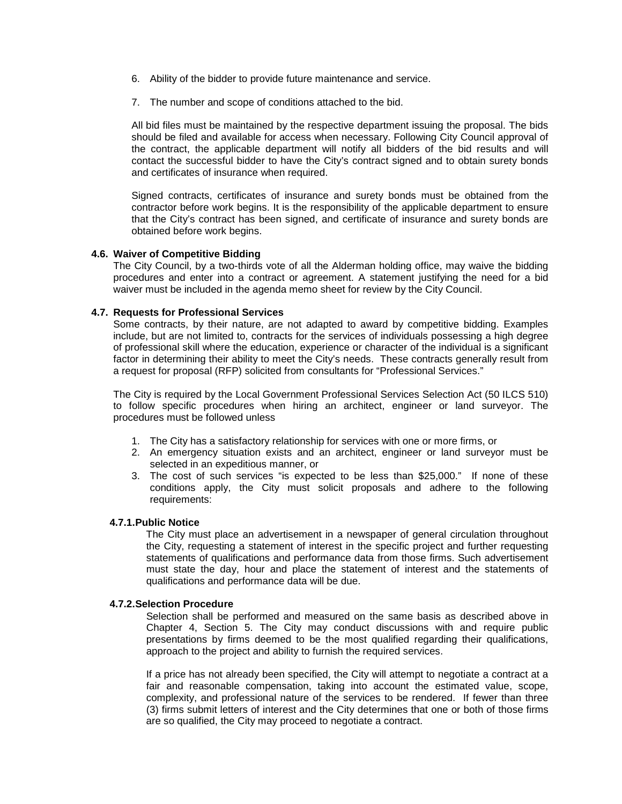- 6. Ability of the bidder to provide future maintenance and service.
- 7. The number and scope of conditions attached to the bid.

All bid files must be maintained by the respective department issuing the proposal. The bids should be filed and available for access when necessary. Following City Council approval of the contract, the applicable department will notify all bidders of the bid results and will contact the successful bidder to have the City's contract signed and to obtain surety bonds and certificates of insurance when required.

Signed contracts, certificates of insurance and surety bonds must be obtained from the contractor before work begins. It is the responsibility of the applicable department to ensure that the City's contract has been signed, and certificate of insurance and surety bonds are obtained before work begins.

## **4.6. Waiver of Competitive Bidding**

The City Council, by a two-thirds vote of all the Alderman holding office, may waive the bidding procedures and enter into a contract or agreement. A statement justifying the need for a bid waiver must be included in the agenda memo sheet for review by the City Council.

## **4.7. Requests for Professional Services**

Some contracts, by their nature, are not adapted to award by competitive bidding. Examples include, but are not limited to, contracts for the services of individuals possessing a high degree of professional skill where the education, experience or character of the individual is a significant factor in determining their ability to meet the City's needs. These contracts generally result from a request for proposal (RFP) solicited from consultants for "Professional Services."

The City is required by the Local Government Professional Services Selection Act (50 ILCS 510) to follow specific procedures when hiring an architect, engineer or land surveyor. The procedures must be followed unless

- 1. The City has a satisfactory relationship for services with one or more firms, or
- 2. An emergency situation exists and an architect, engineer or land surveyor must be selected in an expeditious manner, or
- 3. The cost of such services "is expected to be less than \$25,000." If none of these conditions apply, the City must solicit proposals and adhere to the following requirements:

#### **4.7.1.Public Notice**

The City must place an advertisement in a newspaper of general circulation throughout the City, requesting a statement of interest in the specific project and further requesting statements of qualifications and performance data from those firms. Such advertisement must state the day, hour and place the statement of interest and the statements of qualifications and performance data will be due.

#### **4.7.2.Selection Procedure**

Selection shall be performed and measured on the same basis as described above in Chapter 4, Section 5. The City may conduct discussions with and require public presentations by firms deemed to be the most qualified regarding their qualifications, approach to the project and ability to furnish the required services.

If a price has not already been specified, the City will attempt to negotiate a contract at a fair and reasonable compensation, taking into account the estimated value, scope, complexity, and professional nature of the services to be rendered. If fewer than three (3) firms submit letters of interest and the City determines that one or both of those firms are so qualified, the City may proceed to negotiate a contract.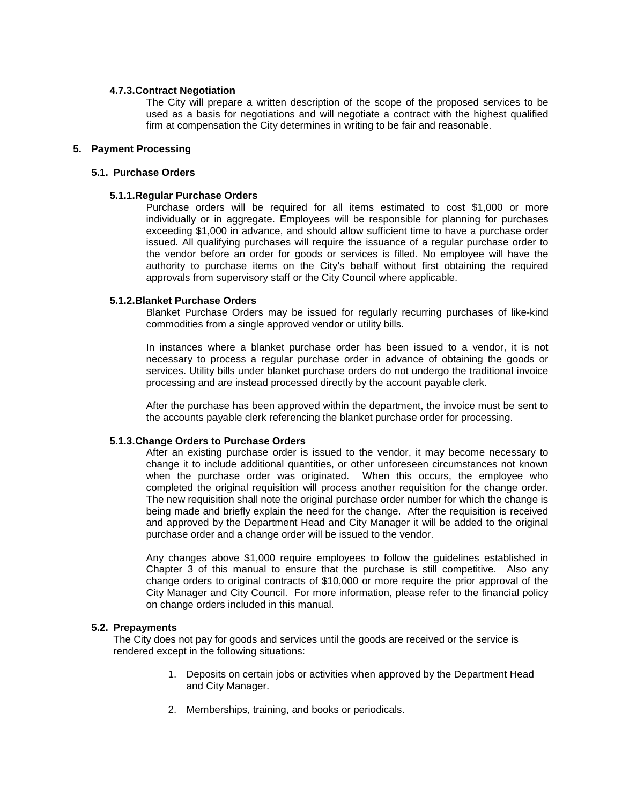# **4.7.3.Contract Negotiation**

The City will prepare a written description of the scope of the proposed services to be used as a basis for negotiations and will negotiate a contract with the highest qualified firm at compensation the City determines in writing to be fair and reasonable.

# **5. Payment Processing**

#### **5.1. Purchase Orders**

## **5.1.1.Regular Purchase Orders**

Purchase orders will be required for all items estimated to cost \$1,000 or more individually or in aggregate. Employees will be responsible for planning for purchases exceeding \$1,000 in advance, and should allow sufficient time to have a purchase order issued. All qualifying purchases will require the issuance of a regular purchase order to the vendor before an order for goods or services is filled. No employee will have the authority to purchase items on the City's behalf without first obtaining the required approvals from supervisory staff or the City Council where applicable.

## **5.1.2.Blanket Purchase Orders**

Blanket Purchase Orders may be issued for regularly recurring purchases of like-kind commodities from a single approved vendor or utility bills.

In instances where a blanket purchase order has been issued to a vendor, it is not necessary to process a regular purchase order in advance of obtaining the goods or services. Utility bills under blanket purchase orders do not undergo the traditional invoice processing and are instead processed directly by the account payable clerk.

After the purchase has been approved within the department, the invoice must be sent to the accounts payable clerk referencing the blanket purchase order for processing.

# **5.1.3.Change Orders to Purchase Orders**

After an existing purchase order is issued to the vendor, it may become necessary to change it to include additional quantities, or other unforeseen circumstances not known when the purchase order was originated. When this occurs, the employee who completed the original requisition will process another requisition for the change order. The new requisition shall note the original purchase order number for which the change is being made and briefly explain the need for the change. After the requisition is received and approved by the Department Head and City Manager it will be added to the original purchase order and a change order will be issued to the vendor.

Any changes above \$1,000 require employees to follow the guidelines established in Chapter 3 of this manual to ensure that the purchase is still competitive. Also any change orders to original contracts of \$10,000 or more require the prior approval of the City Manager and City Council. For more information, please refer to the financial policy on change orders included in this manual.

# **5.2. Prepayments**

The City does not pay for goods and services until the goods are received or the service is rendered except in the following situations:

- 1. Deposits on certain jobs or activities when approved by the Department Head and City Manager.
- 2. Memberships, training, and books or periodicals.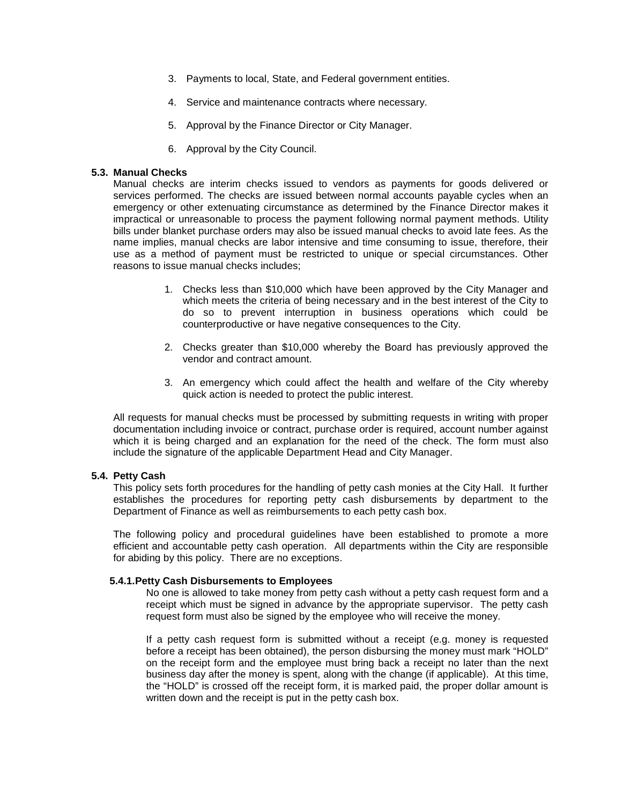- 3. Payments to local, State, and Federal government entities.
- 4. Service and maintenance contracts where necessary.
- 5. Approval by the Finance Director or City Manager.
- 6. Approval by the City Council.

# **5.3. Manual Checks**

Manual checks are interim checks issued to vendors as payments for goods delivered or services performed. The checks are issued between normal accounts payable cycles when an emergency or other extenuating circumstance as determined by the Finance Director makes it impractical or unreasonable to process the payment following normal payment methods. Utility bills under blanket purchase orders may also be issued manual checks to avoid late fees. As the name implies, manual checks are labor intensive and time consuming to issue, therefore, their use as a method of payment must be restricted to unique or special circumstances. Other reasons to issue manual checks includes;

- 1. Checks less than \$10,000 which have been approved by the City Manager and which meets the criteria of being necessary and in the best interest of the City to do so to prevent interruption in business operations which could be counterproductive or have negative consequences to the City.
- 2. Checks greater than \$10,000 whereby the Board has previously approved the vendor and contract amount.
- 3. An emergency which could affect the health and welfare of the City whereby quick action is needed to protect the public interest.

All requests for manual checks must be processed by submitting requests in writing with proper documentation including invoice or contract, purchase order is required, account number against which it is being charged and an explanation for the need of the check. The form must also include the signature of the applicable Department Head and City Manager.

#### **5.4. Petty Cash**

This policy sets forth procedures for the handling of petty cash monies at the City Hall. It further establishes the procedures for reporting petty cash disbursements by department to the Department of Finance as well as reimbursements to each petty cash box.

The following policy and procedural guidelines have been established to promote a more efficient and accountable petty cash operation. All departments within the City are responsible for abiding by this policy. There are no exceptions.

#### **5.4.1.Petty Cash Disbursements to Employees**

No one is allowed to take money from petty cash without a petty cash request form and a receipt which must be signed in advance by the appropriate supervisor. The petty cash request form must also be signed by the employee who will receive the money.

If a petty cash request form is submitted without a receipt (e.g. money is requested before a receipt has been obtained), the person disbursing the money must mark "HOLD" on the receipt form and the employee must bring back a receipt no later than the next business day after the money is spent, along with the change (if applicable). At this time, the "HOLD" is crossed off the receipt form, it is marked paid, the proper dollar amount is written down and the receipt is put in the petty cash box.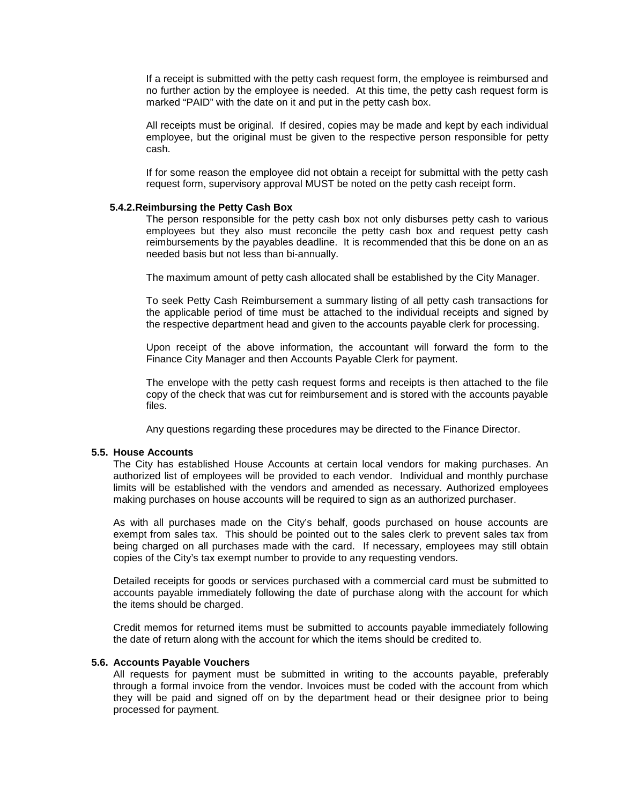If a receipt is submitted with the petty cash request form, the employee is reimbursed and no further action by the employee is needed. At this time, the petty cash request form is marked "PAID" with the date on it and put in the petty cash box.

All receipts must be original. If desired, copies may be made and kept by each individual employee, but the original must be given to the respective person responsible for petty cash.

If for some reason the employee did not obtain a receipt for submittal with the petty cash request form, supervisory approval MUST be noted on the petty cash receipt form.

#### **5.4.2.Reimbursing the Petty Cash Box**

The person responsible for the petty cash box not only disburses petty cash to various employees but they also must reconcile the petty cash box and request petty cash reimbursements by the payables deadline. It is recommended that this be done on an as needed basis but not less than bi-annually.

The maximum amount of petty cash allocated shall be established by the City Manager.

To seek Petty Cash Reimbursement a summary listing of all petty cash transactions for the applicable period of time must be attached to the individual receipts and signed by the respective department head and given to the accounts payable clerk for processing.

Upon receipt of the above information, the accountant will forward the form to the Finance City Manager and then Accounts Payable Clerk for payment.

The envelope with the petty cash request forms and receipts is then attached to the file copy of the check that was cut for reimbursement and is stored with the accounts payable files.

Any questions regarding these procedures may be directed to the Finance Director.

#### **5.5. House Accounts**

The City has established House Accounts at certain local vendors for making purchases. An authorized list of employees will be provided to each vendor. Individual and monthly purchase limits will be established with the vendors and amended as necessary. Authorized employees making purchases on house accounts will be required to sign as an authorized purchaser.

As with all purchases made on the City's behalf, goods purchased on house accounts are exempt from sales tax. This should be pointed out to the sales clerk to prevent sales tax from being charged on all purchases made with the card. If necessary, employees may still obtain copies of the City's tax exempt number to provide to any requesting vendors.

Detailed receipts for goods or services purchased with a commercial card must be submitted to accounts payable immediately following the date of purchase along with the account for which the items should be charged.

Credit memos for returned items must be submitted to accounts payable immediately following the date of return along with the account for which the items should be credited to.

#### **5.6. Accounts Payable Vouchers**

All requests for payment must be submitted in writing to the accounts payable, preferably through a formal invoice from the vendor. Invoices must be coded with the account from which they will be paid and signed off on by the department head or their designee prior to being processed for payment.